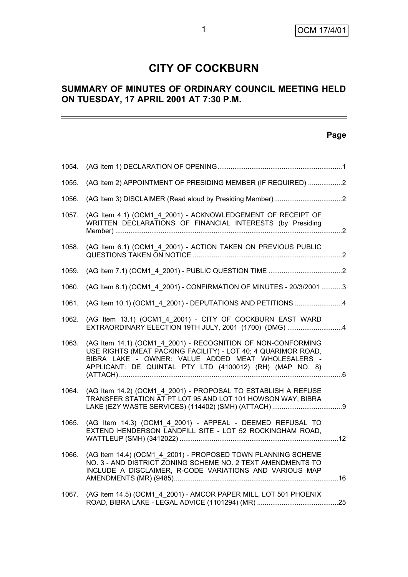## **CITY OF COCKBURN**

## **SUMMARY OF MINUTES OF ORDINARY COUNCIL MEETING HELD ON TUESDAY, 17 APRIL 2001 AT 7:30 P.M.**

## **Page**

| 1054. |                                                                                                                                                                                                                                                 |  |
|-------|-------------------------------------------------------------------------------------------------------------------------------------------------------------------------------------------------------------------------------------------------|--|
| 1055. | (AG Item 2) APPOINTMENT OF PRESIDING MEMBER (IF REQUIRED) 2                                                                                                                                                                                     |  |
| 1056. |                                                                                                                                                                                                                                                 |  |
| 1057. | (AG Item 4.1) (OCM1 4 2001) - ACKNOWLEDGEMENT OF RECEIPT OF<br>WRITTEN DECLARATIONS OF FINANCIAL INTERESTS (by Presiding                                                                                                                        |  |
| 1058. | (AG Item 6.1) (OCM1 4 2001) - ACTION TAKEN ON PREVIOUS PUBLIC                                                                                                                                                                                   |  |
| 1059. |                                                                                                                                                                                                                                                 |  |
| 1060. | (AG Item 8.1) (OCM1 4 2001) - CONFIRMATION OF MINUTES - 20/3/2001 3                                                                                                                                                                             |  |
| 1061. | (AG Item 10.1) (OCM1 4 2001) - DEPUTATIONS AND PETITIONS 4                                                                                                                                                                                      |  |
| 1062. | (AG Item 13.1) (OCM1 4 2001) - CITY OF COCKBURN EAST WARD<br>EXTRAORDINARY ELECTION 19TH JULY, 2001 (1700) (DMG) 4                                                                                                                              |  |
| 1063. | (AG Item 14.1) (OCM1_4_2001) - RECOGNITION OF NON-CONFORMING<br>USE RIGHTS (MEAT PACKING FACILITY) - LOT 40; 4 QUARIMOR ROAD,<br>BIBRA LAKE - OWNER: VALUE ADDED MEAT WHOLESALERS -<br>APPLICANT: DE QUINTAL PTY LTD (4100012) (RH) (MAP NO. 8) |  |
| 1064. | (AG Item 14.2) (OCM1 4 2001) - PROPOSAL TO ESTABLISH A REFUSE<br>TRANSFER STATION AT PT LOT 95 AND LOT 101 HOWSON WAY, BIBRA                                                                                                                    |  |
| 1065. | (AG Item 14.3) (OCM1 4 2001) - APPEAL - DEEMED REFUSAL TO<br>EXTEND HENDERSON LANDFILL SITE - LOT 52 ROCKINGHAM ROAD,                                                                                                                           |  |
| 1066. | (AG Item 14.4) (OCM1_4_2001) - PROPOSED TOWN PLANNING SCHEME<br>NO. 3 - AND DISTRICT ZONING SCHEME NO. 2 TEXT AMENDMENTS TO<br>INCLUDE A DISCLAIMER, R-CODE VARIATIONS AND VARIOUS MAP                                                          |  |
| 1067. | (AG Item 14.5) (OCM1 4 2001) - AMCOR PAPER MILL, LOT 501 PHOENIX                                                                                                                                                                                |  |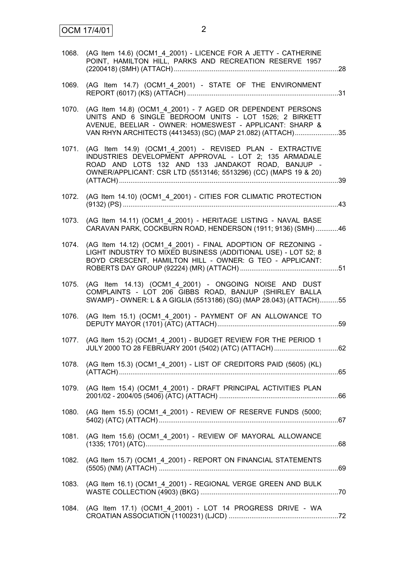| 1068. | (AG Item 14.6) (OCM1_4_2001) - LICENCE FOR A JETTY - CATHERINE<br>POINT, HAMILTON HILL, PARKS AND RECREATION RESERVE 1957                                                                                                                     |  |
|-------|-----------------------------------------------------------------------------------------------------------------------------------------------------------------------------------------------------------------------------------------------|--|
| 1069. | (AG Item 14.7) (OCM1_4_2001) - STATE OF THE ENVIRONMENT                                                                                                                                                                                       |  |
| 1070. | (AG Item 14.8) (OCM1_4_2001) - 7 AGED OR DEPENDENT PERSONS<br>UNITS AND 6 SINGLE BEDROOM UNITS - LOT 1526; 2 BIRKETT<br>AVENUE, BEELIAR - OWNER: HOMESWEST - APPLICANT: SHARP &<br>VAN RHYN ARCHITECTS (4413453) (SC) (MAP 21.082) (ATTACH)35 |  |
| 1071. | (AG Item 14.9) (OCM1 4 2001) - REVISED PLAN - EXTRACTIVE<br>INDUSTRIES DEVELOPMENT APPROVAL - LOT 2; 135 ARMADALE<br>ROAD AND LOTS 132 AND 133 JANDAKOT ROAD, BANJUP -<br>OWNER/APPLICANT: CSR LTD (5513146; 5513296) (CC) (MAPS 19 & 20)     |  |
| 1072. | (AG Item 14.10) (OCM1_4_2001) - CITIES FOR CLIMATIC PROTECTION                                                                                                                                                                                |  |
| 1073. | (AG Item 14.11) (OCM1_4_2001) - HERITAGE LISTING - NAVAL BASE<br>CARAVAN PARK, COCKBURN ROAD, HENDERSON (1911; 9136) (SMH) 46                                                                                                                 |  |
| 1074. | (AG Item 14.12) (OCM1 4 2001) - FINAL ADOPTION OF REZONING -<br>LIGHT INDUSTRY TO MIXED BUSINESS (ADDITIONAL USE) - LOT 52; 8<br>BOYD CRESCENT, HAMILTON HILL - OWNER: G TEO - APPLICANT:                                                     |  |
| 1075. | (AG Item 14.13) (OCM1 4 2001) - ONGOING NOISE AND DUST<br>COMPLAINTS - LOT 206 GIBBS ROAD, BANJUP (SHIRLEY BALLA<br>SWAMP) - OWNER: L & A GIGLIA (5513186) (SG) (MAP 28.043) (ATTACH)55                                                       |  |
| 1076. | (AG Item 15.1) (OCM1_4_2001) - PAYMENT OF AN ALLOWANCE TO                                                                                                                                                                                     |  |
| 1077. | (AG Item 15.2) (OCM1_4_2001) - BUDGET REVIEW FOR THE PERIOD 1                                                                                                                                                                                 |  |
|       | 1078. (AG Item 15.3) (OCM1_4_2001) - LIST OF CREDITORS PAID (5605) (KL)                                                                                                                                                                       |  |
| 1079. | (AG Item 15.4) (OCM1 4 2001) - DRAFT PRINCIPAL ACTIVITIES PLAN                                                                                                                                                                                |  |
| 1080. | (AG Item 15.5) (OCM1_4_2001) - REVIEW OF RESERVE FUNDS (5000;                                                                                                                                                                                 |  |
| 1081. | (AG Item 15.6) (OCM1_4_2001) - REVIEW OF MAYORAL ALLOWANCE                                                                                                                                                                                    |  |
| 1082. | (AG Item 15.7) (OCM1_4_2001) - REPORT ON FINANCIAL STATEMENTS                                                                                                                                                                                 |  |
| 1083. | (AG Item 16.1) (OCM1_4_2001) - REGIONAL VERGE GREEN AND BULK                                                                                                                                                                                  |  |
|       | 1084. (AG Item 17.1) (OCM1_4_2001) - LOT 14 PROGRESS DRIVE - WA                                                                                                                                                                               |  |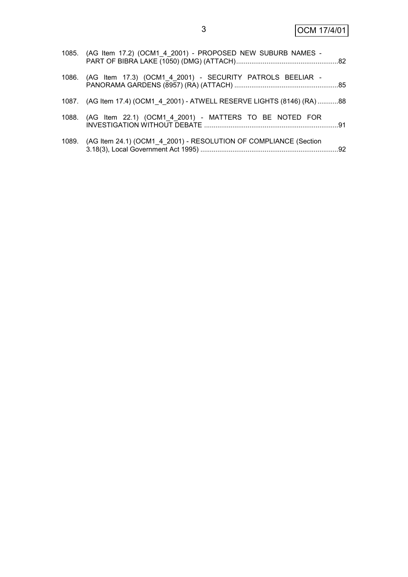| 1085. (AG Item 17.2) (OCM1_4_2001) - PROPOSED NEW SUBURB NAMES -          |  |
|---------------------------------------------------------------------------|--|
| 1086. (AG Item 17.3) (OCM1_4_2001) - SECURITY PATROLS BEELIAR -           |  |
| 1087. (AG Item 17.4) (OCM1 4 2001) - ATWELL RESERVE LIGHTS (8146) (RA) 88 |  |
| 1088. (AG Item 22.1) (OCM1 4 2001) - MATTERS TO BE NOTED FOR              |  |
| 1089. (AG Item 24.1) (OCM1 4 2001) - RESOLUTION OF COMPLIANCE (Section    |  |

3.18(3), Local Government Act 1995) .........................................................................92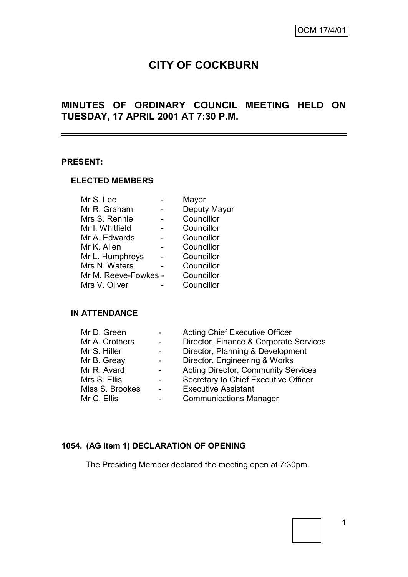## **CITY OF COCKBURN**

## **MINUTES OF ORDINARY COUNCIL MEETING HELD ON TUESDAY, 17 APRIL 2001 AT 7:30 P.M.**

#### **PRESENT:**

#### **ELECTED MEMBERS**

| Mr S. Lee            | Mayor        |
|----------------------|--------------|
| Mr R. Graham         | Deputy Mayor |
| Mrs S. Rennie        | Councillor   |
| Mr I. Whitfield      | Councillor   |
| Mr A. Edwards        | Councillor   |
| Mr K. Allen          | Councillor   |
| Mr L. Humphreys      | Councillor   |
| Mrs N. Waters        | Councillor   |
| Mr M. Reeve-Fowkes - | Councillor   |
| Mrs V. Oliver        | Councillor   |
|                      |              |

## **IN ATTENDANCE**

| Mr D. Green     | $\blacksquare$ | <b>Acting Chief Executive Officer</b>      |
|-----------------|----------------|--------------------------------------------|
| Mr A. Crothers  | $\blacksquare$ | Director, Finance & Corporate Services     |
| Mr S. Hiller    |                | Director, Planning & Development           |
| Mr B. Greay     | $\sim$         | Director, Engineering & Works              |
| Mr R. Avard     | $\sim$         | <b>Acting Director, Community Services</b> |
| Mrs S. Ellis    |                | Secretary to Chief Executive Officer       |
| Miss S. Brookes | $\blacksquare$ | <b>Executive Assistant</b>                 |
| Mr C. Ellis     | -              | <b>Communications Manager</b>              |

## **1054. (AG Item 1) DECLARATION OF OPENING**

The Presiding Member declared the meeting open at 7:30pm.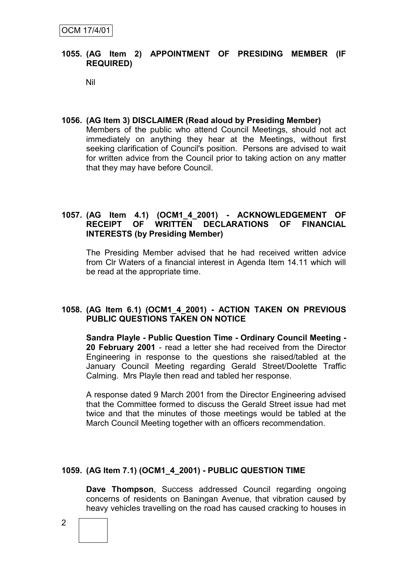## **1055. (AG Item 2) APPOINTMENT OF PRESIDING MEMBER (IF REQUIRED)**

Nil

## **1056. (AG Item 3) DISCLAIMER (Read aloud by Presiding Member)**

Members of the public who attend Council Meetings, should not act immediately on anything they hear at the Meetings, without first seeking clarification of Council's position. Persons are advised to wait for written advice from the Council prior to taking action on any matter that they may have before Council.

## **1057. (AG Item 4.1) (OCM1\_4\_2001) - ACKNOWLEDGEMENT OF RECEIPT OF WRITTEN DECLARATIONS OF FINANCIAL INTERESTS (by Presiding Member)**

The Presiding Member advised that he had received written advice from Clr Waters of a financial interest in Agenda Item 14.11 which will be read at the appropriate time.

## **1058. (AG Item 6.1) (OCM1\_4\_2001) - ACTION TAKEN ON PREVIOUS PUBLIC QUESTIONS TAKEN ON NOTICE**

**Sandra Playle - Public Question Time - Ordinary Council Meeting - 20 February 2001** - read a letter she had received from the Director Engineering in response to the questions she raised/tabled at the January Council Meeting regarding Gerald Street/Doolette Traffic Calming. Mrs Playle then read and tabled her response.

A response dated 9 March 2001 from the Director Engineering advised that the Committee formed to discuss the Gerald Street issue had met twice and that the minutes of those meetings would be tabled at the March Council Meeting together with an officers recommendation.

## **1059. (AG Item 7.1) (OCM1\_4\_2001) - PUBLIC QUESTION TIME**

**Dave Thompson**, Success addressed Council regarding ongoing concerns of residents on Baningan Avenue, that vibration caused by heavy vehicles travelling on the road has caused cracking to houses in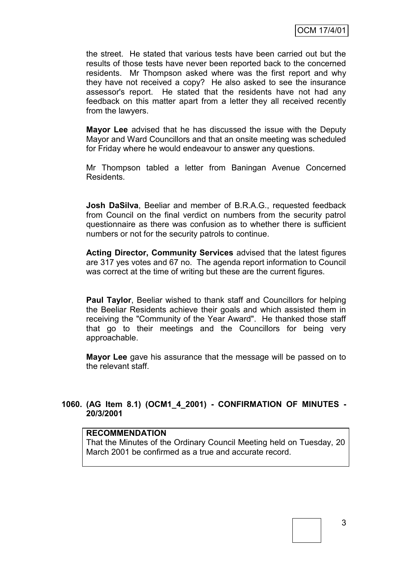the street. He stated that various tests have been carried out but the results of those tests have never been reported back to the concerned residents. Mr Thompson asked where was the first report and why they have not received a copy? He also asked to see the insurance assessor's report. He stated that the residents have not had any feedback on this matter apart from a letter they all received recently from the lawyers.

**Mayor Lee** advised that he has discussed the issue with the Deputy Mayor and Ward Councillors and that an onsite meeting was scheduled for Friday where he would endeavour to answer any questions.

Mr Thompson tabled a letter from Baningan Avenue Concerned Residents.

**Josh DaSilva**, Beeliar and member of B.R.A.G., requested feedback from Council on the final verdict on numbers from the security patrol questionnaire as there was confusion as to whether there is sufficient numbers or not for the security patrols to continue.

**Acting Director, Community Services** advised that the latest figures are 317 yes votes and 67 no. The agenda report information to Council was correct at the time of writing but these are the current figures.

**Paul Taylor**, Beeliar wished to thank staff and Councillors for helping the Beeliar Residents achieve their goals and which assisted them in receiving the "Community of the Year Award". He thanked those staff that go to their meetings and the Councillors for being very approachable.

**Mayor Lee** gave his assurance that the message will be passed on to the relevant staff.

## **1060. (AG Item 8.1) (OCM1\_4\_2001) - CONFIRMATION OF MINUTES - 20/3/2001**

#### **RECOMMENDATION**

That the Minutes of the Ordinary Council Meeting held on Tuesday, 20 March 2001 be confirmed as a true and accurate record.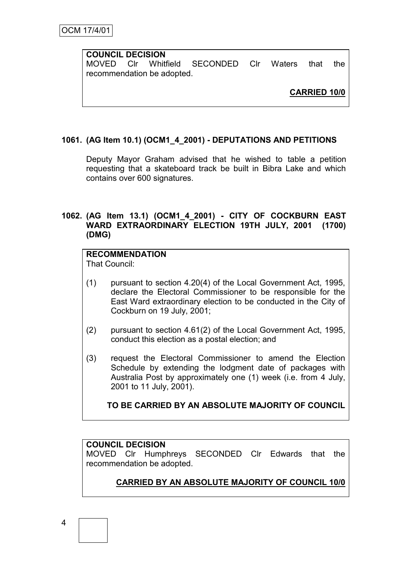## **COUNCIL DECISION**

MOVED Clr Whitfield SECONDED Clr Waters that the recommendation be adopted.

**CARRIED 10/0**

## **1061. (AG Item 10.1) (OCM1\_4\_2001) - DEPUTATIONS AND PETITIONS**

Deputy Mayor Graham advised that he wished to table a petition requesting that a skateboard track be built in Bibra Lake and which contains over 600 signatures.

## **1062. (AG Item 13.1) (OCM1\_4\_2001) - CITY OF COCKBURN EAST WARD EXTRAORDINARY ELECTION 19TH JULY, 2001 (1700) (DMG)**

# **RECOMMENDATION**

That Council:

- (1) pursuant to section 4.20(4) of the Local Government Act, 1995, declare the Electoral Commissioner to be responsible for the East Ward extraordinary election to be conducted in the City of Cockburn on 19 July, 2001;
- (2) pursuant to section 4.61(2) of the Local Government Act, 1995, conduct this election as a postal election; and
- (3) request the Electoral Commissioner to amend the Election Schedule by extending the lodgment date of packages with Australia Post by approximately one (1) week (i.e. from 4 July, 2001 to 11 July, 2001).

## **TO BE CARRIED BY AN ABSOLUTE MAJORITY OF COUNCIL**

## **COUNCIL DECISION**

MOVED Clr Humphreys SECONDED Clr Edwards that the recommendation be adopted.

## **CARRIED BY AN ABSOLUTE MAJORITY OF COUNCIL 10/0**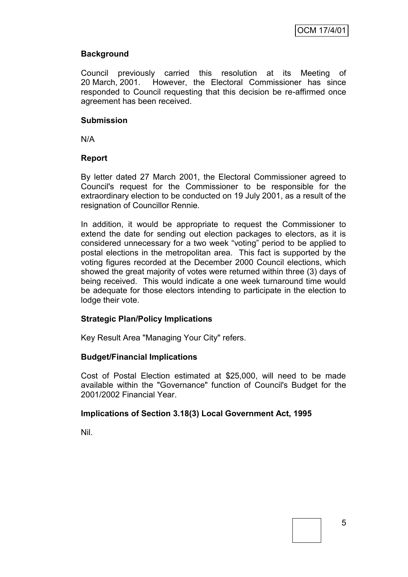## **Background**

Council previously carried this resolution at its Meeting of 20 March, 2001. However, the Electoral Commissioner has since responded to Council requesting that this decision be re-affirmed once agreement has been received.

## **Submission**

N/A

## **Report**

By letter dated 27 March 2001, the Electoral Commissioner agreed to Council's request for the Commissioner to be responsible for the extraordinary election to be conducted on 19 July 2001, as a result of the resignation of Councillor Rennie.

In addition, it would be appropriate to request the Commissioner to extend the date for sending out election packages to electors, as it is considered unnecessary for a two week "voting" period to be applied to postal elections in the metropolitan area. This fact is supported by the voting figures recorded at the December 2000 Council elections, which showed the great majority of votes were returned within three (3) days of being received. This would indicate a one week turnaround time would be adequate for those electors intending to participate in the election to lodge their vote.

## **Strategic Plan/Policy Implications**

Key Result Area "Managing Your City" refers.

## **Budget/Financial Implications**

Cost of Postal Election estimated at \$25,000, will need to be made available within the "Governance" function of Council's Budget for the 2001/2002 Financial Year.

## **Implications of Section 3.18(3) Local Government Act, 1995**

Nil.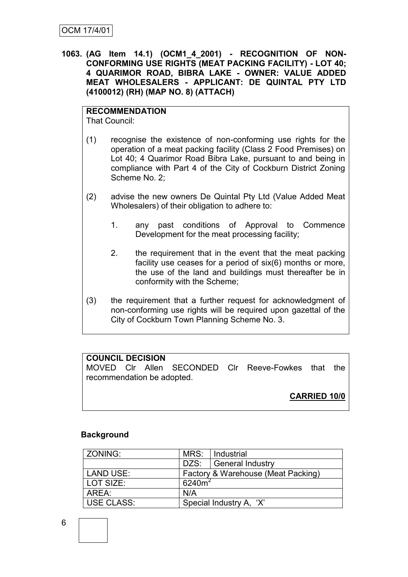**1063. (AG Item 14.1) (OCM1\_4\_2001) - RECOGNITION OF NON-CONFORMING USE RIGHTS (MEAT PACKING FACILITY) - LOT 40; 4 QUARIMOR ROAD, BIBRA LAKE - OWNER: VALUE ADDED MEAT WHOLESALERS - APPLICANT: DE QUINTAL PTY LTD (4100012) (RH) (MAP NO. 8) (ATTACH)**

## **RECOMMENDATION**

That Council:

- (1) recognise the existence of non-conforming use rights for the operation of a meat packing facility (Class 2 Food Premises) on Lot 40; 4 Quarimor Road Bibra Lake, pursuant to and being in compliance with Part 4 of the City of Cockburn District Zoning Scheme No. 2;
- (2) advise the new owners De Quintal Pty Ltd (Value Added Meat Wholesalers) of their obligation to adhere to:
	- 1. any past conditions of Approval to Commence Development for the meat processing facility;
	- 2. the requirement that in the event that the meat packing facility use ceases for a period of six(6) months or more, the use of the land and buildings must thereafter be in conformity with the Scheme;
- (3) the requirement that a further request for acknowledgment of non-conforming use rights will be required upon gazettal of the City of Cockburn Town Planning Scheme No. 3.

## **COUNCIL DECISION**

MOVED Clr Allen SECONDED Clr Reeve-Fowkes that the recommendation be adopted.

**CARRIED 10/0**

## **Background**

| ZONING:    | MRS:      | Industrial                         |
|------------|-----------|------------------------------------|
|            | DZS:      | General Industry                   |
| LAND USE:  |           | Factory & Warehouse (Meat Packing) |
| LOT SIZE:  | $6240m^2$ |                                    |
| AREA:      | N/A       |                                    |
| USE CLASS: |           | Special Industry A, 'X'            |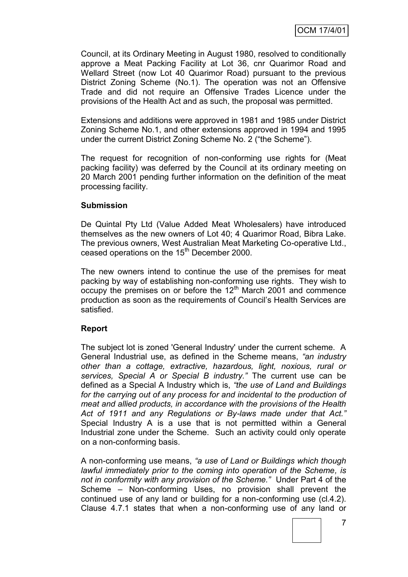Council, at its Ordinary Meeting in August 1980, resolved to conditionally approve a Meat Packing Facility at Lot 36, cnr Quarimor Road and Wellard Street (now Lot 40 Quarimor Road) pursuant to the previous District Zoning Scheme (No.1). The operation was not an Offensive Trade and did not require an Offensive Trades Licence under the provisions of the Health Act and as such, the proposal was permitted.

Extensions and additions were approved in 1981 and 1985 under District Zoning Scheme No.1, and other extensions approved in 1994 and 1995 under the current District Zoning Scheme No. 2 ("the Scheme").

The request for recognition of non-conforming use rights for (Meat packing facility) was deferred by the Council at its ordinary meeting on 20 March 2001 pending further information on the definition of the meat processing facility.

#### **Submission**

De Quintal Pty Ltd (Value Added Meat Wholesalers) have introduced themselves as the new owners of Lot 40; 4 Quarimor Road, Bibra Lake. The previous owners, West Australian Meat Marketing Co-operative Ltd., ceased operations on the 15<sup>th</sup> December 2000.

The new owners intend to continue the use of the premises for meat packing by way of establishing non-conforming use rights. They wish to  $\overline{\text{ocoup}}$  the premises on or before the 12<sup>th</sup> March 2001 and commence production as soon as the requirements of Council"s Health Services are satisfied.

#### **Report**

The subject lot is zoned 'General Industry' under the current scheme. A General Industrial use, as defined in the Scheme means, *"an industry other than a cottage, extractive, hazardous, light, noxious, rural or services, Special A or Special B industry."* The current use can be defined as a Special A Industry which is, *"the use of Land and Buildings for the carrying out of any process for and incidental to the production of meat and allied products, in accordance with the provisions of the Health Act of 1911 and any Regulations or By-laws made under that Act."*  Special Industry A is a use that is not permitted within a General Industrial zone under the Scheme. Such an activity could only operate on a non-conforming basis.

A non-conforming use means, *"a use of Land or Buildings which though lawful immediately prior to the coming into operation of the Scheme, is not in conformity with any provision of the Scheme."* Under Part 4 of the Scheme – Non-conforming Uses, no provision shall prevent the continued use of any land or building for a non-conforming use (cl.4.2). Clause 4.7.1 states that when a non-conforming use of any land or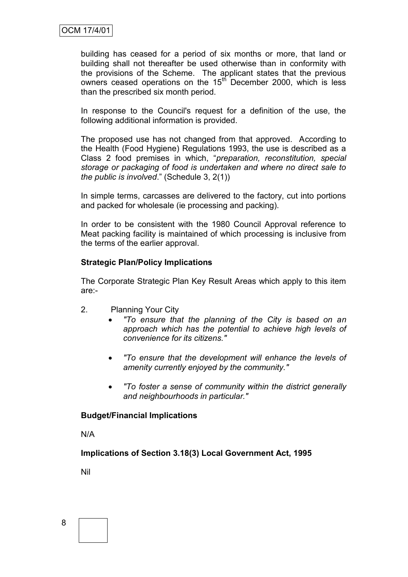building has ceased for a period of six months or more, that land or building shall not thereafter be used otherwise than in conformity with the provisions of the Scheme. The applicant states that the previous owners ceased operations on the 15<sup>th</sup> December 2000, which is less than the prescribed six month period.

In response to the Council's request for a definition of the use, the following additional information is provided.

The proposed use has not changed from that approved. According to the Health (Food Hygiene) Regulations 1993, the use is described as a Class 2 food premises in which, "*preparation, reconstitution, special storage or packaging of food is undertaken and where no direct sale to the public is involved*." (Schedule 3, 2(1))

In simple terms, carcasses are delivered to the factory, cut into portions and packed for wholesale (ie processing and packing).

In order to be consistent with the 1980 Council Approval reference to Meat packing facility is maintained of which processing is inclusive from the terms of the earlier approval.

## **Strategic Plan/Policy Implications**

The Corporate Strategic Plan Key Result Areas which apply to this item are:-

- 2. Planning Your City
	- *"To ensure that the planning of the City is based on an approach which has the potential to achieve high levels of convenience for its citizens."*
	- *"To ensure that the development will enhance the levels of amenity currently enjoyed by the community."*
	- *"To foster a sense of community within the district generally and neighbourhoods in particular."*

#### **Budget/Financial Implications**

N/A

**Implications of Section 3.18(3) Local Government Act, 1995**

Nil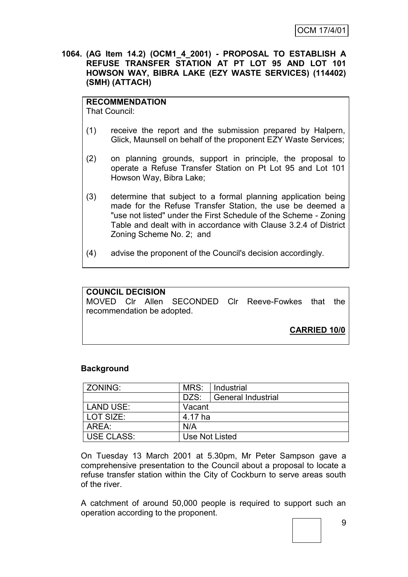**1064. (AG Item 14.2) (OCM1\_4\_2001) - PROPOSAL TO ESTABLISH A REFUSE TRANSFER STATION AT PT LOT 95 AND LOT 101 HOWSON WAY, BIBRA LAKE (EZY WASTE SERVICES) (114402) (SMH) (ATTACH)**

## **RECOMMENDATION**

That Council:

- (1) receive the report and the submission prepared by Halpern, Glick, Maunsell on behalf of the proponent EZY Waste Services;
- (2) on planning grounds, support in principle, the proposal to operate a Refuse Transfer Station on Pt Lot 95 and Lot 101 Howson Way, Bibra Lake;
- (3) determine that subject to a formal planning application being made for the Refuse Transfer Station, the use be deemed a "use not listed" under the First Schedule of the Scheme - Zoning Table and dealt with in accordance with Clause 3.2.4 of District Zoning Scheme No. 2; and
- (4) advise the proponent of the Council's decision accordingly.

## **COUNCIL DECISION** MOVED Clr Allen SECONDED Clr Reeve-Fowkes that the recommendation be adopted. **CARRIED 10/0**

## **Background**

| ZONING:           | MRS:           | Industrial                |
|-------------------|----------------|---------------------------|
|                   | DZS:           | <b>General Industrial</b> |
| LAND USE:         | Vacant         |                           |
| LOT SIZE:         | 4.17 ha        |                           |
| AREA:             | N/A            |                           |
| <b>USE CLASS:</b> | Use Not Listed |                           |

On Tuesday 13 March 2001 at 5.30pm, Mr Peter Sampson gave a comprehensive presentation to the Council about a proposal to locate a refuse transfer station within the City of Cockburn to serve areas south of the river.

A catchment of around 50,000 people is required to support such an operation according to the proponent.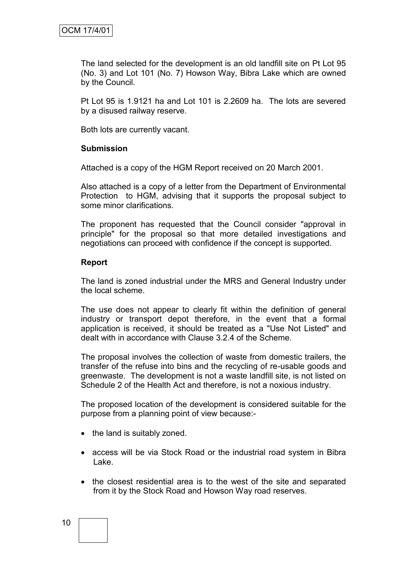The land selected for the development is an old landfill site on Pt Lot 95 (No. 3) and Lot 101 (No. 7) Howson Way, Bibra Lake which are owned by the Council.

Pt Lot 95 is 1.9121 ha and Lot 101 is 2.2609 ha. The lots are severed by a disused railway reserve.

Both lots are currently vacant.

#### **Submission**

Attached is a copy of the HGM Report received on 20 March 2001.

Also attached is a copy of a letter from the Department of Environmental Protection to HGM, advising that it supports the proposal subject to some minor clarifications.

The proponent has requested that the Council consider "approval in principle" for the proposal so that more detailed investigations and negotiations can proceed with confidence if the concept is supported.

#### **Report**

The land is zoned industrial under the MRS and General Industry under the local scheme.

The use does not appear to clearly fit within the definition of general industry or transport depot therefore, in the event that a formal application is received, it should be treated as a "Use Not Listed" and dealt with in accordance with Clause 3.2.4 of the Scheme.

The proposal involves the collection of waste from domestic trailers, the transfer of the refuse into bins and the recycling of re-usable goods and greenwaste. The development is not a waste landfill site, is not listed on Schedule 2 of the Health Act and therefore, is not a noxious industry.

The proposed location of the development is considered suitable for the purpose from a planning point of view because:-

- the land is suitably zoned.
- access will be via Stock Road or the industrial road system in Bibra Lake.
- the closest residential area is to the west of the site and separated from it by the Stock Road and Howson Way road reserves.

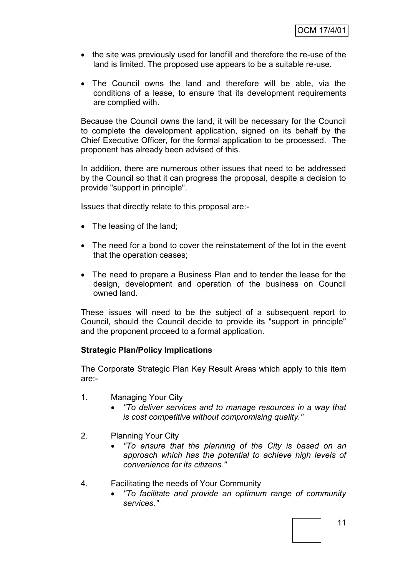- the site was previously used for landfill and therefore the re-use of the land is limited. The proposed use appears to be a suitable re-use.
- The Council owns the land and therefore will be able, via the conditions of a lease, to ensure that its development requirements are complied with.

Because the Council owns the land, it will be necessary for the Council to complete the development application, signed on its behalf by the Chief Executive Officer, for the formal application to be processed. The proponent has already been advised of this.

In addition, there are numerous other issues that need to be addressed by the Council so that it can progress the proposal, despite a decision to provide "support in principle".

Issues that directly relate to this proposal are:-

- The leasing of the land;
- The need for a bond to cover the reinstatement of the lot in the event that the operation ceases;
- The need to prepare a Business Plan and to tender the lease for the design, development and operation of the business on Council owned land.

These issues will need to be the subject of a subsequent report to Council, should the Council decide to provide its "support in principle" and the proponent proceed to a formal application.

#### **Strategic Plan/Policy Implications**

The Corporate Strategic Plan Key Result Areas which apply to this item are:-

- 1. Managing Your City
	- *"To deliver services and to manage resources in a way that is cost competitive without compromising quality."*
- 2. Planning Your City
	- *"To ensure that the planning of the City is based on an approach which has the potential to achieve high levels of convenience for its citizens."*
- 4. Facilitating the needs of Your Community
	- *"To facilitate and provide an optimum range of community services."*

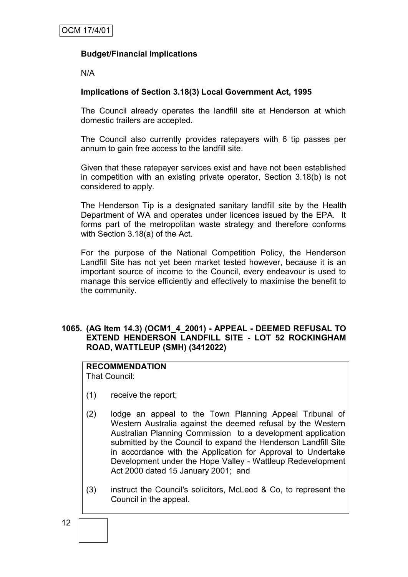## **Budget/Financial Implications**

N/A

## **Implications of Section 3.18(3) Local Government Act, 1995**

The Council already operates the landfill site at Henderson at which domestic trailers are accepted.

The Council also currently provides ratepayers with 6 tip passes per annum to gain free access to the landfill site.

Given that these ratepayer services exist and have not been established in competition with an existing private operator, Section 3.18(b) is not considered to apply.

The Henderson Tip is a designated sanitary landfill site by the Health Department of WA and operates under licences issued by the EPA. It forms part of the metropolitan waste strategy and therefore conforms with Section 3.18(a) of the Act.

For the purpose of the National Competition Policy, the Henderson Landfill Site has not yet been market tested however, because it is an important source of income to the Council, every endeavour is used to manage this service efficiently and effectively to maximise the benefit to the community.

## **1065. (AG Item 14.3) (OCM1\_4\_2001) - APPEAL - DEEMED REFUSAL TO EXTEND HENDERSON LANDFILL SITE - LOT 52 ROCKINGHAM ROAD, WATTLEUP (SMH) (3412022)**

## **RECOMMENDATION**

That Council:

- (1) receive the report;
- (2) lodge an appeal to the Town Planning Appeal Tribunal of Western Australia against the deemed refusal by the Western Australian Planning Commission to a development application submitted by the Council to expand the Henderson Landfill Site in accordance with the Application for Approval to Undertake Development under the Hope Valley - Wattleup Redevelopment Act 2000 dated 15 January 2001; and
- (3) instruct the Council's solicitors, McLeod & Co, to represent the Council in the appeal.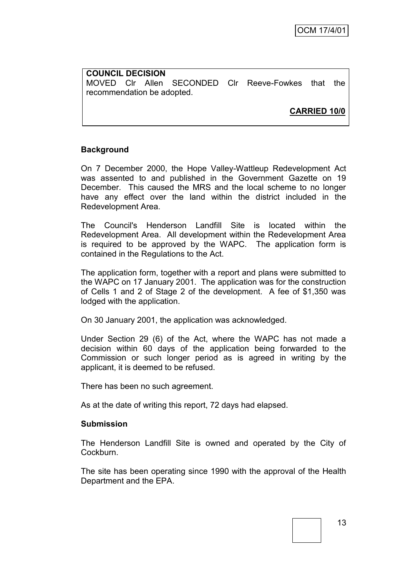**COUNCIL DECISION** MOVED Clr Allen SECONDED Clr Reeve-Fowkes that the recommendation be adopted.

**CARRIED 10/0**

#### **Background**

On 7 December 2000, the Hope Valley-Wattleup Redevelopment Act was assented to and published in the Government Gazette on 19 December. This caused the MRS and the local scheme to no longer have any effect over the land within the district included in the Redevelopment Area.

The Council's Henderson Landfill Site is located within the Redevelopment Area. All development within the Redevelopment Area is required to be approved by the WAPC. The application form is contained in the Regulations to the Act.

The application form, together with a report and plans were submitted to the WAPC on 17 January 2001. The application was for the construction of Cells 1 and 2 of Stage 2 of the development. A fee of \$1,350 was lodged with the application.

On 30 January 2001, the application was acknowledged.

Under Section 29 (6) of the Act, where the WAPC has not made a decision within 60 days of the application being forwarded to the Commission or such longer period as is agreed in writing by the applicant, it is deemed to be refused.

There has been no such agreement.

As at the date of writing this report, 72 days had elapsed.

#### **Submission**

The Henderson Landfill Site is owned and operated by the City of Cockburn.

The site has been operating since 1990 with the approval of the Health Department and the EPA.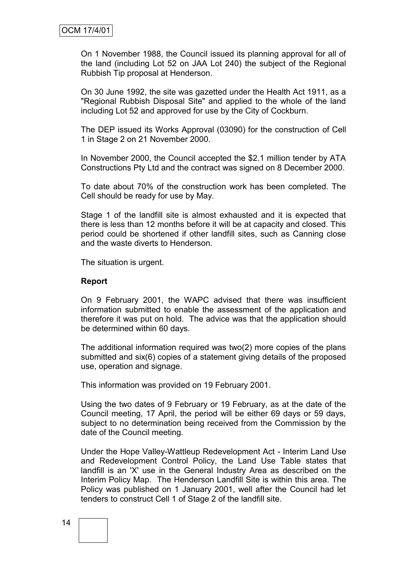On 1 November 1988, the Council issued its planning approval for all of the land (including Lot 52 on JAA Lot 240) the subject of the Regional Rubbish Tip proposal at Henderson.

On 30 June 1992, the site was gazetted under the Health Act 1911, as a "Regional Rubbish Disposal Site" and applied to the whole of the land including Lot 52 and approved for use by the City of Cockburn.

The DEP issued its Works Approval (03090) for the construction of Cell 1 in Stage 2 on 21 November 2000.

In November 2000, the Council accepted the \$2.1 million tender by ATA Constructions Pty Ltd and the contract was signed on 8 December 2000.

To date about 70% of the construction work has been completed. The Cell should be ready for use by May.

Stage 1 of the landfill site is almost exhausted and it is expected that there is less than 12 months before it will be at capacity and closed. This period could be shortened if other landfill sites, such as Canning close and the waste diverts to Henderson.

The situation is urgent.

#### **Report**

On 9 February 2001, the WAPC advised that there was insufficient information submitted to enable the assessment of the application and therefore it was put on hold. The advice was that the application should be determined within 60 days.

The additional information required was two(2) more copies of the plans submitted and six(6) copies of a statement giving details of the proposed use, operation and signage.

This information was provided on 19 February 2001.

Using the two dates of 9 February or 19 February, as at the date of the Council meeting, 17 April, the period will be either 69 days or 59 days, subject to no determination being received from the Commission by the date of the Council meeting.

Under the Hope Valley-Wattleup Redevelopment Act - Interim Land Use and Redevelopment Control Policy, the Land Use Table states that landfill is an 'X' use in the General Industry Area as described on the Interim Policy Map. The Henderson Landfill Site is within this area. The Policy was published on 1 January 2001, well after the Council had let tenders to construct Cell 1 of Stage 2 of the landfill site.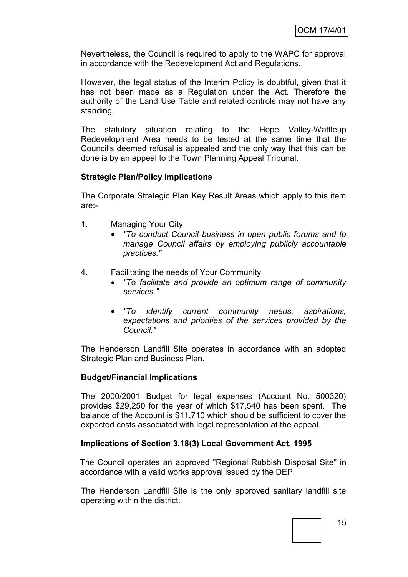Nevertheless, the Council is required to apply to the WAPC for approval in accordance with the Redevelopment Act and Regulations.

However, the legal status of the Interim Policy is doubtful, given that it has not been made as a Regulation under the Act. Therefore the authority of the Land Use Table and related controls may not have any standing.

The statutory situation relating to the Hope Valley-Wattleup Redevelopment Area needs to be tested at the same time that the Council's deemed refusal is appealed and the only way that this can be done is by an appeal to the Town Planning Appeal Tribunal.

## **Strategic Plan/Policy Implications**

The Corporate Strategic Plan Key Result Areas which apply to this item are:-

- 1. Managing Your City
	- *"To conduct Council business in open public forums and to manage Council affairs by employing publicly accountable practices."*
- 4. Facilitating the needs of Your Community
	- *"To facilitate and provide an optimum range of community services."*
	- *"To identify current community needs, aspirations, expectations and priorities of the services provided by the Council."*

The Henderson Landfill Site operates in accordance with an adopted Strategic Plan and Business Plan.

#### **Budget/Financial Implications**

The 2000/2001 Budget for legal expenses (Account No. 500320) provides \$29,250 for the year of which \$17,540 has been spent. The balance of the Account is \$11,710 which should be sufficient to cover the expected costs associated with legal representation at the appeal.

#### **Implications of Section 3.18(3) Local Government Act, 1995**

The Council operates an approved "Regional Rubbish Disposal Site" in accordance with a valid works approval issued by the DEP.

The Henderson Landfill Site is the only approved sanitary landfill site operating within the district.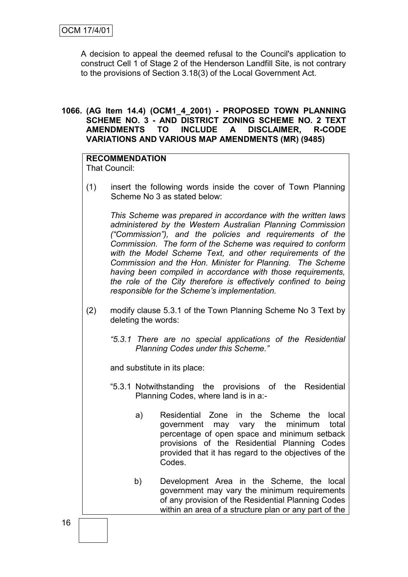A decision to appeal the deemed refusal to the Council's application to construct Cell 1 of Stage 2 of the Henderson Landfill Site, is not contrary to the provisions of Section 3.18(3) of the Local Government Act.

## **1066. (AG Item 14.4) (OCM1\_4\_2001) - PROPOSED TOWN PLANNING SCHEME NO. 3 - AND DISTRICT ZONING SCHEME NO. 2 TEXT AMENDMENTS TO INCLUDE A DISCLAIMER, R-CODE VARIATIONS AND VARIOUS MAP AMENDMENTS (MR) (9485)**

**RECOMMENDATION** That Council:

(1) insert the following words inside the cover of Town Planning Scheme No 3 as stated below:

*This Scheme was prepared in accordance with the written laws administered by the Western Australian Planning Commission ("Commission"), and the policies and requirements of the Commission. The form of the Scheme was required to conform with the Model Scheme Text, and other requirements of the Commission and the Hon. Minister for Planning. The Scheme having been compiled in accordance with those requirements, the role of the City therefore is effectively confined to being responsible for the Scheme"s implementation.*

- (2) modify clause 5.3.1 of the Town Planning Scheme No 3 Text by deleting the words:
	- *"5.3.1 There are no special applications of the Residential Planning Codes under this Scheme."*

and substitute in its place:

- "5.3.1 Notwithstanding the provisions of the Residential Planning Codes, where land is in a:
	- a) Residential Zone in the Scheme the local government may vary the minimum total percentage of open space and minimum setback provisions of the Residential Planning Codes provided that it has regard to the objectives of the Codes.
	- b) Development Area in the Scheme, the local government may vary the minimum requirements of any provision of the Residential Planning Codes within an area of a structure plan or any part of the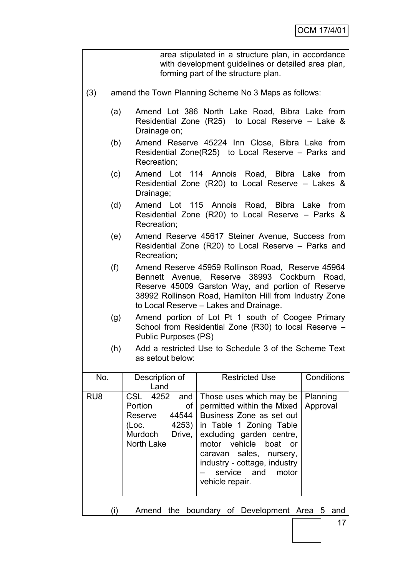|                 | area stipulated in a structure plan, in accordance<br>with development guidelines or detailed area plan,<br>forming part of the structure plan.                                                                                                                   |                                                                                                                                    |                                                                                                                                                                                                                                                                                                  |                      |  |  |
|-----------------|-------------------------------------------------------------------------------------------------------------------------------------------------------------------------------------------------------------------------------------------------------------------|------------------------------------------------------------------------------------------------------------------------------------|--------------------------------------------------------------------------------------------------------------------------------------------------------------------------------------------------------------------------------------------------------------------------------------------------|----------------------|--|--|
| (3)             | amend the Town Planning Scheme No 3 Maps as follows:                                                                                                                                                                                                              |                                                                                                                                    |                                                                                                                                                                                                                                                                                                  |                      |  |  |
|                 | (a)                                                                                                                                                                                                                                                               | Drainage on;                                                                                                                       | Amend Lot 386 North Lake Road, Bibra Lake from<br>Residential Zone (R25) to Local Reserve – Lake &                                                                                                                                                                                               |                      |  |  |
|                 | (b)                                                                                                                                                                                                                                                               | Recreation;                                                                                                                        | Amend Reserve 45224 Inn Close, Bibra Lake from<br>Residential Zone(R25) to Local Reserve – Parks and                                                                                                                                                                                             |                      |  |  |
|                 | (c)                                                                                                                                                                                                                                                               | Drainage;                                                                                                                          | Amend Lot 114 Annois Road, Bibra Lake from<br>Residential Zone (R20) to Local Reserve – Lakes &                                                                                                                                                                                                  |                      |  |  |
|                 | (d)                                                                                                                                                                                                                                                               | Recreation;                                                                                                                        | Amend Lot 115 Annois Road, Bibra Lake from<br>Residential Zone (R20) to Local Reserve – Parks &                                                                                                                                                                                                  |                      |  |  |
|                 | (e)                                                                                                                                                                                                                                                               | Recreation;                                                                                                                        | Amend Reserve 45617 Steiner Avenue, Success from<br>Residential Zone (R20) to Local Reserve – Parks and                                                                                                                                                                                          |                      |  |  |
|                 | (f)<br>Amend Reserve 45959 Rollinson Road, Reserve 45964<br>Bennett Avenue, Reserve 38993 Cockburn Road,<br>Reserve 45009 Garston Way, and portion of Reserve<br>38992 Rollinson Road, Hamilton Hill from Industry Zone<br>to Local Reserve - Lakes and Drainage. |                                                                                                                                    |                                                                                                                                                                                                                                                                                                  |                      |  |  |
|                 | (g)                                                                                                                                                                                                                                                               | Amend portion of Lot Pt 1 south of Coogee Primary<br>School from Residential Zone (R30) to local Reserve -<br>Public Purposes (PS) |                                                                                                                                                                                                                                                                                                  |                      |  |  |
|                 | (h)                                                                                                                                                                                                                                                               | as setout below:                                                                                                                   | Add a restricted Use to Schedule 3 of the Scheme Text                                                                                                                                                                                                                                            |                      |  |  |
| No.             |                                                                                                                                                                                                                                                                   | Description of<br>Land                                                                                                             | <b>Restricted Use</b>                                                                                                                                                                                                                                                                            | Conditions           |  |  |
| RU <sub>8</sub> |                                                                                                                                                                                                                                                                   | 4252<br><b>CSL</b><br>and<br>οf<br>Portion<br>44544<br>Reserve<br>4253)<br>(Loc.<br>Murdoch<br>Drive,<br>North Lake                | Those uses which may be<br>permitted within the Mixed<br>Business Zone as set out<br>in Table 1 Zoning Table<br>excluding garden centre,<br>motor<br>vehicle<br>boat<br><b>or</b><br>sales,<br>caravan<br>nursery,<br>industry - cottage, industry<br>service<br>and<br>motor<br>vehicle repair. | Planning<br>Approval |  |  |
|                 | (i)                                                                                                                                                                                                                                                               | Amend<br>the                                                                                                                       | boundary of Development Area 5                                                                                                                                                                                                                                                                   | and                  |  |  |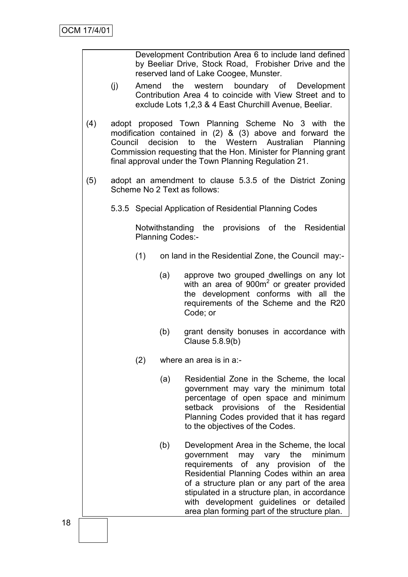| Development Contribution Area 6 to include land defined |  |
|---------------------------------------------------------|--|
| by Beeliar Drive, Stock Road, Frobisher Drive and the   |  |
| reserved land of Lake Coogee, Munster.                  |  |

- (j) Amend the western boundary of Development Contribution Area 4 to coincide with View Street and to exclude Lots 1,2,3 & 4 East Churchill Avenue, Beeliar.
- (4) adopt proposed Town Planning Scheme No 3 with the modification contained in (2) & (3) above and forward the Council decision to the Western Australian Planning Commission requesting that the Hon. Minister for Planning grant final approval under the Town Planning Regulation 21.
- (5) adopt an amendment to clause 5.3.5 of the District Zoning Scheme No 2 Text as follows:
	- 5.3.5 Special Application of Residential Planning Codes

Notwithstanding the provisions of the Residential Planning Codes:-

- (1) on land in the Residential Zone, the Council may:-
	- (a) approve two grouped dwellings on any lot with an area of 900m<sup>2</sup> or greater provided the development conforms with all the requirements of the Scheme and the R20 Code; or
	- (b) grant density bonuses in accordance with Clause 5.8.9(b)
- (2) where an area is in a:-
	- (a) Residential Zone in the Scheme, the local government may vary the minimum total percentage of open space and minimum setback provisions of the Residential Planning Codes provided that it has regard to the objectives of the Codes.
	- (b) Development Area in the Scheme, the local government may vary the minimum requirements of any provision of the Residential Planning Codes within an area of a structure plan or any part of the area stipulated in a structure plan, in accordance with development guidelines or detailed area plan forming part of the structure plan.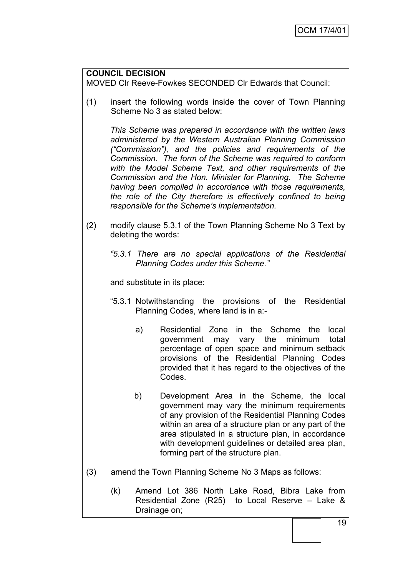## **COUNCIL DECISION**

MOVED Clr Reeve-Fowkes SECONDED Clr Edwards that Council:

(1) insert the following words inside the cover of Town Planning Scheme No 3 as stated below:

*This Scheme was prepared in accordance with the written laws administered by the Western Australian Planning Commission ("Commission"), and the policies and requirements of the Commission. The form of the Scheme was required to conform with the Model Scheme Text, and other requirements of the Commission and the Hon. Minister for Planning. The Scheme having been compiled in accordance with those requirements, the role of the City therefore is effectively confined to being responsible for the Scheme"s implementation.*

- (2) modify clause 5.3.1 of the Town Planning Scheme No 3 Text by deleting the words:
	- *"5.3.1 There are no special applications of the Residential Planning Codes under this Scheme."*

and substitute in its place:

- "5.3.1 Notwithstanding the provisions of the Residential Planning Codes, where land is in a:
	- a) Residential Zone in the Scheme the local government may vary the minimum total percentage of open space and minimum setback provisions of the Residential Planning Codes provided that it has regard to the objectives of the Codes.
	- b) Development Area in the Scheme, the local government may vary the minimum requirements of any provision of the Residential Planning Codes within an area of a structure plan or any part of the area stipulated in a structure plan, in accordance with development guidelines or detailed area plan, forming part of the structure plan.
- (3) amend the Town Planning Scheme No 3 Maps as follows:
	- (k) Amend Lot 386 North Lake Road, Bibra Lake from Residential Zone (R25) to Local Reserve – Lake & Drainage on;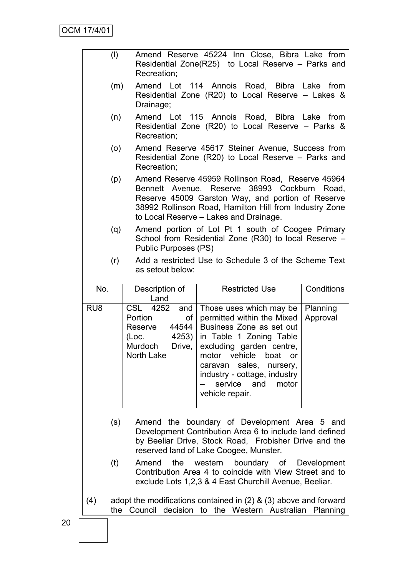|                 | $\left(\mathsf{I}\right)$ | Recreation;                                                                                               | Amend Reserve 45224 Inn Close, Bibra Lake from<br>Residential Zone(R25) to Local Reserve – Parks and                                                                                                                                                                                   |                      |
|-----------------|---------------------------|-----------------------------------------------------------------------------------------------------------|----------------------------------------------------------------------------------------------------------------------------------------------------------------------------------------------------------------------------------------------------------------------------------------|----------------------|
|                 | (m)                       | Drainage;                                                                                                 | Amend Lot 114 Annois Road, Bibra Lake from<br>Residential Zone (R20) to Local Reserve – Lakes &                                                                                                                                                                                        |                      |
|                 | (n)                       | Recreation;                                                                                               | Amend Lot 115 Annois Road, Bibra Lake<br>Residential Zone (R20) to Local Reserve – Parks &                                                                                                                                                                                             | from                 |
|                 | (0)                       | Recreation;                                                                                               | Amend Reserve 45617 Steiner Avenue, Success from<br>Residential Zone (R20) to Local Reserve – Parks and                                                                                                                                                                                |                      |
|                 | (p)                       |                                                                                                           | Amend Reserve 45959 Rollinson Road, Reserve 45964<br>Bennett Avenue, Reserve 38993 Cockburn Road,<br>Reserve 45009 Garston Way, and portion of Reserve<br>38992 Rollinson Road, Hamilton Hill from Industry Zone<br>to Local Reserve - Lakes and Drainage.                             |                      |
|                 | (q)                       | Public Purposes (PS)                                                                                      | Amend portion of Lot Pt 1 south of Coogee Primary<br>School from Residential Zone (R30) to local Reserve -                                                                                                                                                                             |                      |
|                 | (r)                       | as setout below:                                                                                          | Add a restricted Use to Schedule 3 of the Scheme Text                                                                                                                                                                                                                                  |                      |
| No.             |                           | Description of<br>Land                                                                                    | <b>Restricted Use</b>                                                                                                                                                                                                                                                                  | Conditions           |
| RU <sub>8</sub> |                           | CSL 4252<br>and<br>Portion<br>of<br>44544<br>Reserve<br>4253)<br>(Loc.<br>Murdoch<br>Drive,<br>North Lake | Those uses which may be<br>permitted within the Mixed<br>Business Zone as set out<br>in Table 1 Zoning Table<br>excluding garden centre,<br>motor<br>vehicle<br>boat<br>or<br>sales,<br>caravan<br>nursery,<br>industry - cottage, industry<br>service and<br>motor<br>vehicle repair. | Planning<br>Approval |
|                 | (s)                       |                                                                                                           | Amend the boundary of Development Area 5 and<br>Development Contribution Area 6 to include land defined<br>by Beeliar Drive, Stock Road, Frobisher Drive and the<br>reserved land of Lake Coogee, Munster.                                                                             |                      |
|                 | (t)                       | the<br>Amend                                                                                              | western<br>boundary of Development<br>Contribution Area 4 to coincide with View Street and to<br>exclude Lots 1,2,3 & 4 East Churchill Avenue, Beeliar.                                                                                                                                |                      |
| (4)             | the                       | Council                                                                                                   | adopt the modifications contained in $(2)$ & $(3)$ above and forward<br>decision to the Western Australian Planning                                                                                                                                                                    |                      |
|                 |                           |                                                                                                           |                                                                                                                                                                                                                                                                                        |                      |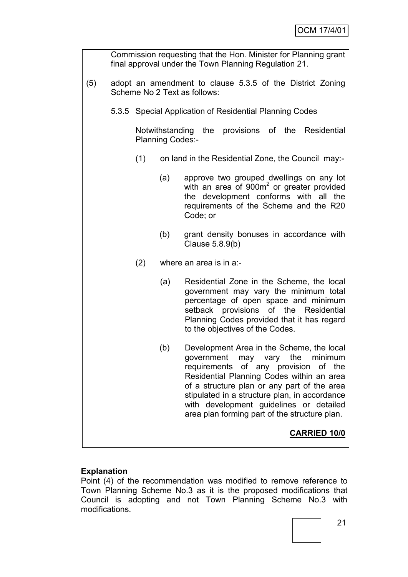|     |                                                                                           |                         | Commission requesting that the Hon. Minister for Planning grant<br>final approval under the Town Planning Regulation 21.                                                                                                                                                                                                                                      |
|-----|-------------------------------------------------------------------------------------------|-------------------------|---------------------------------------------------------------------------------------------------------------------------------------------------------------------------------------------------------------------------------------------------------------------------------------------------------------------------------------------------------------|
| (5) | adopt an amendment to clause 5.3.5 of the District Zoning<br>Scheme No 2 Text as follows: |                         |                                                                                                                                                                                                                                                                                                                                                               |
|     |                                                                                           |                         | 5.3.5 Special Application of Residential Planning Codes                                                                                                                                                                                                                                                                                                       |
|     |                                                                                           | <b>Planning Codes:-</b> | Notwithstanding the provisions of the Residential                                                                                                                                                                                                                                                                                                             |
|     | (1)                                                                                       |                         | on land in the Residential Zone, the Council may:-                                                                                                                                                                                                                                                                                                            |
|     |                                                                                           | (a)                     | approve two grouped dwellings on any lot<br>with an area of 900m <sup>2</sup> or greater provided<br>the development conforms with all the<br>requirements of the Scheme and the R20<br>Code; or                                                                                                                                                              |
|     |                                                                                           | (b)                     | grant density bonuses in accordance with<br>Clause 5.8.9(b)                                                                                                                                                                                                                                                                                                   |
|     | (2)                                                                                       |                         | where an area is in a:-                                                                                                                                                                                                                                                                                                                                       |
|     |                                                                                           | (a)                     | Residential Zone in the Scheme, the local<br>government may vary the minimum total<br>percentage of open space and minimum<br>setback provisions of the Residential<br>Planning Codes provided that it has regard<br>to the objectives of the Codes.                                                                                                          |
|     |                                                                                           | (b)                     | Development Area in the Scheme, the local<br>government may vary the minimum<br>requirements of any provision of the<br>Residential Planning Codes within an area<br>of a structure plan or any part of the area<br>stipulated in a structure plan, in accordance<br>with development guidelines or detailed<br>area plan forming part of the structure plan. |
|     |                                                                                           |                         | <b>CARRIED 10/0</b>                                                                                                                                                                                                                                                                                                                                           |

## **Explanation**

Point (4) of the recommendation was modified to remove reference to Town Planning Scheme No.3 as it is the proposed modifications that Council is adopting and not Town Planning Scheme No.3 with modifications.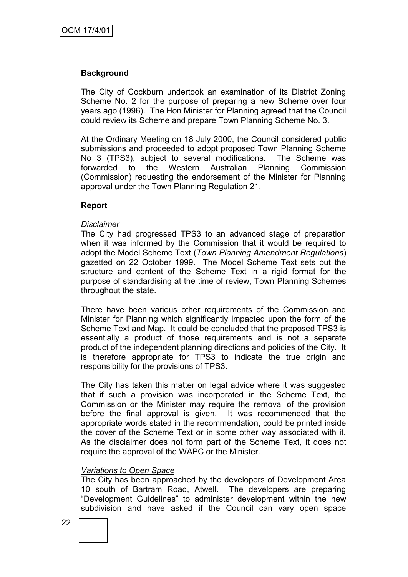## **Background**

The City of Cockburn undertook an examination of its District Zoning Scheme No. 2 for the purpose of preparing a new Scheme over four years ago (1996). The Hon Minister for Planning agreed that the Council could review its Scheme and prepare Town Planning Scheme No. 3.

At the Ordinary Meeting on 18 July 2000, the Council considered public submissions and proceeded to adopt proposed Town Planning Scheme No 3 (TPS3), subject to several modifications. The Scheme was forwarded to the Western Australian Planning Commission (Commission) requesting the endorsement of the Minister for Planning approval under the Town Planning Regulation 21.

#### **Report**

#### *Disclaimer*

The City had progressed TPS3 to an advanced stage of preparation when it was informed by the Commission that it would be required to adopt the Model Scheme Text (*Town Planning Amendment Regulations*) gazetted on 22 October 1999. The Model Scheme Text sets out the structure and content of the Scheme Text in a rigid format for the purpose of standardising at the time of review, Town Planning Schemes throughout the state.

There have been various other requirements of the Commission and Minister for Planning which significantly impacted upon the form of the Scheme Text and Map. It could be concluded that the proposed TPS3 is essentially a product of those requirements and is not a separate product of the independent planning directions and policies of the City. It is therefore appropriate for TPS3 to indicate the true origin and responsibility for the provisions of TPS3.

The City has taken this matter on legal advice where it was suggested that if such a provision was incorporated in the Scheme Text, the Commission or the Minister may require the removal of the provision before the final approval is given. It was recommended that the appropriate words stated in the recommendation, could be printed inside the cover of the Scheme Text or in some other way associated with it. As the disclaimer does not form part of the Scheme Text, it does not require the approval of the WAPC or the Minister.

## *Variations to Open Space*

The City has been approached by the developers of Development Area 10 south of Bartram Road, Atwell. The developers are preparing "Development Guidelines" to administer development within the new subdivision and have asked if the Council can vary open space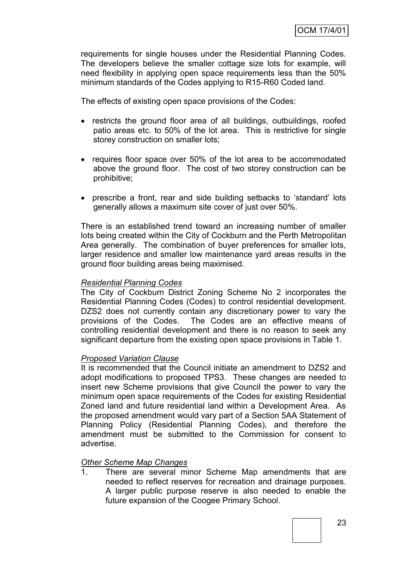requirements for single houses under the Residential Planning Codes. The developers believe the smaller cottage size lots for example, will need flexibility in applying open space requirements less than the 50% minimum standards of the Codes applying to R15-R60 Coded land.

The effects of existing open space provisions of the Codes:

- restricts the ground floor area of all buildings, outbuildings, roofed patio areas etc. to 50% of the lot area. This is restrictive for single storey construction on smaller lots;
- requires floor space over 50% of the lot area to be accommodated above the ground floor. The cost of two storey construction can be prohibitive;
- prescribe a front, rear and side building setbacks to "standard" lots generally allows a maximum site cover of just over 50%.

There is an established trend toward an increasing number of smaller lots being created within the City of Cockburn and the Perth Metropolitan Area generally. The combination of buyer preferences for smaller lots, larger residence and smaller low maintenance yard areas results in the ground floor building areas being maximised.

#### *Residential Planning Codes*

The City of Cockburn District Zoning Scheme No 2 incorporates the Residential Planning Codes (Codes) to control residential development. DZS2 does not currently contain any discretionary power to vary the provisions of the Codes. The Codes are an effective means of controlling residential development and there is no reason to seek any significant departure from the existing open space provisions in Table 1.

#### *Proposed Variation Clause*

It is recommended that the Council initiate an amendment to DZS2 and adopt modifications to proposed TPS3. These changes are needed to insert new Scheme provisions that give Council the power to vary the minimum open space requirements of the Codes for existing Residential Zoned land and future residential land within a Development Area. As the proposed amendment would vary part of a Section 5AA Statement of Planning Policy (Residential Planning Codes), and therefore the amendment must be submitted to the Commission for consent to advertise.

#### *Other Scheme Map Changes*

1. There are several minor Scheme Map amendments that are needed to reflect reserves for recreation and drainage purposes. A larger public purpose reserve is also needed to enable the future expansion of the Coogee Primary School.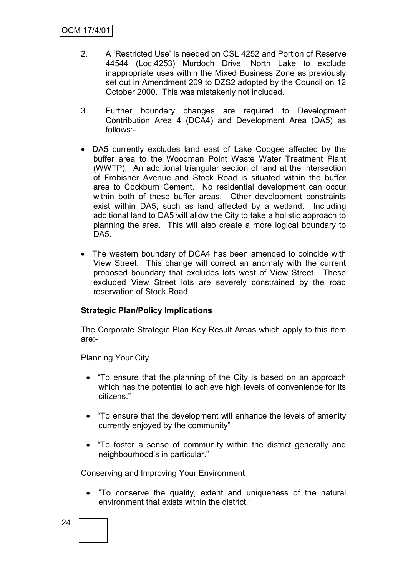- 2. A "Restricted Use" is needed on CSL 4252 and Portion of Reserve 44544 (Loc.4253) Murdoch Drive, North Lake to exclude inappropriate uses within the Mixed Business Zone as previously set out in Amendment 209 to DZS2 adopted by the Council on 12 October 2000. This was mistakenly not included.
- 3. Further boundary changes are required to Development Contribution Area 4 (DCA4) and Development Area (DA5) as follows:-
- DA5 currently excludes land east of Lake Coogee affected by the buffer area to the Woodman Point Waste Water Treatment Plant (WWTP). An additional triangular section of land at the intersection of Frobisher Avenue and Stock Road is situated within the buffer area to Cockburn Cement. No residential development can occur within both of these buffer areas. Other development constraints exist within DA5, such as land affected by a wetland. Including additional land to DA5 will allow the City to take a holistic approach to planning the area. This will also create a more logical boundary to DA5.
- The western boundary of DCA4 has been amended to coincide with View Street. This change will correct an anomaly with the current proposed boundary that excludes lots west of View Street. These excluded View Street lots are severely constrained by the road reservation of Stock Road.

## **Strategic Plan/Policy Implications**

The Corporate Strategic Plan Key Result Areas which apply to this item are:-

Planning Your City

- "To ensure that the planning of the City is based on an approach which has the potential to achieve high levels of convenience for its citizens."
- "To ensure that the development will enhance the levels of amenity currently enjoyed by the community"
- "To foster a sense of community within the district generally and neighbourhood"s in particular."

Conserving and Improving Your Environment

 "To conserve the quality, extent and uniqueness of the natural environment that exists within the district."

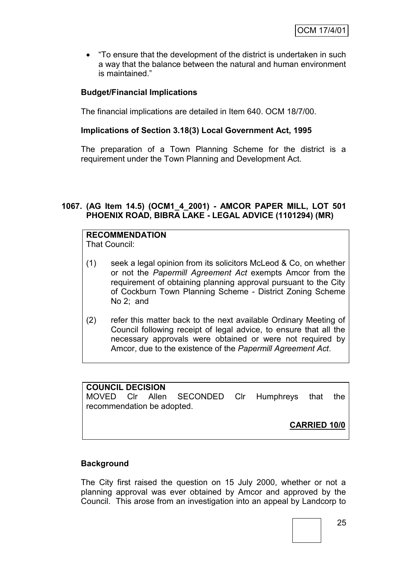"To ensure that the development of the district is undertaken in such a way that the balance between the natural and human environment is maintained."

## **Budget/Financial Implications**

The financial implications are detailed in Item 640. OCM 18/7/00.

## **Implications of Section 3.18(3) Local Government Act, 1995**

The preparation of a Town Planning Scheme for the district is a requirement under the Town Planning and Development Act.

## **1067. (AG Item 14.5) (OCM1\_4\_2001) - AMCOR PAPER MILL, LOT 501 PHOENIX ROAD, BIBRA LAKE - LEGAL ADVICE (1101294) (MR)**

# **RECOMMENDATION**

That Council:

- (1) seek a legal opinion from its solicitors McLeod & Co, on whether or not the *Papermill Agreement Act* exempts Amcor from the requirement of obtaining planning approval pursuant to the City of Cockburn Town Planning Scheme - District Zoning Scheme No 2; and
- (2) refer this matter back to the next available Ordinary Meeting of Council following receipt of legal advice, to ensure that all the necessary approvals were obtained or were not required by Amcor, due to the existence of the *Papermill Agreement Act*.

## **COUNCIL DECISION**

MOVED Clr Allen SECONDED Clr Humphreys that the recommendation be adopted.

**CARRIED 10/0**

## **Background**

The City first raised the question on 15 July 2000, whether or not a planning approval was ever obtained by Amcor and approved by the Council. This arose from an investigation into an appeal by Landcorp to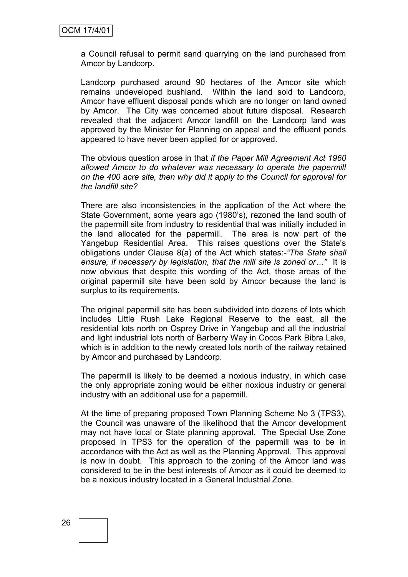a Council refusal to permit sand quarrying on the land purchased from Amcor by Landcorp.

Landcorp purchased around 90 hectares of the Amcor site which remains undeveloped bushland. Within the land sold to Landcorp, Amcor have effluent disposal ponds which are no longer on land owned by Amcor. The City was concerned about future disposal. Research revealed that the adjacent Amcor landfill on the Landcorp land was approved by the Minister for Planning on appeal and the effluent ponds appeared to have never been applied for or approved.

The obvious question arose in that *if the Paper Mill Agreement Act 1960 allowed Amcor to do whatever was necessary to operate the papermill on the 400 acre site, then why did it apply to the Council for approval for the landfill site?* 

There are also inconsistencies in the application of the Act where the State Government, some years ago (1980"s), rezoned the land south of the papermill site from industry to residential that was initially included in the land allocated for the papermill. The area is now part of the Yangebup Residential Area. This raises questions over the State"s obligations under Clause 8(a) of the Act which states:-*"The State shall ensure, if necessary by legislation, that the mill site is zoned or…"* It is now obvious that despite this wording of the Act, those areas of the original papermill site have been sold by Amcor because the land is surplus to its requirements.

The original papermill site has been subdivided into dozens of lots which includes Little Rush Lake Regional Reserve to the east, all the residential lots north on Osprey Drive in Yangebup and all the industrial and light industrial lots north of Barberry Way in Cocos Park Bibra Lake, which is in addition to the newly created lots north of the railway retained by Amcor and purchased by Landcorp.

The papermill is likely to be deemed a noxious industry, in which case the only appropriate zoning would be either noxious industry or general industry with an additional use for a papermill.

At the time of preparing proposed Town Planning Scheme No 3 (TPS3), the Council was unaware of the likelihood that the Amcor development may not have local or State planning approval. The Special Use Zone proposed in TPS3 for the operation of the papermill was to be in accordance with the Act as well as the Planning Approval. This approval is now in doubt. This approach to the zoning of the Amcor land was considered to be in the best interests of Amcor as it could be deemed to be a noxious industry located in a General Industrial Zone.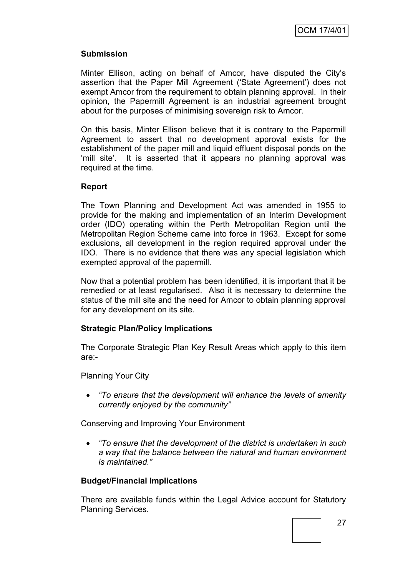## **Submission**

Minter Ellison, acting on behalf of Amcor, have disputed the City"s assertion that the Paper Mill Agreement ("State Agreement") does not exempt Amcor from the requirement to obtain planning approval. In their opinion, the Papermill Agreement is an industrial agreement brought about for the purposes of minimising sovereign risk to Amcor.

On this basis, Minter Ellison believe that it is contrary to the Papermill Agreement to assert that no development approval exists for the establishment of the paper mill and liquid effluent disposal ponds on the 'mill site'. It is asserted that it appears no planning approval was required at the time.

## **Report**

The Town Planning and Development Act was amended in 1955 to provide for the making and implementation of an Interim Development order (IDO) operating within the Perth Metropolitan Region until the Metropolitan Region Scheme came into force in 1963. Except for some exclusions, all development in the region required approval under the IDO. There is no evidence that there was any special legislation which exempted approval of the papermill.

Now that a potential problem has been identified, it is important that it be remedied or at least regularised. Also it is necessary to determine the status of the mill site and the need for Amcor to obtain planning approval for any development on its site.

## **Strategic Plan/Policy Implications**

The Corporate Strategic Plan Key Result Areas which apply to this item are:-

Planning Your City

 *"To ensure that the development will enhance the levels of amenity currently enjoyed by the community"*

Conserving and Improving Your Environment

 *"To ensure that the development of the district is undertaken in such a way that the balance between the natural and human environment is maintained."*

## **Budget/Financial Implications**

There are available funds within the Legal Advice account for Statutory Planning Services.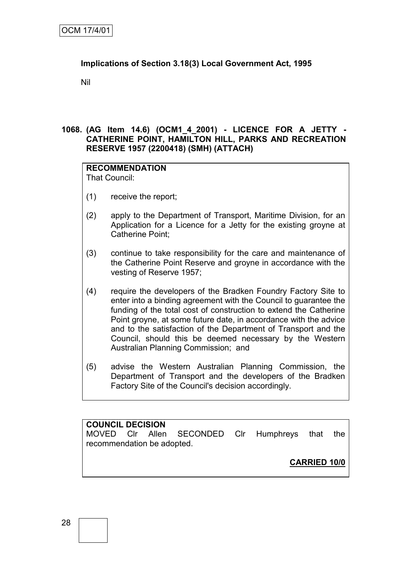## **Implications of Section 3.18(3) Local Government Act, 1995**

Nil

## **1068. (AG Item 14.6) (OCM1\_4\_2001) - LICENCE FOR A JETTY - CATHERINE POINT, HAMILTON HILL, PARKS AND RECREATION RESERVE 1957 (2200418) (SMH) (ATTACH)**

#### **RECOMMENDATION** That Council:

- (1) receive the report;
- (2) apply to the Department of Transport, Maritime Division, for an Application for a Licence for a Jetty for the existing groyne at Catherine Point;
- (3) continue to take responsibility for the care and maintenance of the Catherine Point Reserve and groyne in accordance with the vesting of Reserve 1957;
- (4) require the developers of the Bradken Foundry Factory Site to enter into a binding agreement with the Council to guarantee the funding of the total cost of construction to extend the Catherine Point groyne, at some future date, in accordance with the advice and to the satisfaction of the Department of Transport and the Council, should this be deemed necessary by the Western Australian Planning Commission; and
- (5) advise the Western Australian Planning Commission, the Department of Transport and the developers of the Bradken Factory Site of the Council's decision accordingly.

**COUNCIL DECISION** MOVED Clr Allen SECONDED Clr Humphreys that the recommendation be adopted.

**CARRIED 10/0**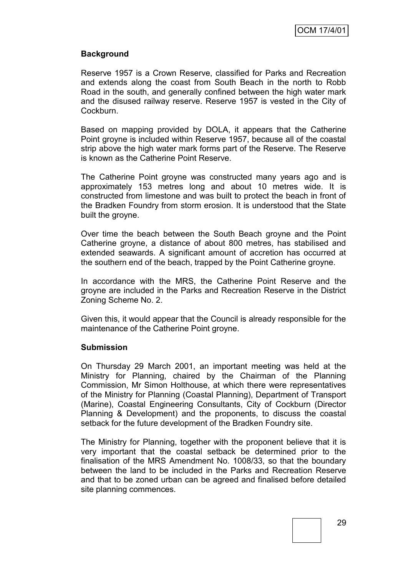## **Background**

Reserve 1957 is a Crown Reserve, classified for Parks and Recreation and extends along the coast from South Beach in the north to Robb Road in the south, and generally confined between the high water mark and the disused railway reserve. Reserve 1957 is vested in the City of Cockburn.

Based on mapping provided by DOLA, it appears that the Catherine Point groyne is included within Reserve 1957, because all of the coastal strip above the high water mark forms part of the Reserve. The Reserve is known as the Catherine Point Reserve.

The Catherine Point groyne was constructed many years ago and is approximately 153 metres long and about 10 metres wide. It is constructed from limestone and was built to protect the beach in front of the Bradken Foundry from storm erosion. It is understood that the State built the groyne.

Over time the beach between the South Beach groyne and the Point Catherine groyne, a distance of about 800 metres, has stabilised and extended seawards. A significant amount of accretion has occurred at the southern end of the beach, trapped by the Point Catherine groyne.

In accordance with the MRS, the Catherine Point Reserve and the groyne are included in the Parks and Recreation Reserve in the District Zoning Scheme No. 2.

Given this, it would appear that the Council is already responsible for the maintenance of the Catherine Point groyne.

## **Submission**

On Thursday 29 March 2001, an important meeting was held at the Ministry for Planning, chaired by the Chairman of the Planning Commission, Mr Simon Holthouse, at which there were representatives of the Ministry for Planning (Coastal Planning), Department of Transport (Marine), Coastal Engineering Consultants, City of Cockburn (Director Planning & Development) and the proponents, to discuss the coastal setback for the future development of the Bradken Foundry site.

The Ministry for Planning, together with the proponent believe that it is very important that the coastal setback be determined prior to the finalisation of the MRS Amendment No. 1008/33, so that the boundary between the land to be included in the Parks and Recreation Reserve and that to be zoned urban can be agreed and finalised before detailed site planning commences.

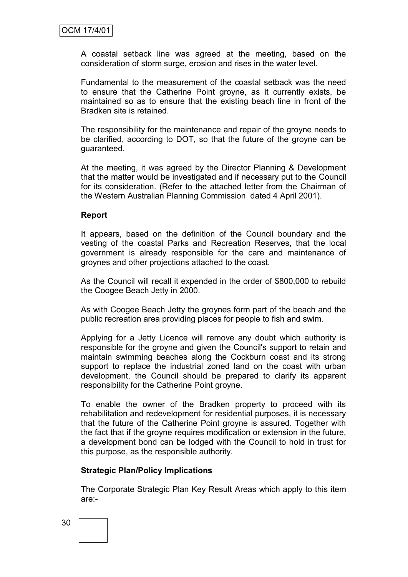A coastal setback line was agreed at the meeting, based on the consideration of storm surge, erosion and rises in the water level.

Fundamental to the measurement of the coastal setback was the need to ensure that the Catherine Point groyne, as it currently exists, be maintained so as to ensure that the existing beach line in front of the Bradken site is retained.

The responsibility for the maintenance and repair of the groyne needs to be clarified, according to DOT, so that the future of the groyne can be guaranteed.

At the meeting, it was agreed by the Director Planning & Development that the matter would be investigated and if necessary put to the Council for its consideration. (Refer to the attached letter from the Chairman of the Western Australian Planning Commission dated 4 April 2001).

## **Report**

It appears, based on the definition of the Council boundary and the vesting of the coastal Parks and Recreation Reserves, that the local government is already responsible for the care and maintenance of groynes and other projections attached to the coast.

As the Council will recall it expended in the order of \$800,000 to rebuild the Coogee Beach Jetty in 2000.

As with Coogee Beach Jetty the groynes form part of the beach and the public recreation area providing places for people to fish and swim.

Applying for a Jetty Licence will remove any doubt which authority is responsible for the groyne and given the Council's support to retain and maintain swimming beaches along the Cockburn coast and its strong support to replace the industrial zoned land on the coast with urban development, the Council should be prepared to clarify its apparent responsibility for the Catherine Point groyne.

To enable the owner of the Bradken property to proceed with its rehabilitation and redevelopment for residential purposes, it is necessary that the future of the Catherine Point groyne is assured. Together with the fact that if the groyne requires modification or extension in the future, a development bond can be lodged with the Council to hold in trust for this purpose, as the responsible authority.

#### **Strategic Plan/Policy Implications**

The Corporate Strategic Plan Key Result Areas which apply to this item are:-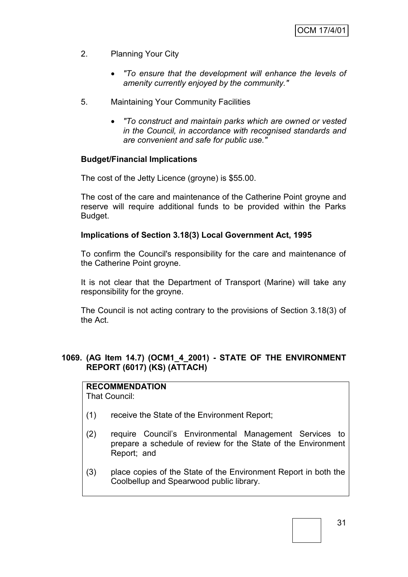- 2. Planning Your City
	- *"To ensure that the development will enhance the levels of amenity currently enjoyed by the community."*
- 5. Maintaining Your Community Facilities
	- *"To construct and maintain parks which are owned or vested in the Council, in accordance with recognised standards and are convenient and safe for public use."*

## **Budget/Financial Implications**

The cost of the Jetty Licence (groyne) is \$55.00.

The cost of the care and maintenance of the Catherine Point groyne and reserve will require additional funds to be provided within the Parks Budget.

#### **Implications of Section 3.18(3) Local Government Act, 1995**

To confirm the Council's responsibility for the care and maintenance of the Catherine Point groyne.

It is not clear that the Department of Transport (Marine) will take any responsibility for the groyne.

The Council is not acting contrary to the provisions of Section 3.18(3) of the Act.

## **1069. (AG Item 14.7) (OCM1\_4\_2001) - STATE OF THE ENVIRONMENT REPORT (6017) (KS) (ATTACH)**

## **RECOMMENDATION**

That Council:

- (1) receive the State of the Environment Report;
- (2) require Council"s Environmental Management Services to prepare a schedule of review for the State of the Environment Report; and
- (3) place copies of the State of the Environment Report in both the Coolbellup and Spearwood public library.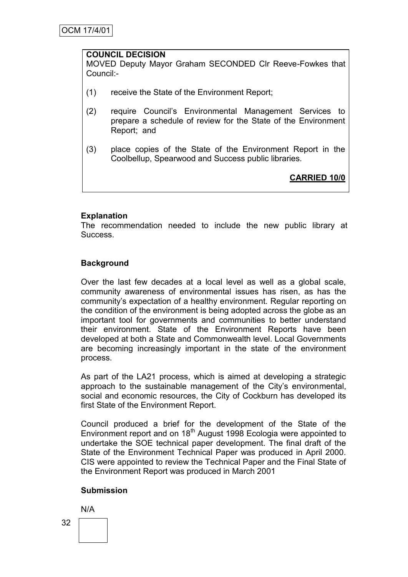#### **COUNCIL DECISION**

MOVED Deputy Mayor Graham SECONDED Clr Reeve-Fowkes that Council:-

- (1) receive the State of the Environment Report;
- (2) require Council"s Environmental Management Services to prepare a schedule of review for the State of the Environment Report; and
- (3) place copies of the State of the Environment Report in the Coolbellup, Spearwood and Success public libraries.

**CARRIED 10/0**

## **Explanation**

The recommendation needed to include the new public library at Success.

## **Background**

Over the last few decades at a local level as well as a global scale, community awareness of environmental issues has risen, as has the community"s expectation of a healthy environment. Regular reporting on the condition of the environment is being adopted across the globe as an important tool for governments and communities to better understand their environment. State of the Environment Reports have been developed at both a State and Commonwealth level. Local Governments are becoming increasingly important in the state of the environment process.

As part of the LA21 process, which is aimed at developing a strategic approach to the sustainable management of the City's environmental, social and economic resources, the City of Cockburn has developed its first State of the Environment Report.

Council produced a brief for the development of the State of the Environment report and on  $18<sup>th</sup>$  August 1998 Ecologia were appointed to undertake the SOE technical paper development. The final draft of the State of the Environment Technical Paper was produced in April 2000. CIS were appointed to review the Technical Paper and the Final State of the Environment Report was produced in March 2001

## **Submission**

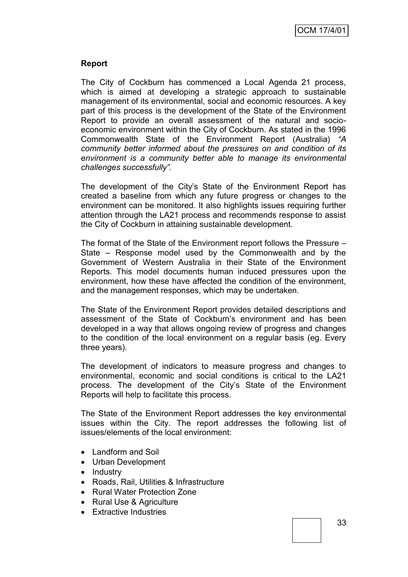## **Report**

The City of Cockburn has commenced a Local Agenda 21 process, which is aimed at developing a strategic approach to sustainable management of its environmental, social and economic resources. A key part of this process is the development of the State of the Environment Report to provide an overall assessment of the natural and socioeconomic environment within the City of Cockburn. As stated in the 1996 Commonwealth State of the Environment Report (Australia) *"A community better informed about the pressures on and condition of its environment is a community better able to manage its environmental challenges successfully".* 

The development of the City"s State of the Environment Report has created a baseline from which any future progress or changes to the environment can be monitored. It also highlights issues requiring further attention through the LA21 process and recommends response to assist the City of Cockburn in attaining sustainable development.

The format of the State of the Environment report follows the Pressure – State – Response model used by the Commonwealth and by the Government of Western Australia in their State of the Environment Reports. This model documents human induced pressures upon the environment, how these have affected the condition of the environment, and the management responses, which may be undertaken.

The State of the Environment Report provides detailed descriptions and assessment of the State of Cockburn"s environment and has been developed in a way that allows ongoing review of progress and changes to the condition of the local environment on a regular basis (eg. Every three years).

The development of indicators to measure progress and changes to environmental, economic and social conditions is critical to the LA21 process. The development of the City"s State of the Environment Reports will help to facilitate this process.

The State of the Environment Report addresses the key environmental issues within the City. The report addresses the following list of issues/elements of the local environment:

- Landform and Soil
- Urban Development
- Industry
- Roads, Rail, Utilities & Infrastructure
- Rural Water Protection Zone
- Rural Use & Agriculture
- Extractive Industries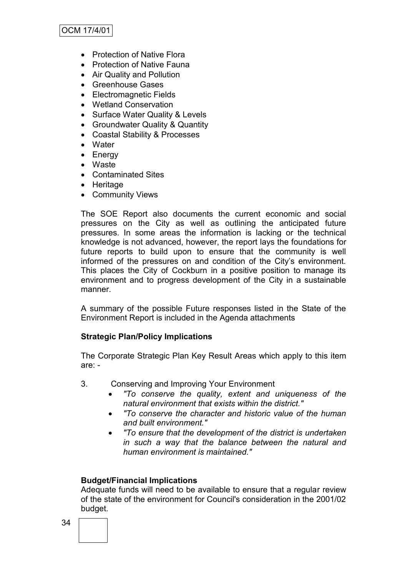# OCM 17/4/01

- Protection of Native Flora
- Protection of Native Fauna
- Air Quality and Pollution
- Greenhouse Gases
- Electromagnetic Fields
- Wetland Conservation
- Surface Water Quality & Levels
- Groundwater Quality & Quantity
- Coastal Stability & Processes
- Water
- Energy
- Waste
- Contaminated Sites
- Heritage
- Community Views

The SOE Report also documents the current economic and social pressures on the City as well as outlining the anticipated future pressures. In some areas the information is lacking or the technical knowledge is not advanced, however, the report lays the foundations for future reports to build upon to ensure that the community is well informed of the pressures on and condition of the City"s environment. This places the City of Cockburn in a positive position to manage its environment and to progress development of the City in a sustainable manner.

A summary of the possible Future responses listed in the State of the Environment Report is included in the Agenda attachments

#### **Strategic Plan/Policy Implications**

The Corporate Strategic Plan Key Result Areas which apply to this item are: -

- 3. Conserving and Improving Your Environment
	- *"To conserve the quality, extent and uniqueness of the natural environment that exists within the district."*
	- *"To conserve the character and historic value of the human and built environment."*
	- *"To ensure that the development of the district is undertaken in such a way that the balance between the natural and human environment is maintained."*

#### **Budget/Financial Implications**

Adequate funds will need to be available to ensure that a regular review of the state of the environment for Council's consideration in the 2001/02 budget.

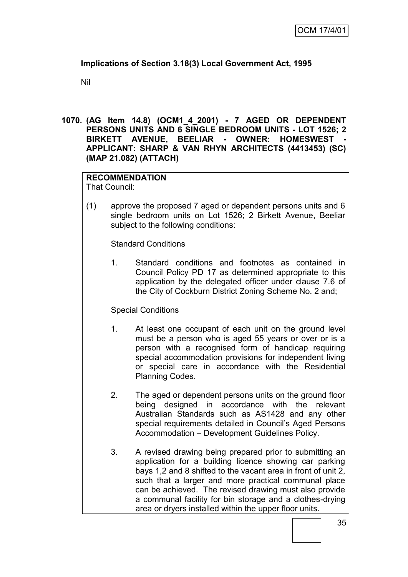# **Implications of Section 3.18(3) Local Government Act, 1995**

Nil

**1070. (AG Item 14.8) (OCM1\_4\_2001) - 7 AGED OR DEPENDENT PERSONS UNITS AND 6 SINGLE BEDROOM UNITS - LOT 1526; 2 BIRKETT AVENUE, BEELIAR - OWNER: HOMESWEST - APPLICANT: SHARP & VAN RHYN ARCHITECTS (4413453) (SC) (MAP 21.082) (ATTACH)**

# **RECOMMENDATION**

That Council:

(1) approve the proposed 7 aged or dependent persons units and 6 single bedroom units on Lot 1526; 2 Birkett Avenue, Beeliar subject to the following conditions:

Standard Conditions

1. Standard conditions and footnotes as contained in Council Policy PD 17 as determined appropriate to this application by the delegated officer under clause 7.6 of the City of Cockburn District Zoning Scheme No. 2 and;

### Special Conditions

- 1. At least one occupant of each unit on the ground level must be a person who is aged 55 years or over or is a person with a recognised form of handicap requiring special accommodation provisions for independent living or special care in accordance with the Residential Planning Codes.
- 2. The aged or dependent persons units on the ground floor being designed in accordance with the relevant Australian Standards such as AS1428 and any other special requirements detailed in Council's Aged Persons Accommodation – Development Guidelines Policy.
- 3. A revised drawing being prepared prior to submitting an application for a building licence showing car parking bays 1,2 and 8 shifted to the vacant area in front of unit 2, such that a larger and more practical communal place can be achieved. The revised drawing must also provide a communal facility for bin storage and a clothes-drying area or dryers installed within the upper floor units.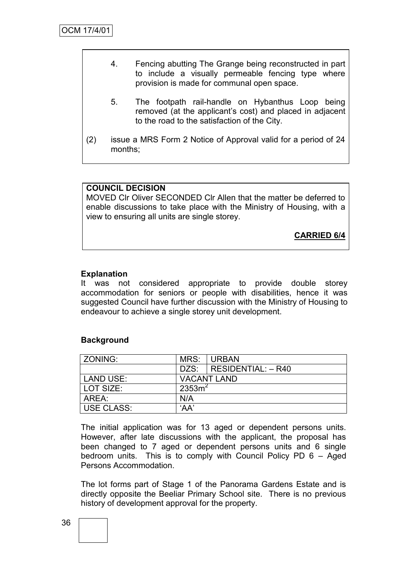- 4. Fencing abutting The Grange being reconstructed in part to include a visually permeable fencing type where provision is made for communal open space.
	- 5. The footpath rail-handle on Hybanthus Loop being removed (at the applicant"s cost) and placed in adjacent to the road to the satisfaction of the City.
- (2) issue a MRS Form 2 Notice of Approval valid for a period of 24 months;

# **COUNCIL DECISION**

MOVED Clr Oliver SECONDED Clr Allen that the matter be deferred to enable discussions to take place with the Ministry of Housing, with a view to ensuring all units are single storey.

**CARRIED 6/4**

### **Explanation**

It was not considered appropriate to provide double storey accommodation for seniors or people with disabilities, hence it was suggested Council have further discussion with the Ministry of Housing to endeavour to achieve a single storey unit development.

### **Background**

| ZONING:           | MRS:               | <b>URBAN</b>              |  |
|-------------------|--------------------|---------------------------|--|
|                   |                    | DZS:   RESIDENTIAL: - R40 |  |
| LAND USE:         | <b>VACANT LAND</b> |                           |  |
| l LOT SIZE:       | 2353m <sup>2</sup> |                           |  |
| AREA:             | N/A                |                           |  |
| <b>USE CLASS:</b> | 'AA'               |                           |  |

The initial application was for 13 aged or dependent persons units. However, after late discussions with the applicant, the proposal has been changed to 7 aged or dependent persons units and 6 single bedroom units. This is to comply with Council Policy PD 6 – Aged Persons Accommodation.

The lot forms part of Stage 1 of the Panorama Gardens Estate and is directly opposite the Beeliar Primary School site. There is no previous history of development approval for the property.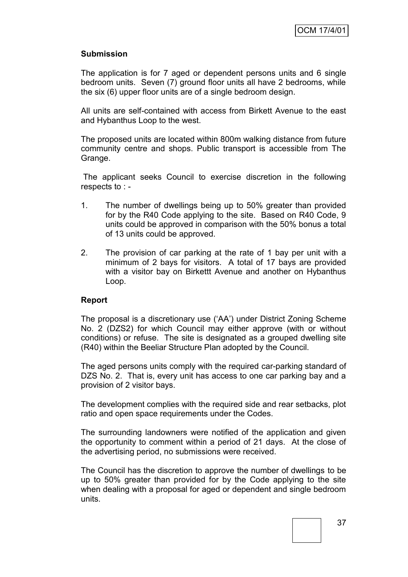## **Submission**

The application is for 7 aged or dependent persons units and 6 single bedroom units. Seven (7) ground floor units all have 2 bedrooms, while the six (6) upper floor units are of a single bedroom design.

All units are self-contained with access from Birkett Avenue to the east and Hybanthus Loop to the west.

The proposed units are located within 800m walking distance from future community centre and shops. Public transport is accessible from The Grange.

The applicant seeks Council to exercise discretion in the following respects to : -

- 1. The number of dwellings being up to 50% greater than provided for by the R40 Code applying to the site. Based on R40 Code, 9 units could be approved in comparison with the 50% bonus a total of 13 units could be approved.
- 2. The provision of car parking at the rate of 1 bay per unit with a minimum of 2 bays for visitors. A total of 17 bays are provided with a visitor bay on Birkettt Avenue and another on Hybanthus Loop.

### **Report**

The proposal is a discretionary use ("AA") under District Zoning Scheme No. 2 (DZS2) for which Council may either approve (with or without conditions) or refuse. The site is designated as a grouped dwelling site (R40) within the Beeliar Structure Plan adopted by the Council.

The aged persons units comply with the required car-parking standard of DZS No. 2. That is, every unit has access to one car parking bay and a provision of 2 visitor bays.

The development complies with the required side and rear setbacks, plot ratio and open space requirements under the Codes.

The surrounding landowners were notified of the application and given the opportunity to comment within a period of 21 days. At the close of the advertising period, no submissions were received.

The Council has the discretion to approve the number of dwellings to be up to 50% greater than provided for by the Code applying to the site when dealing with a proposal for aged or dependent and single bedroom units.

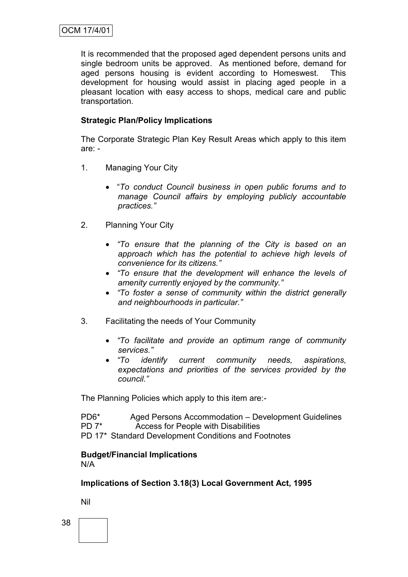It is recommended that the proposed aged dependent persons units and single bedroom units be approved. As mentioned before, demand for aged persons housing is evident according to Homeswest. This development for housing would assist in placing aged people in a pleasant location with easy access to shops, medical care and public transportation.

# **Strategic Plan/Policy Implications**

The Corporate Strategic Plan Key Result Areas which apply to this item are: -

- 1. Managing Your City
	- "*To conduct Council business in open public forums and to manage Council affairs by employing publicly accountable practices."*
- 2. Planning Your City
	- *"To ensure that the planning of the City is based on an approach which has the potential to achieve high levels of convenience for its citizens."*
	- *"To ensure that the development will enhance the levels of amenity currently enjoyed by the community."*
	- *"To foster a sense of community within the district generally and neighbourhoods in particular."*
- 3. Facilitating the needs of Your Community
	- *"To facilitate and provide an optimum range of community services."*
	- *"To identify current community needs, aspirations, expectations and priorities of the services provided by the council."*

The Planning Policies which apply to this item are:-

| PD <sub>6</sub> * | Aged Persons Accommodation – Development Guidelines  |
|-------------------|------------------------------------------------------|
| $PD 7^*$          | Access for People with Disabilities                  |
|                   | PD 17* Standard Development Conditions and Footnotes |

**Budget/Financial Implications** N/A

**Implications of Section 3.18(3) Local Government Act, 1995**

Nil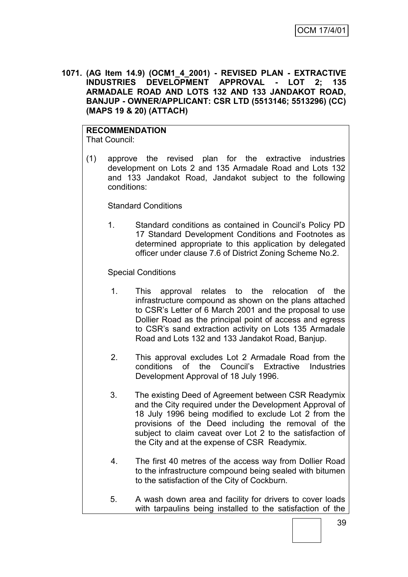**1071. (AG Item 14.9) (OCM1\_4\_2001) - REVISED PLAN - EXTRACTIVE INDUSTRIES DEVELOPMENT APPROVAL - LOT 2; 135 ARMADALE ROAD AND LOTS 132 AND 133 JANDAKOT ROAD, BANJUP - OWNER/APPLICANT: CSR LTD (5513146; 5513296) (CC) (MAPS 19 & 20) (ATTACH)**

## **RECOMMENDATION**

That Council:

(1) approve the revised plan for the extractive industries development on Lots 2 and 135 Armadale Road and Lots 132 and 133 Jandakot Road, Jandakot subject to the following conditions:

Standard Conditions

1. Standard conditions as contained in Council"s Policy PD 17 Standard Development Conditions and Footnotes as determined appropriate to this application by delegated officer under clause 7.6 of District Zoning Scheme No.2.

Special Conditions

- 1. This approval relates to the relocation of the infrastructure compound as shown on the plans attached to CSR"s Letter of 6 March 2001 and the proposal to use Dollier Road as the principal point of access and egress to CSR"s sand extraction activity on Lots 135 Armadale Road and Lots 132 and 133 Jandakot Road, Banjup.
- 2. This approval excludes Lot 2 Armadale Road from the conditions of the Council"s Extractive Industries Development Approval of 18 July 1996.
- 3. The existing Deed of Agreement between CSR Readymix and the City required under the Development Approval of 18 July 1996 being modified to exclude Lot 2 from the provisions of the Deed including the removal of the subject to claim caveat over Lot 2 to the satisfaction of the City and at the expense of CSR Readymix.
- 4. The first 40 metres of the access way from Dollier Road to the infrastructure compound being sealed with bitumen to the satisfaction of the City of Cockburn.
- 5. A wash down area and facility for drivers to cover loads with tarpaulins being installed to the satisfaction of the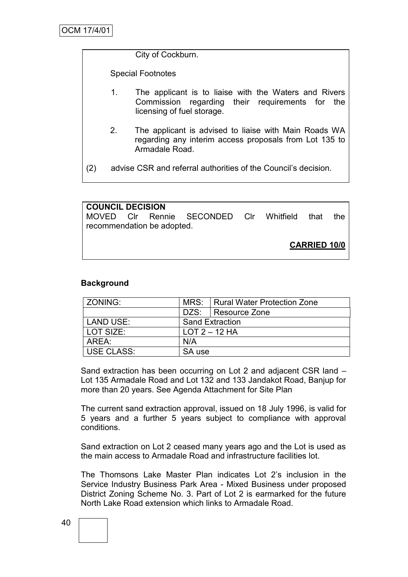City of Cockburn.

Special Footnotes

- 1. The applicant is to liaise with the Waters and Rivers Commission regarding their requirements for the licensing of fuel storage.
- 2. The applicant is advised to liaise with Main Roads WA regarding any interim access proposals from Lot 135 to Armadale Road.

(2) advise CSR and referral authorities of the Council"s decision.

| <b>COUNCIL DECISION</b>    |  |  |                                              |  |  |  |     |
|----------------------------|--|--|----------------------------------------------|--|--|--|-----|
|                            |  |  | MOVED CIr Rennie SECONDED CIr Whitfield that |  |  |  | the |
| recommendation be adopted. |  |  |                                              |  |  |  |     |
|                            |  |  |                                              |  |  |  |     |
| <b>CARRIED 10/0</b>        |  |  |                                              |  |  |  |     |

### **Background**

| ZONING:           |                        | MRS:   Rural Water Protection Zone |  |
|-------------------|------------------------|------------------------------------|--|
|                   | DZS:   Resource Zone   |                                    |  |
| LAND USE:         | <b>Sand Extraction</b> |                                    |  |
| LOT SIZE:         | $LOT 2 - 12 HA$        |                                    |  |
| AREA:             | N/A                    |                                    |  |
| <b>USE CLASS:</b> | SA use                 |                                    |  |

Sand extraction has been occurring on Lot 2 and adjacent CSR land – Lot 135 Armadale Road and Lot 132 and 133 Jandakot Road, Banjup for more than 20 years. See Agenda Attachment for Site Plan

The current sand extraction approval, issued on 18 July 1996, is valid for 5 years and a further 5 years subject to compliance with approval conditions.

Sand extraction on Lot 2 ceased many years ago and the Lot is used as the main access to Armadale Road and infrastructure facilities lot.

The Thomsons Lake Master Plan indicates Lot 2"s inclusion in the Service Industry Business Park Area - Mixed Business under proposed District Zoning Scheme No. 3. Part of Lot 2 is earmarked for the future North Lake Road extension which links to Armadale Road.

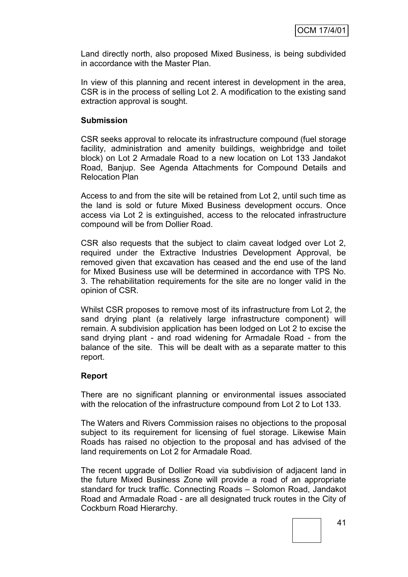Land directly north, also proposed Mixed Business, is being subdivided in accordance with the Master Plan.

In view of this planning and recent interest in development in the area, CSR is in the process of selling Lot 2. A modification to the existing sand extraction approval is sought.

#### **Submission**

CSR seeks approval to relocate its infrastructure compound (fuel storage facility, administration and amenity buildings, weighbridge and toilet block) on Lot 2 Armadale Road to a new location on Lot 133 Jandakot Road, Banjup. See Agenda Attachments for Compound Details and Relocation Plan

Access to and from the site will be retained from Lot 2, until such time as the land is sold or future Mixed Business development occurs. Once access via Lot 2 is extinguished, access to the relocated infrastructure compound will be from Dollier Road.

CSR also requests that the subject to claim caveat lodged over Lot 2, required under the Extractive Industries Development Approval, be removed given that excavation has ceased and the end use of the land for Mixed Business use will be determined in accordance with TPS No. 3. The rehabilitation requirements for the site are no longer valid in the opinion of CSR.

Whilst CSR proposes to remove most of its infrastructure from Lot 2, the sand drying plant (a relatively large infrastructure component) will remain. A subdivision application has been lodged on Lot 2 to excise the sand drying plant - and road widening for Armadale Road - from the balance of the site. This will be dealt with as a separate matter to this report.

### **Report**

There are no significant planning or environmental issues associated with the relocation of the infrastructure compound from Lot 2 to Lot 133.

The Waters and Rivers Commission raises no objections to the proposal subject to its requirement for licensing of fuel storage. Likewise Main Roads has raised no objection to the proposal and has advised of the land requirements on Lot 2 for Armadale Road.

The recent upgrade of Dollier Road via subdivision of adjacent land in the future Mixed Business Zone will provide a road of an appropriate standard for truck traffic. Connecting Roads – Solomon Road, Jandakot Road and Armadale Road - are all designated truck routes in the City of Cockburn Road Hierarchy.

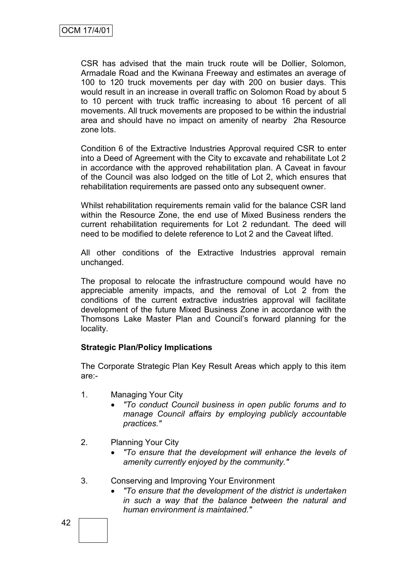CSR has advised that the main truck route will be Dollier, Solomon, Armadale Road and the Kwinana Freeway and estimates an average of 100 to 120 truck movements per day with 200 on busier days. This would result in an increase in overall traffic on Solomon Road by about 5 to 10 percent with truck traffic increasing to about 16 percent of all movements. All truck movements are proposed to be within the industrial area and should have no impact on amenity of nearby 2ha Resource zone lots.

Condition 6 of the Extractive Industries Approval required CSR to enter into a Deed of Agreement with the City to excavate and rehabilitate Lot 2 in accordance with the approved rehabilitation plan. A Caveat in favour of the Council was also lodged on the title of Lot 2, which ensures that rehabilitation requirements are passed onto any subsequent owner.

Whilst rehabilitation requirements remain valid for the balance CSR land within the Resource Zone, the end use of Mixed Business renders the current rehabilitation requirements for Lot 2 redundant. The deed will need to be modified to delete reference to Lot 2 and the Caveat lifted.

All other conditions of the Extractive Industries approval remain unchanged.

The proposal to relocate the infrastructure compound would have no appreciable amenity impacts, and the removal of Lot 2 from the conditions of the current extractive industries approval will facilitate development of the future Mixed Business Zone in accordance with the Thomsons Lake Master Plan and Council"s forward planning for the locality.

### **Strategic Plan/Policy Implications**

The Corporate Strategic Plan Key Result Areas which apply to this item are:-

- 1. Managing Your City
	- *"To conduct Council business in open public forums and to manage Council affairs by employing publicly accountable practices."*
- 2. Planning Your City
	- *"To ensure that the development will enhance the levels of amenity currently enjoyed by the community."*
- 3. Conserving and Improving Your Environment
	- *"To ensure that the development of the district is undertaken in such a way that the balance between the natural and human environment is maintained."*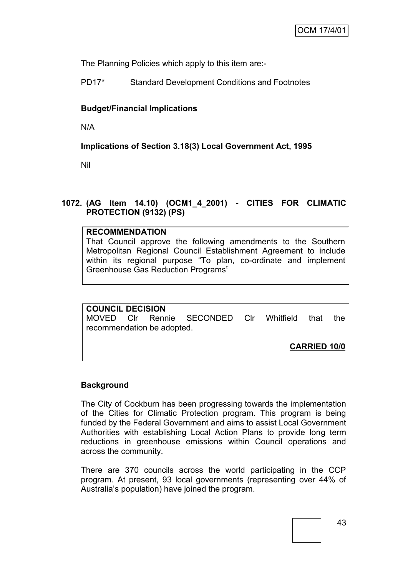The Planning Policies which apply to this item are:-

PD17\* Standard Development Conditions and Footnotes

# **Budget/Financial Implications**

N/A

**Implications of Section 3.18(3) Local Government Act, 1995**

Nil

# **1072. (AG Item 14.10) (OCM1\_4\_2001) - CITIES FOR CLIMATIC PROTECTION (9132) (PS)**

### **RECOMMENDATION**

That Council approve the following amendments to the Southern Metropolitan Regional Council Establishment Agreement to include within its regional purpose "To plan, co-ordinate and implement Greenhouse Gas Reduction Programs"

# **COUNCIL DECISION**

MOVED Clr Rennie SECONDED Clr Whitfield that the recommendation be adopted.

**CARRIED 10/0**

### **Background**

The City of Cockburn has been progressing towards the implementation of the Cities for Climatic Protection program. This program is being funded by the Federal Government and aims to assist Local Government Authorities with establishing Local Action Plans to provide long term reductions in greenhouse emissions within Council operations and across the community.

There are 370 councils across the world participating in the CCP program. At present, 93 local governments (representing over 44% of Australia"s population) have joined the program.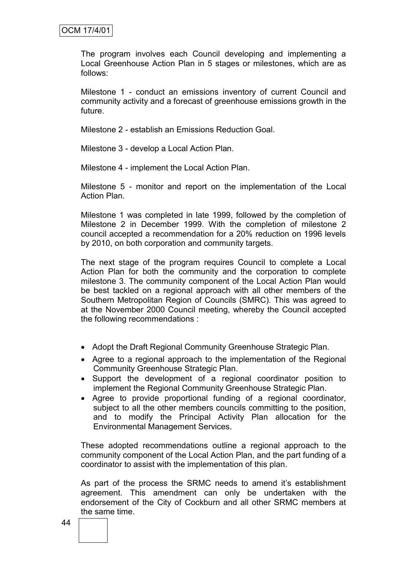The program involves each Council developing and implementing a Local Greenhouse Action Plan in 5 stages or milestones, which are as follows:

Milestone 1 - conduct an emissions inventory of current Council and community activity and a forecast of greenhouse emissions growth in the future.

Milestone 2 - establish an Emissions Reduction Goal.

Milestone 3 - develop a Local Action Plan.

Milestone 4 - implement the Local Action Plan.

Milestone 5 - monitor and report on the implementation of the Local Action Plan.

Milestone 1 was completed in late 1999, followed by the completion of Milestone 2 in December 1999. With the completion of milestone 2 council accepted a recommendation for a 20% reduction on 1996 levels by 2010, on both corporation and community targets.

The next stage of the program requires Council to complete a Local Action Plan for both the community and the corporation to complete milestone 3. The community component of the Local Action Plan would be best tackled on a regional approach with all other members of the Southern Metropolitan Region of Councils (SMRC). This was agreed to at the November 2000 Council meeting, whereby the Council accepted the following recommendations :

- Adopt the Draft Regional Community Greenhouse Strategic Plan.
- Agree to a regional approach to the implementation of the Regional Community Greenhouse Strategic Plan.
- Support the development of a regional coordinator position to implement the Regional Community Greenhouse Strategic Plan.
- Agree to provide proportional funding of a regional coordinator, subject to all the other members councils committing to the position, and to modify the Principal Activity Plan allocation for the Environmental Management Services.

These adopted recommendations outline a regional approach to the community component of the Local Action Plan, and the part funding of a coordinator to assist with the implementation of this plan.

As part of the process the SRMC needs to amend it's establishment agreement. This amendment can only be undertaken with the endorsement of the City of Cockburn and all other SRMC members at the same time.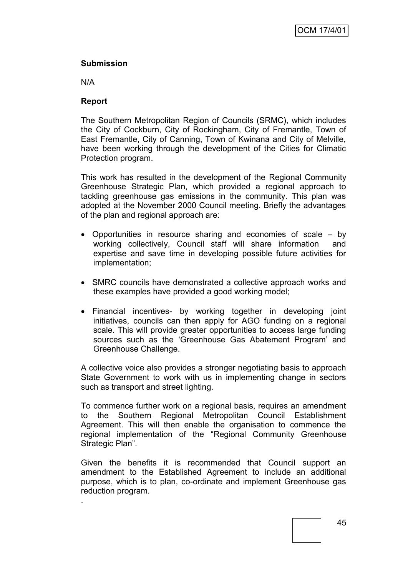## **Submission**

N/A

.

## **Report**

The Southern Metropolitan Region of Councils (SRMC), which includes the City of Cockburn, City of Rockingham, City of Fremantle, Town of East Fremantle, City of Canning, Town of Kwinana and City of Melville, have been working through the development of the Cities for Climatic Protection program.

This work has resulted in the development of the Regional Community Greenhouse Strategic Plan, which provided a regional approach to tackling greenhouse gas emissions in the community. This plan was adopted at the November 2000 Council meeting. Briefly the advantages of the plan and regional approach are:

- Opportunities in resource sharing and economies of scale by working collectively, Council staff will share information and expertise and save time in developing possible future activities for implementation;
- SMRC councils have demonstrated a collective approach works and these examples have provided a good working model;
- Financial incentives- by working together in developing joint initiatives, councils can then apply for AGO funding on a regional scale. This will provide greater opportunities to access large funding sources such as the 'Greenhouse Gas Abatement Program' and Greenhouse Challenge.

A collective voice also provides a stronger negotiating basis to approach State Government to work with us in implementing change in sectors such as transport and street lighting.

To commence further work on a regional basis, requires an amendment to the Southern Regional Metropolitan Council Establishment Agreement. This will then enable the organisation to commence the regional implementation of the "Regional Community Greenhouse Strategic Plan".

Given the benefits it is recommended that Council support an amendment to the Established Agreement to include an additional purpose, which is to plan, co-ordinate and implement Greenhouse gas reduction program.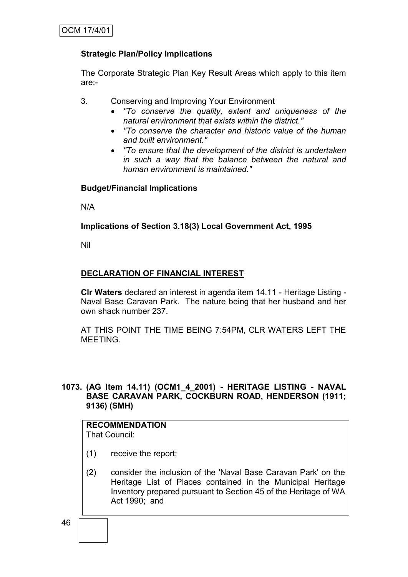# **Strategic Plan/Policy Implications**

The Corporate Strategic Plan Key Result Areas which apply to this item are:-

3. Conserving and Improving Your Environment

- *"To conserve the quality, extent and uniqueness of the natural environment that exists within the district."*
- *"To conserve the character and historic value of the human and built environment."*
- *"To ensure that the development of the district is undertaken in such a way that the balance between the natural and human environment is maintained."*

# **Budget/Financial Implications**

N/A

# **Implications of Section 3.18(3) Local Government Act, 1995**

Nil

# **DECLARATION OF FINANCIAL INTEREST**

**Clr Waters** declared an interest in agenda item 14.11 - Heritage Listing - Naval Base Caravan Park. The nature being that her husband and her own shack number 237.

AT THIS POINT THE TIME BEING 7:54PM, CLR WATERS LEFT THE MEETING.

### **1073. (AG Item 14.11) (OCM1\_4\_2001) - HERITAGE LISTING - NAVAL BASE CARAVAN PARK, COCKBURN ROAD, HENDERSON (1911; 9136) (SMH)**

#### **RECOMMENDATION** That Council:

- (1) receive the report;
- (2) consider the inclusion of the 'Naval Base Caravan Park' on the Heritage List of Places contained in the Municipal Heritage Inventory prepared pursuant to Section 45 of the Heritage of WA Act 1990; and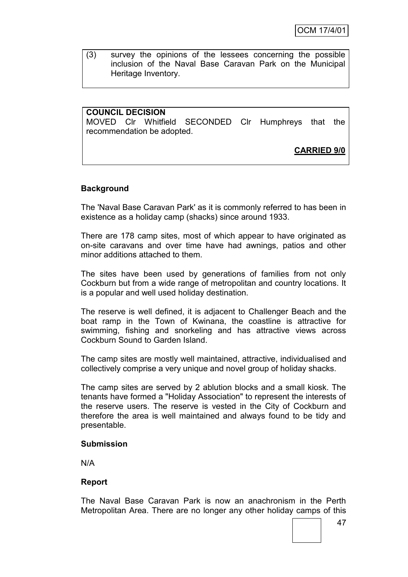(3) survey the opinions of the lessees concerning the possible inclusion of the Naval Base Caravan Park on the Municipal Heritage Inventory.

## **COUNCIL DECISION**

MOVED Clr Whitfield SECONDED Clr Humphreys that the recommendation be adopted.

**CARRIED 9/0**

### **Background**

The 'Naval Base Caravan Park' as it is commonly referred to has been in existence as a holiday camp (shacks) since around 1933.

There are 178 camp sites, most of which appear to have originated as on-site caravans and over time have had awnings, patios and other minor additions attached to them.

The sites have been used by generations of families from not only Cockburn but from a wide range of metropolitan and country locations. It is a popular and well used holiday destination.

The reserve is well defined, it is adjacent to Challenger Beach and the boat ramp in the Town of Kwinana, the coastline is attractive for swimming, fishing and snorkeling and has attractive views across Cockburn Sound to Garden Island.

The camp sites are mostly well maintained, attractive, individualised and collectively comprise a very unique and novel group of holiday shacks.

The camp sites are served by 2 ablution blocks and a small kiosk. The tenants have formed a "Holiday Association" to represent the interests of the reserve users. The reserve is vested in the City of Cockburn and therefore the area is well maintained and always found to be tidy and presentable.

#### **Submission**

N/A

#### **Report**

The Naval Base Caravan Park is now an anachronism in the Perth Metropolitan Area. There are no longer any other holiday camps of this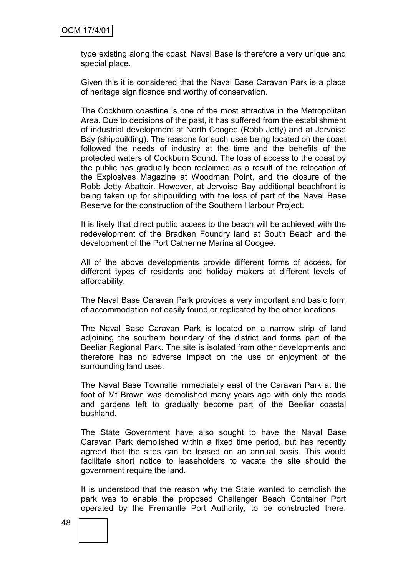type existing along the coast. Naval Base is therefore a very unique and special place.

Given this it is considered that the Naval Base Caravan Park is a place of heritage significance and worthy of conservation.

The Cockburn coastline is one of the most attractive in the Metropolitan Area. Due to decisions of the past, it has suffered from the establishment of industrial development at North Coogee (Robb Jetty) and at Jervoise Bay (shipbuilding). The reasons for such uses being located on the coast followed the needs of industry at the time and the benefits of the protected waters of Cockburn Sound. The loss of access to the coast by the public has gradually been reclaimed as a result of the relocation of the Explosives Magazine at Woodman Point, and the closure of the Robb Jetty Abattoir. However, at Jervoise Bay additional beachfront is being taken up for shipbuilding with the loss of part of the Naval Base Reserve for the construction of the Southern Harbour Project.

It is likely that direct public access to the beach will be achieved with the redevelopment of the Bradken Foundry land at South Beach and the development of the Port Catherine Marina at Coogee.

All of the above developments provide different forms of access, for different types of residents and holiday makers at different levels of affordability.

The Naval Base Caravan Park provides a very important and basic form of accommodation not easily found or replicated by the other locations.

The Naval Base Caravan Park is located on a narrow strip of land adjoining the southern boundary of the district and forms part of the Beeliar Regional Park. The site is isolated from other developments and therefore has no adverse impact on the use or enjoyment of the surrounding land uses.

The Naval Base Townsite immediately east of the Caravan Park at the foot of Mt Brown was demolished many years ago with only the roads and gardens left to gradually become part of the Beeliar coastal bushland.

The State Government have also sought to have the Naval Base Caravan Park demolished within a fixed time period, but has recently agreed that the sites can be leased on an annual basis. This would facilitate short notice to leaseholders to vacate the site should the government require the land.

It is understood that the reason why the State wanted to demolish the park was to enable the proposed Challenger Beach Container Port operated by the Fremantle Port Authority, to be constructed there.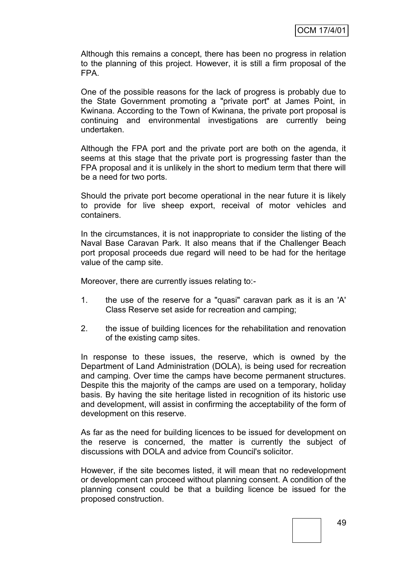Although this remains a concept, there has been no progress in relation to the planning of this project. However, it is still a firm proposal of the FPA.

One of the possible reasons for the lack of progress is probably due to the State Government promoting a "private port" at James Point, in Kwinana. According to the Town of Kwinana, the private port proposal is continuing and environmental investigations are currently being undertaken.

Although the FPA port and the private port are both on the agenda, it seems at this stage that the private port is progressing faster than the FPA proposal and it is unlikely in the short to medium term that there will be a need for two ports.

Should the private port become operational in the near future it is likely to provide for live sheep export, receival of motor vehicles and containers.

In the circumstances, it is not inappropriate to consider the listing of the Naval Base Caravan Park. It also means that if the Challenger Beach port proposal proceeds due regard will need to be had for the heritage value of the camp site.

Moreover, there are currently issues relating to:-

- 1. the use of the reserve for a "quasi" caravan park as it is an 'A' Class Reserve set aside for recreation and camping;
- 2. the issue of building licences for the rehabilitation and renovation of the existing camp sites.

In response to these issues, the reserve, which is owned by the Department of Land Administration (DOLA), is being used for recreation and camping. Over time the camps have become permanent structures. Despite this the majority of the camps are used on a temporary, holiday basis. By having the site heritage listed in recognition of its historic use and development, will assist in confirming the acceptability of the form of development on this reserve.

As far as the need for building licences to be issued for development on the reserve is concerned, the matter is currently the subject of discussions with DOLA and advice from Council's solicitor.

However, if the site becomes listed, it will mean that no redevelopment or development can proceed without planning consent. A condition of the planning consent could be that a building licence be issued for the proposed construction.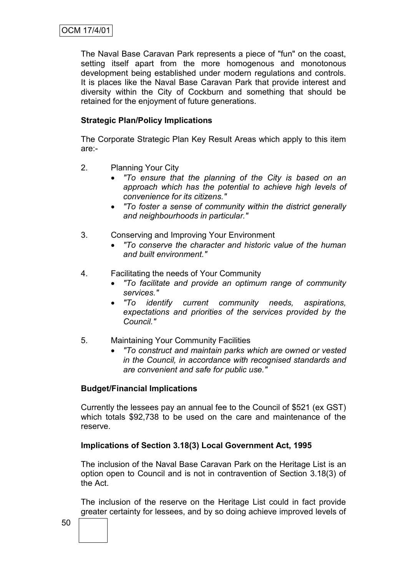The Naval Base Caravan Park represents a piece of "fun" on the coast, setting itself apart from the more homogenous and monotonous development being established under modern regulations and controls. It is places like the Naval Base Caravan Park that provide interest and diversity within the City of Cockburn and something that should be retained for the enjoyment of future generations.

# **Strategic Plan/Policy Implications**

The Corporate Strategic Plan Key Result Areas which apply to this item are:-

- 2. Planning Your City
	- *"To ensure that the planning of the City is based on an approach which has the potential to achieve high levels of convenience for its citizens."*
	- *"To foster a sense of community within the district generally and neighbourhoods in particular."*
- 3. Conserving and Improving Your Environment
	- *"To conserve the character and historic value of the human and built environment."*
- 4. Facilitating the needs of Your Community
	- *"To facilitate and provide an optimum range of community services."*
	- *"To identify current community needs, aspirations, expectations and priorities of the services provided by the Council."*
- 5. Maintaining Your Community Facilities
	- *"To construct and maintain parks which are owned or vested in the Council, in accordance with recognised standards and are convenient and safe for public use."*

### **Budget/Financial Implications**

Currently the lessees pay an annual fee to the Council of \$521 (ex GST) which totals \$92,738 to be used on the care and maintenance of the reserve.

### **Implications of Section 3.18(3) Local Government Act, 1995**

The inclusion of the Naval Base Caravan Park on the Heritage List is an option open to Council and is not in contravention of Section 3.18(3) of the Act.

The inclusion of the reserve on the Heritage List could in fact provide greater certainty for lessees, and by so doing achieve improved levels of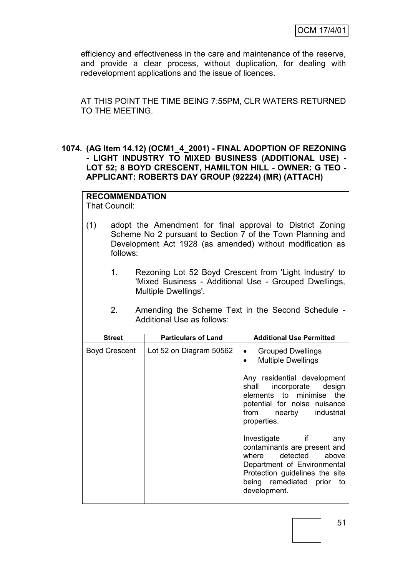efficiency and effectiveness in the care and maintenance of the reserve, and provide a clear process, without duplication, for dealing with redevelopment applications and the issue of licences.

AT THIS POINT THE TIME BEING 7:55PM, CLR WATERS RETURNED TO THE MEETING.

### **1074. (AG Item 14.12) (OCM1\_4\_2001) - FINAL ADOPTION OF REZONING - LIGHT INDUSTRY TO MIXED BUSINESS (ADDITIONAL USE) - LOT 52; 8 BOYD CRESCENT, HAMILTON HILL - OWNER: G TEO - APPLICANT: ROBERTS DAY GROUP (92224) (MR) (ATTACH)**

# **RECOMMENDATION**

That Council:

- (1) adopt the Amendment for final approval to District Zoning Scheme No 2 pursuant to Section 7 of the Town Planning and Development Act 1928 (as amended) without modification as follows:
	- 1. Rezoning Lot 52 Boyd Crescent from 'Light Industry' to 'Mixed Business - Additional Use - Grouped Dwellings, Multiple Dwellings'.
	- 2. Amending the Scheme Text in the Second Schedule Additional Use as follows:

| <b>Street</b>        | <b>Particulars of Land</b> | <b>Additional Use Permitted</b>                                                                                                                                                                |  |  |  |
|----------------------|----------------------------|------------------------------------------------------------------------------------------------------------------------------------------------------------------------------------------------|--|--|--|
| <b>Boyd Crescent</b> | Lot 52 on Diagram 50562    | <b>Grouped Dwellings</b><br>$\bullet$<br><b>Multiple Dwellings</b><br>$\bullet$                                                                                                                |  |  |  |
|                      |                            | Any residential development<br>shall incorporate design<br>elements to minimise the<br>potential for noise nuisance<br>from nearby industrial<br>properties.                                   |  |  |  |
|                      |                            | Investigate if<br>any<br>contaminants are present and<br>where detected above<br>Department of Environmental<br>Protection guidelines the site<br>being remediated prior<br>to<br>development. |  |  |  |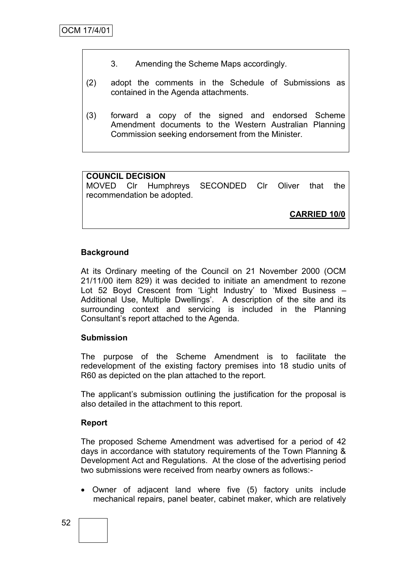- 3. Amending the Scheme Maps accordingly.
- (2) adopt the comments in the Schedule of Submissions as contained in the Agenda attachments.
- (3) forward a copy of the signed and endorsed Scheme Amendment documents to the Western Australian Planning Commission seeking endorsement from the Minister.

# **COUNCIL DECISION**

MOVED Clr Humphreys SECONDED Clr Oliver that the recommendation be adopted.

**CARRIED 10/0**

### **Background**

At its Ordinary meeting of the Council on 21 November 2000 (OCM 21/11/00 item 829) it was decided to initiate an amendment to rezone Lot 52 Boyd Crescent from 'Light Industry' to 'Mixed Business -Additional Use, Multiple Dwellings'. A description of the site and its surrounding context and servicing is included in the Planning Consultant"s report attached to the Agenda.

#### **Submission**

The purpose of the Scheme Amendment is to facilitate the redevelopment of the existing factory premises into 18 studio units of R60 as depicted on the plan attached to the report.

The applicant"s submission outlining the justification for the proposal is also detailed in the attachment to this report.

### **Report**

The proposed Scheme Amendment was advertised for a period of 42 days in accordance with statutory requirements of the Town Planning & Development Act and Regulations. At the close of the advertising period two submissions were received from nearby owners as follows:-

 Owner of adjacent land where five (5) factory units include mechanical repairs, panel beater, cabinet maker, which are relatively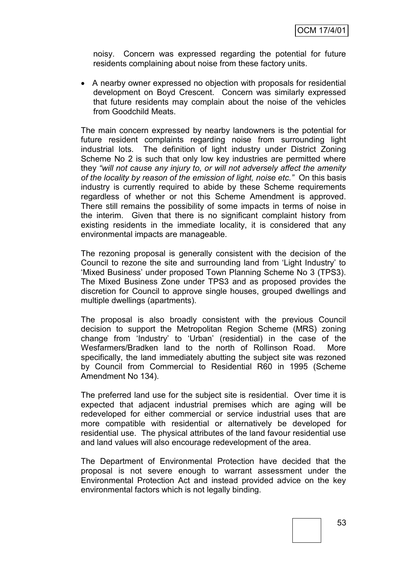noisy. Concern was expressed regarding the potential for future residents complaining about noise from these factory units.

 A nearby owner expressed no objection with proposals for residential development on Boyd Crescent. Concern was similarly expressed that future residents may complain about the noise of the vehicles from Goodchild Meats.

The main concern expressed by nearby landowners is the potential for future resident complaints regarding noise from surrounding light industrial lots. The definition of light industry under District Zoning Scheme No 2 is such that only low key industries are permitted where they *"will not cause any injury to, or will not adversely affect the amenity of the locality by reason of the emission of light, noise etc."* On this basis industry is currently required to abide by these Scheme requirements regardless of whether or not this Scheme Amendment is approved. There still remains the possibility of some impacts in terms of noise in the interim. Given that there is no significant complaint history from existing residents in the immediate locality, it is considered that any environmental impacts are manageable.

The rezoning proposal is generally consistent with the decision of the Council to rezone the site and surrounding land from "Light Industry" to 'Mixed Business' under proposed Town Planning Scheme No 3 (TPS3). The Mixed Business Zone under TPS3 and as proposed provides the discretion for Council to approve single houses, grouped dwellings and multiple dwellings (apartments).

The proposal is also broadly consistent with the previous Council decision to support the Metropolitan Region Scheme (MRS) zoning change from "Industry" to "Urban" (residential) in the case of the Wesfarmers/Bradken land to the north of Rollinson Road. More specifically, the land immediately abutting the subject site was rezoned by Council from Commercial to Residential R60 in 1995 (Scheme Amendment No 134).

The preferred land use for the subject site is residential. Over time it is expected that adjacent industrial premises which are aging will be redeveloped for either commercial or service industrial uses that are more compatible with residential or alternatively be developed for residential use. The physical attributes of the land favour residential use and land values will also encourage redevelopment of the area.

The Department of Environmental Protection have decided that the proposal is not severe enough to warrant assessment under the Environmental Protection Act and instead provided advice on the key environmental factors which is not legally binding.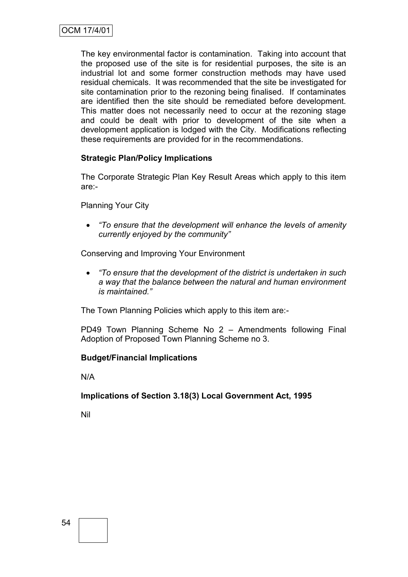The key environmental factor is contamination. Taking into account that the proposed use of the site is for residential purposes, the site is an industrial lot and some former construction methods may have used residual chemicals. It was recommended that the site be investigated for site contamination prior to the rezoning being finalised. If contaminates are identified then the site should be remediated before development. This matter does not necessarily need to occur at the rezoning stage and could be dealt with prior to development of the site when a development application is lodged with the City. Modifications reflecting these requirements are provided for in the recommendations.

# **Strategic Plan/Policy Implications**

The Corporate Strategic Plan Key Result Areas which apply to this item are:-

Planning Your City

 *"To ensure that the development will enhance the levels of amenity currently enjoyed by the community"*

Conserving and Improving Your Environment

 *"To ensure that the development of the district is undertaken in such a way that the balance between the natural and human environment is maintained."*

The Town Planning Policies which apply to this item are:-

PD49 Town Planning Scheme No 2 – Amendments following Final Adoption of Proposed Town Planning Scheme no 3.

### **Budget/Financial Implications**

N/A

**Implications of Section 3.18(3) Local Government Act, 1995**

Nil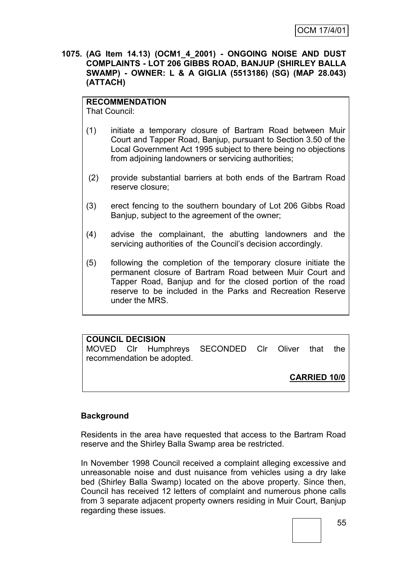**1075. (AG Item 14.13) (OCM1\_4\_2001) - ONGOING NOISE AND DUST COMPLAINTS - LOT 206 GIBBS ROAD, BANJUP (SHIRLEY BALLA SWAMP) - OWNER: L & A GIGLIA (5513186) (SG) (MAP 28.043) (ATTACH)**

# **RECOMMENDATION**

That Council:

- (1) initiate a temporary closure of Bartram Road between Muir Court and Tapper Road, Banjup, pursuant to Section 3.50 of the Local Government Act 1995 subject to there being no objections from adjoining landowners or servicing authorities;
- (2) provide substantial barriers at both ends of the Bartram Road reserve closure;
- (3) erect fencing to the southern boundary of Lot 206 Gibbs Road Banjup, subject to the agreement of the owner;
- (4) advise the complainant, the abutting landowners and the servicing authorities of the Council's decision accordingly.
- (5) following the completion of the temporary closure initiate the permanent closure of Bartram Road between Muir Court and Tapper Road, Banjup and for the closed portion of the road reserve to be included in the Parks and Recreation Reserve under the MRS.

| <b>COUNCIL DECISION</b> |                            |                                                  |  |                     |  |
|-------------------------|----------------------------|--------------------------------------------------|--|---------------------|--|
|                         |                            | MOVED CIr Humphreys SECONDED CIr Oliver that the |  |                     |  |
|                         | recommendation be adopted. |                                                  |  |                     |  |
|                         |                            |                                                  |  |                     |  |
|                         |                            |                                                  |  | <b>CARRIED 10/0</b> |  |
|                         |                            |                                                  |  |                     |  |

### **Background**

Residents in the area have requested that access to the Bartram Road reserve and the Shirley Balla Swamp area be restricted.

In November 1998 Council received a complaint alleging excessive and unreasonable noise and dust nuisance from vehicles using a dry lake bed (Shirley Balla Swamp) located on the above property. Since then, Council has received 12 letters of complaint and numerous phone calls from 3 separate adjacent property owners residing in Muir Court, Banjup regarding these issues.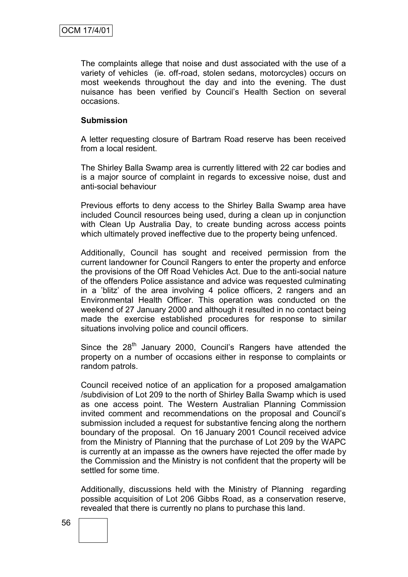The complaints allege that noise and dust associated with the use of a variety of vehicles (ie. off-road, stolen sedans, motorcycles) occurs on most weekends throughout the day and into the evening. The dust nuisance has been verified by Council"s Health Section on several occasions.

#### **Submission**

A letter requesting closure of Bartram Road reserve has been received from a local resident.

The Shirley Balla Swamp area is currently littered with 22 car bodies and is a major source of complaint in regards to excessive noise, dust and anti-social behaviour

Previous efforts to deny access to the Shirley Balla Swamp area have included Council resources being used, during a clean up in conjunction with Clean Up Australia Day, to create bunding across access points which ultimately proved ineffective due to the property being unfenced.

Additionally, Council has sought and received permission from the current landowner for Council Rangers to enter the property and enforce the provisions of the Off Road Vehicles Act. Due to the anti-social nature of the offenders Police assistance and advice was requested culminating in a "blitz" of the area involving 4 police officers, 2 rangers and an Environmental Health Officer. This operation was conducted on the weekend of 27 January 2000 and although it resulted in no contact being made the exercise established procedures for response to similar situations involving police and council officers.

Since the  $28<sup>th</sup>$  January 2000, Council's Rangers have attended the property on a number of occasions either in response to complaints or random patrols.

Council received notice of an application for a proposed amalgamation /subdivision of Lot 209 to the north of Shirley Balla Swamp which is used as one access point. The Western Australian Planning Commission invited comment and recommendations on the proposal and Council"s submission included a request for substantive fencing along the northern boundary of the proposal. On 16 January 2001 Council received advice from the Ministry of Planning that the purchase of Lot 209 by the WAPC is currently at an impasse as the owners have rejected the offer made by the Commission and the Ministry is not confident that the property will be settled for some time.

Additionally, discussions held with the Ministry of Planning regarding possible acquisition of Lot 206 Gibbs Road, as a conservation reserve, revealed that there is currently no plans to purchase this land.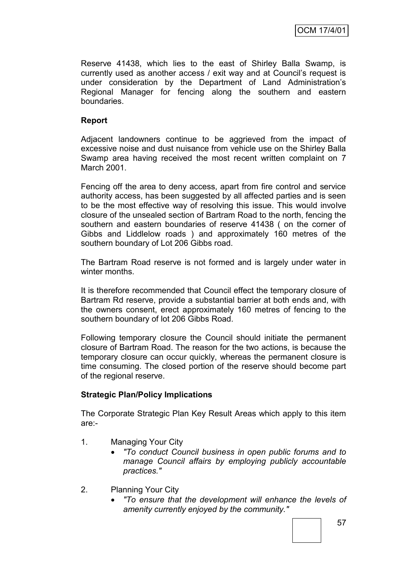Reserve 41438, which lies to the east of Shirley Balla Swamp, is currently used as another access / exit way and at Council"s request is under consideration by the Department of Land Administration"s Regional Manager for fencing along the southern and eastern boundaries.

# **Report**

Adjacent landowners continue to be aggrieved from the impact of excessive noise and dust nuisance from vehicle use on the Shirley Balla Swamp area having received the most recent written complaint on 7 March 2001.

Fencing off the area to deny access, apart from fire control and service authority access, has been suggested by all affected parties and is seen to be the most effective way of resolving this issue. This would involve closure of the unsealed section of Bartram Road to the north, fencing the southern and eastern boundaries of reserve 41438 ( on the corner of Gibbs and Liddlelow roads ) and approximately 160 metres of the southern boundary of Lot 206 Gibbs road.

The Bartram Road reserve is not formed and is largely under water in winter months.

It is therefore recommended that Council effect the temporary closure of Bartram Rd reserve, provide a substantial barrier at both ends and, with the owners consent, erect approximately 160 metres of fencing to the southern boundary of lot 206 Gibbs Road.

Following temporary closure the Council should initiate the permanent closure of Bartram Road. The reason for the two actions, is because the temporary closure can occur quickly, whereas the permanent closure is time consuming. The closed portion of the reserve should become part of the regional reserve.

### **Strategic Plan/Policy Implications**

The Corporate Strategic Plan Key Result Areas which apply to this item are:-

- 1. Managing Your City
	- *"To conduct Council business in open public forums and to manage Council affairs by employing publicly accountable practices."*
- 2. Planning Your City
	- *"To ensure that the development will enhance the levels of amenity currently enjoyed by the community."*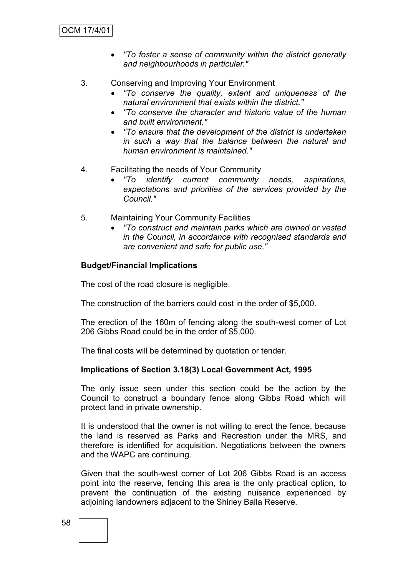- *"To foster a sense of community within the district generally and neighbourhoods in particular."*
- 3. Conserving and Improving Your Environment
	- *"To conserve the quality, extent and uniqueness of the natural environment that exists within the district."*
	- *"To conserve the character and historic value of the human and built environment."*
	- *"To ensure that the development of the district is undertaken in such a way that the balance between the natural and human environment is maintained."*
- 4. Facilitating the needs of Your Community
	- *"To identify current community needs, aspirations, expectations and priorities of the services provided by the Council."*
- 5. Maintaining Your Community Facilities
	- *"To construct and maintain parks which are owned or vested in the Council, in accordance with recognised standards and are convenient and safe for public use."*

#### **Budget/Financial Implications**

The cost of the road closure is negligible.

The construction of the barriers could cost in the order of \$5,000.

The erection of the 160m of fencing along the south-west corner of Lot 206 Gibbs Road could be in the order of \$5,000.

The final costs will be determined by quotation or tender.

#### **Implications of Section 3.18(3) Local Government Act, 1995**

The only issue seen under this section could be the action by the Council to construct a boundary fence along Gibbs Road which will protect land in private ownership.

It is understood that the owner is not willing to erect the fence, because the land is reserved as Parks and Recreation under the MRS, and therefore is identified for acquisition. Negotiations between the owners and the WAPC are continuing.

Given that the south-west corner of Lot 206 Gibbs Road is an access point into the reserve, fencing this area is the only practical option, to prevent the continuation of the existing nuisance experienced by adjoining landowners adjacent to the Shirley Balla Reserve.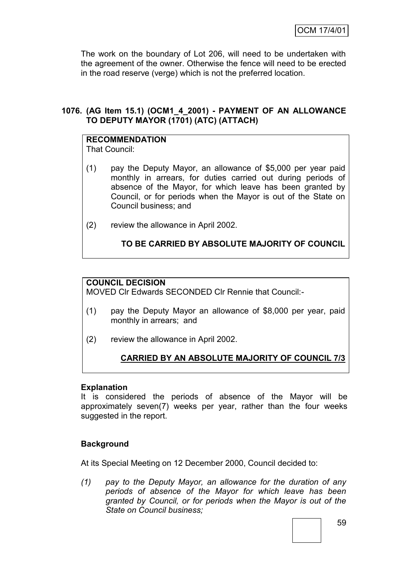The work on the boundary of Lot 206, will need to be undertaken with the agreement of the owner. Otherwise the fence will need to be erected in the road reserve (verge) which is not the preferred location.

# **1076. (AG Item 15.1) (OCM1\_4\_2001) - PAYMENT OF AN ALLOWANCE TO DEPUTY MAYOR (1701) (ATC) (ATTACH)**

# **RECOMMENDATION**

That Council:

- (1) pay the Deputy Mayor, an allowance of \$5,000 per year paid monthly in arrears, for duties carried out during periods of absence of the Mayor, for which leave has been granted by Council, or for periods when the Mayor is out of the State on Council business; and
- (2) review the allowance in April 2002.

# **TO BE CARRIED BY ABSOLUTE MAJORITY OF COUNCIL**

# **COUNCIL DECISION**

MOVED Clr Edwards SECONDED Clr Rennie that Council:-

- (1) pay the Deputy Mayor an allowance of \$8,000 per year, paid monthly in arrears; and
- (2) review the allowance in April 2002.

# **CARRIED BY AN ABSOLUTE MAJORITY OF COUNCIL 7/3**

### **Explanation**

It is considered the periods of absence of the Mayor will be approximately seven(7) weeks per year, rather than the four weeks suggested in the report.

# **Background**

At its Special Meeting on 12 December 2000, Council decided to:

*(1) pay to the Deputy Mayor, an allowance for the duration of any periods of absence of the Mayor for which leave has been granted by Council, or for periods when the Mayor is out of the State on Council business;*

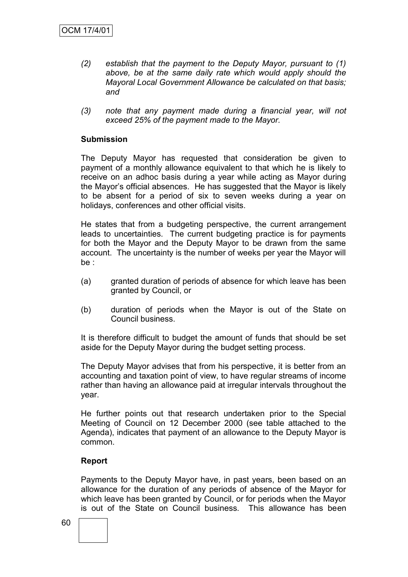- *(2) establish that the payment to the Deputy Mayor, pursuant to (1) above, be at the same daily rate which would apply should the Mayoral Local Government Allowance be calculated on that basis; and*
- *(3) note that any payment made during a financial year, will not exceed 25% of the payment made to the Mayor.*

#### **Submission**

The Deputy Mayor has requested that consideration be given to payment of a monthly allowance equivalent to that which he is likely to receive on an adhoc basis during a year while acting as Mayor during the Mayor"s official absences. He has suggested that the Mayor is likely to be absent for a period of six to seven weeks during a year on holidays, conferences and other official visits.

He states that from a budgeting perspective, the current arrangement leads to uncertainties. The current budgeting practice is for payments for both the Mayor and the Deputy Mayor to be drawn from the same account. The uncertainty is the number of weeks per year the Mayor will be :

- (a) granted duration of periods of absence for which leave has been granted by Council, or
- (b) duration of periods when the Mayor is out of the State on Council business.

It is therefore difficult to budget the amount of funds that should be set aside for the Deputy Mayor during the budget setting process.

The Deputy Mayor advises that from his perspective, it is better from an accounting and taxation point of view, to have regular streams of income rather than having an allowance paid at irregular intervals throughout the year.

He further points out that research undertaken prior to the Special Meeting of Council on 12 December 2000 (see table attached to the Agenda), indicates that payment of an allowance to the Deputy Mayor is common.

#### **Report**

Payments to the Deputy Mayor have, in past years, been based on an allowance for the duration of any periods of absence of the Mayor for which leave has been granted by Council, or for periods when the Mayor is out of the State on Council business. This allowance has been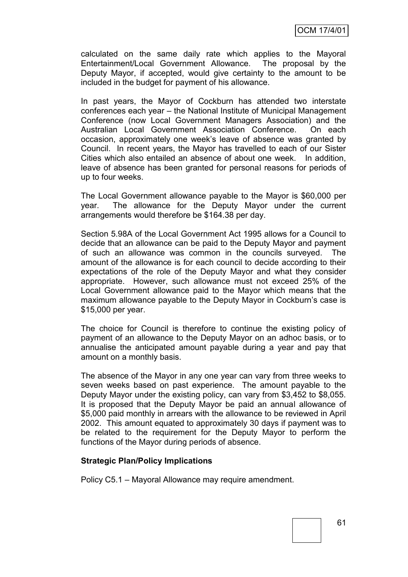calculated on the same daily rate which applies to the Mayoral Entertainment/Local Government Allowance. The proposal by the Deputy Mayor, if accepted, would give certainty to the amount to be included in the budget for payment of his allowance.

In past years, the Mayor of Cockburn has attended two interstate conferences each year – the National Institute of Municipal Management Conference (now Local Government Managers Association) and the Australian Local Government Association Conference. On each occasion, approximately one week"s leave of absence was granted by Council. In recent years, the Mayor has travelled to each of our Sister Cities which also entailed an absence of about one week. In addition, leave of absence has been granted for personal reasons for periods of up to four weeks.

The Local Government allowance payable to the Mayor is \$60,000 per year. The allowance for the Deputy Mayor under the current arrangements would therefore be \$164.38 per day.

Section 5.98A of the Local Government Act 1995 allows for a Council to decide that an allowance can be paid to the Deputy Mayor and payment of such an allowance was common in the councils surveyed. The amount of the allowance is for each council to decide according to their expectations of the role of the Deputy Mayor and what they consider appropriate. However, such allowance must not exceed 25% of the Local Government allowance paid to the Mayor which means that the maximum allowance payable to the Deputy Mayor in Cockburn"s case is \$15,000 per year.

The choice for Council is therefore to continue the existing policy of payment of an allowance to the Deputy Mayor on an adhoc basis, or to annualise the anticipated amount payable during a year and pay that amount on a monthly basis.

The absence of the Mayor in any one year can vary from three weeks to seven weeks based on past experience. The amount payable to the Deputy Mayor under the existing policy, can vary from \$3,452 to \$8,055. It is proposed that the Deputy Mayor be paid an annual allowance of \$5,000 paid monthly in arrears with the allowance to be reviewed in April 2002. This amount equated to approximately 30 days if payment was to be related to the requirement for the Deputy Mayor to perform the functions of the Mayor during periods of absence.

### **Strategic Plan/Policy Implications**

Policy C5.1 – Mayoral Allowance may require amendment.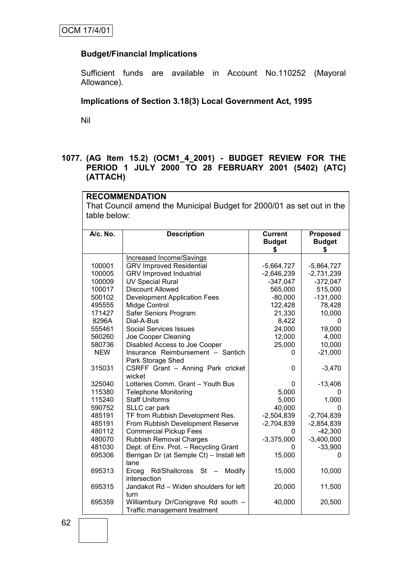# **Budget/Financial Implications**

Sufficient funds are available in Account No.110252 (Mayoral Allowance).

# **Implications of Section 3.18(3) Local Government Act, 1995**

Nil

# **1077. (AG Item 15.2) (OCM1\_4\_2001) - BUDGET REVIEW FOR THE PERIOD 1 JULY 2000 TO 28 FEBRUARY 2001 (5402) (ATC) (ATTACH)**

**RECOMMENDATION** That Council amend the Municipal Budget for 2000/01 as set out in the table below:

| A/c. No. | <b>Description</b>                                                 | <b>Current</b><br><b>Budget</b><br>S | Proposed<br><b>Budget</b><br>S |  |
|----------|--------------------------------------------------------------------|--------------------------------------|--------------------------------|--|
|          |                                                                    |                                      |                                |  |
| 100001   | <b>Increased Income/Savings</b><br><b>GRV Improved Residential</b> |                                      | $-5,864,727$                   |  |
| 100005   | <b>GRV Improved Industrial</b>                                     | $-5,664,727$<br>$-2,646,239$         | $-2,731,239$                   |  |
| 100009   | <b>UV Special Rural</b>                                            | $-347,047$                           | $-372,047$                     |  |
| 100017   | <b>Discount Allowed</b>                                            | 565,000                              | 515,000                        |  |
| 500102   | <b>Development Application Fees</b>                                | $-80,000$                            | $-131,000$                     |  |
| 495555   | Midge Control                                                      | 122,428                              | 78,428                         |  |
| 171427   | Safer Seniors Program                                              | 21,330                               | 10,000                         |  |
| 8296A    | Dial-A-Bus                                                         | 8,422                                | 0                              |  |
| 555461   | Social Services Issues                                             | 24,000                               | 19,000                         |  |
| 560260   | Joe Cooper Cleaning                                                | 12,000                               | 4,000                          |  |
| 580736   | Disabled Access to Joe Cooper                                      | 25,000                               | 10,000                         |  |
| NEW      | Insurance Reimbursement - Santich                                  | 0                                    | $-21,000$                      |  |
|          | Park Storage Shed                                                  |                                      |                                |  |
| 315031   | CSRFF Grant - Anning Park cricket                                  | $\Omega$                             | $-3,470$                       |  |
|          | wicket                                                             |                                      |                                |  |
| 325040   | Lotteries Comm. Grant - Youth Bus                                  | $\Omega$                             | $-13,406$                      |  |
| 115380   | <b>Telephone Monitoring</b>                                        | 5,000                                | $\Omega$                       |  |
| 115240   | <b>Staff Uniforms</b>                                              | 5,000                                | 1,000                          |  |
| 590752   | SLLC car park                                                      | 40,000                               | 0                              |  |
| 485191   | TF from Rubbish Development Res.                                   | $-2,504,839$                         | $-2,704,839$                   |  |
| 485191   | From Rubbish Development Reserve                                   | $-2,704,839$                         | $-2,854,839$                   |  |
| 480112   | <b>Commercial Pickup Fees</b>                                      | 0                                    | $-42,300$                      |  |
| 480070   | <b>Rubbish Removal Charges</b>                                     | $-3,375,000$                         | $-3,400,000$                   |  |
| 481030   | Dept. of Env. Prot. - Recycling Grant                              | 0                                    | $-33,900$                      |  |
| 695306   | Berrigan Dr (at Semple Ct) - Install left                          | 15,000                               | 0                              |  |
|          | lane                                                               |                                      |                                |  |
| 695313   | Modify<br>Erceg<br>Rd/Shallcross<br>St                             | 15,000                               | 10,000                         |  |
|          | intersection                                                       |                                      |                                |  |
| 695315   | Jandakot Rd - Widen shoulders for left                             | 20,000                               | 11,500                         |  |
|          | turn                                                               |                                      |                                |  |
| 695359   | Williambury Dr/Conigrave Rd south -                                | 40,000                               | 20,500                         |  |
|          | Traffic management treatment                                       |                                      |                                |  |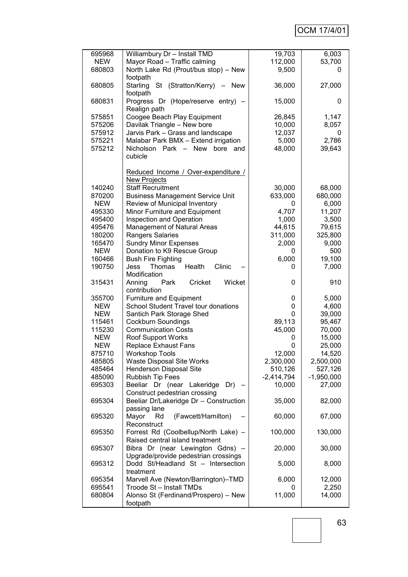| 695968     | Williambury Dr - Install TMD                     | 19,703       | 6,003        |
|------------|--------------------------------------------------|--------------|--------------|
| <b>NEW</b> | Mayor Road - Traffic calming                     | 112,000      | 53,700       |
| 680803     | North Lake Rd (Prout/bus stop) - New             | 9,500        | 0            |
|            |                                                  |              |              |
|            | footpath                                         |              |              |
| 680805     | Starling St (Stratton/Kerry)<br><b>New</b>       | 36,000       | 27,000       |
|            | footpath                                         |              |              |
| 680831     | Progress Dr (Hope/reserve entry) -               | 15,000       | 0            |
|            |                                                  |              |              |
|            | Realign path                                     |              |              |
| 575851     | Coogee Beach Play Equipment                      | 26,845       | 1,147        |
| 575206     | Davilak Triangle - New bore                      | 10,000       | 8,057        |
| 575912     | Jarvis Park - Grass and landscape                | 12,037       | 0            |
| 575221     | Malabar Park BMX - Extend irrigation             | 5,000        | 2,786        |
|            | Nicholson Park - New                             |              |              |
| 575212     | bore<br>and                                      | 48,000       | 39,643       |
|            | cubicle                                          |              |              |
|            |                                                  |              |              |
|            | Reduced Income / Over-expenditure /              |              |              |
|            | <b>New Projects</b>                              |              |              |
|            | <b>Staff Recruitment</b>                         |              |              |
| 140240     |                                                  | 30,000       | 68,000       |
| 870200     | <b>Business Management Service Unit</b>          | 633,000      | 680,000      |
| <b>NEW</b> | Review of Municipal Inventory                    | 0            | 6,000        |
| 495330     | Minor Furniture and Equipment                    | 4,707        | 11,207       |
| 495400     | Inspection and Operation                         | 1,000        | 3,500        |
| 495476     | Management of Natural Areas                      |              |              |
|            |                                                  | 44,615       | 79,615       |
| 180200     | Rangers Salaries                                 | 311,000      | 325,800      |
| 165470     | <b>Sundry Minor Expenses</b>                     | 2,000        | 9,000        |
| <b>NEW</b> | Donation to K9 Rescue Group                      | 0            | 500          |
| 160466     | <b>Bush Fire Fighting</b>                        | 6,000        | 19,100       |
| 190750     | Clinic<br>Health<br>Jess<br>Thomas               | 0            |              |
|            |                                                  |              | 7,000        |
|            | Modification                                     |              |              |
| 315431     | Cricket<br>Wicket<br>Anning<br>Park              | 0            | 910          |
|            | contribution                                     |              |              |
| 355700     | Furniture and Equipment                          | 0            | 5,000        |
| <b>NEW</b> | School Student Travel tour donations             | 0            | 4,600        |
|            |                                                  |              |              |
| <b>NEW</b> | Santich Park Storage Shed                        | 0            | 39,000       |
| 115461     | <b>Cockburn Soundings</b>                        | 89,113       | 95,467       |
| 115230     | <b>Communication Costs</b>                       | 45,000       | 70,000       |
| <b>NEW</b> | Roof Support Works                               | 0            | 15,000       |
| <b>NEW</b> | <b>Replace Exhaust Fans</b>                      |              |              |
| 875710     |                                                  |              |              |
|            |                                                  | 0            | 25,000       |
|            | <b>Workshop Tools</b>                            | 12,000       | 14,520       |
| 485805     | <b>Waste Disposal Site Works</b>                 | 2,300,000    | 2,500,000    |
| 485464     | <b>Henderson Disposal Site</b>                   | 510,126      | 527,126      |
| 485090     | <b>Rubbish Tip Fees</b>                          | $-2,414,794$ | $-1,950,000$ |
|            |                                                  |              |              |
| 695303     | Beeliar Dr (near Lakeridge<br>$Dr) -$            | 10,000       | 27,000       |
|            | Construct pedestrian crossing                    |              |              |
| 695304     | Beeliar Dr/Lakeridge Dr - Construction           | 35,000       | 82,000       |
|            | passing lane                                     |              |              |
| 695320     | (Fawcett/Hamilton)<br>Mayor<br>Rd                | 60,000       | 67,000       |
|            |                                                  |              |              |
|            | Reconstruct                                      |              |              |
| 695350     | Forrest Rd (Coolbellup/North Lake) -             | 100,000      | 130,000      |
|            | Raised central island treatment                  |              |              |
| 695307     | Bibra Dr (near Lewington Gdns) -                 | 20,000       | 30,000       |
|            | Upgrade/provide pedestrian crossings             |              |              |
|            |                                                  |              |              |
| 695312     | Dodd St/Headland St - Intersection               | 5,000        | 8,000        |
|            | treatment                                        |              |              |
| 695354     | Marvell Ave (Newton/Barrington)-TMD              | 6,000        | 12,000       |
| 695541     | Troode St - Install TMDs                         | 0            | 2,250        |
| 680804     | Alonso St (Ferdinand/Prospero) - New<br>footpath | 11,000       | 14,000       |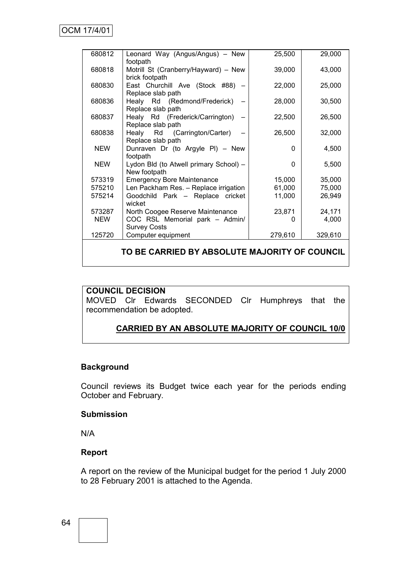| 680812     | Leonard Way (Angus/Angus) - New                   | 25,500   | 29,000  |  |  |  |  |  |
|------------|---------------------------------------------------|----------|---------|--|--|--|--|--|
|            | footpath                                          |          |         |  |  |  |  |  |
| 680818     | Motrill St (Cranberry/Hayward) - New              | 39,000   | 43,000  |  |  |  |  |  |
|            | brick footpath                                    |          |         |  |  |  |  |  |
| 680830     | East Churchill Ave (Stock #88) -                  | 22,000   | 25,000  |  |  |  |  |  |
|            | Replace slab path                                 |          |         |  |  |  |  |  |
| 680836     | Healy Rd (Redmond/Frederick)<br>Replace slab path | 28,000   | 30,500  |  |  |  |  |  |
| 680837     | Healy Rd (Frederick/Carrington)                   | 22,500   | 26,500  |  |  |  |  |  |
|            | Replace slab path                                 |          |         |  |  |  |  |  |
| 680838     | Healy Rd (Carrington/Carter)                      | 26,500   | 32,000  |  |  |  |  |  |
|            | Replace slab path                                 |          |         |  |  |  |  |  |
| <b>NEW</b> | Dunraven Dr (to Argyle PI) - New                  | $\Omega$ | 4,500   |  |  |  |  |  |
|            | footpath                                          |          |         |  |  |  |  |  |
| <b>NEW</b> | Lydon Bld (to Atwell primary School) -            | 0        | 5,500   |  |  |  |  |  |
|            | New footpath                                      |          |         |  |  |  |  |  |
| 573319     | <b>Emergency Bore Maintenance</b>                 | 15,000   | 35,000  |  |  |  |  |  |
| 575210     | Len Packham Res. - Replace irrigation             | 61,000   | 75,000  |  |  |  |  |  |
| 575214     | Goodchild Park - Replace cricket                  | 11,000   | 26,949  |  |  |  |  |  |
|            | wicket                                            |          |         |  |  |  |  |  |
| 573287     | North Coogee Reserve Maintenance                  | 23,871   | 24,171  |  |  |  |  |  |
| <b>NEW</b> | COC RSL Memorial park - Admin/                    | 0        | 4,000   |  |  |  |  |  |
|            | <b>Survey Costs</b>                               |          |         |  |  |  |  |  |
| 125720     | Computer equipment                                | 279,610  | 329,610 |  |  |  |  |  |
|            |                                                   |          |         |  |  |  |  |  |
|            | TO BE CARRIED BY ABSOLUTE MAJORITY OF COUNCIL     |          |         |  |  |  |  |  |

#### **COUNCIL DECISION**

MOVED Clr Edwards SECONDED Clr Humphreys that the recommendation be adopted.

# **CARRIED BY AN ABSOLUTE MAJORITY OF COUNCIL 10/0**

# **Background**

Council reviews its Budget twice each year for the periods ending October and February.

#### **Submission**

N/A

# **Report**

A report on the review of the Municipal budget for the period 1 July 2000 to 28 February 2001 is attached to the Agenda.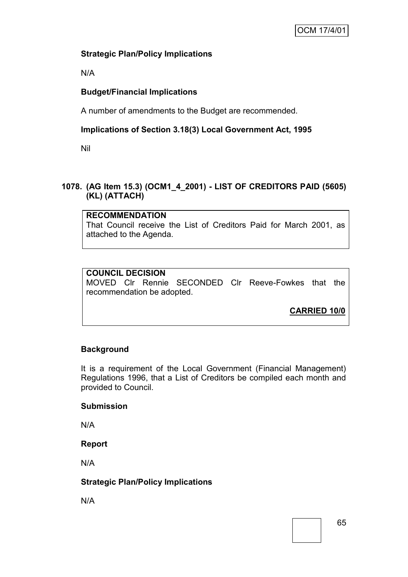# **Strategic Plan/Policy Implications**

N/A

# **Budget/Financial Implications**

A number of amendments to the Budget are recommended.

# **Implications of Section 3.18(3) Local Government Act, 1995**

Nil

# **1078. (AG Item 15.3) (OCM1\_4\_2001) - LIST OF CREDITORS PAID (5605) (KL) (ATTACH)**

# **RECOMMENDATION**

That Council receive the List of Creditors Paid for March 2001, as attached to the Agenda.

# **COUNCIL DECISION**

MOVED Clr Rennie SECONDED Clr Reeve-Fowkes that the recommendation be adopted.

**CARRIED 10/0**

# **Background**

It is a requirement of the Local Government (Financial Management) Regulations 1996, that a List of Creditors be compiled each month and provided to Council.

# **Submission**

N/A

# **Report**

N/A

# **Strategic Plan/Policy Implications**

N/A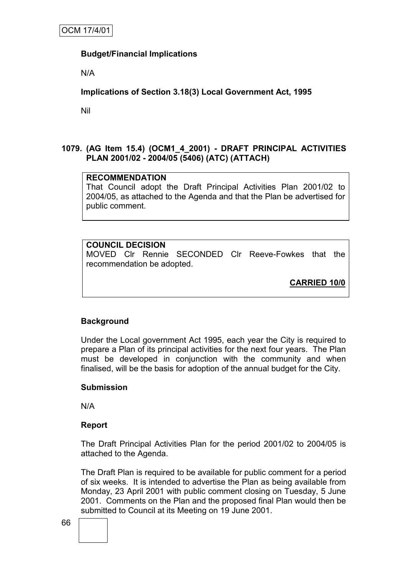# **Budget/Financial Implications**

N/A

**Implications of Section 3.18(3) Local Government Act, 1995**

Nil

# **1079. (AG Item 15.4) (OCM1\_4\_2001) - DRAFT PRINCIPAL ACTIVITIES PLAN 2001/02 - 2004/05 (5406) (ATC) (ATTACH)**

# **RECOMMENDATION**

That Council adopt the Draft Principal Activities Plan 2001/02 to 2004/05, as attached to the Agenda and that the Plan be advertised for public comment.

# **COUNCIL DECISION**

MOVED Clr Rennie SECONDED Clr Reeve-Fowkes that the recommendation be adopted.

**CARRIED 10/0**

# **Background**

Under the Local government Act 1995, each year the City is required to prepare a Plan of its principal activities for the next four years. The Plan must be developed in conjunction with the community and when finalised, will be the basis for adoption of the annual budget for the City.

### **Submission**

N/A

### **Report**

The Draft Principal Activities Plan for the period 2001/02 to 2004/05 is attached to the Agenda.

The Draft Plan is required to be available for public comment for a period of six weeks. It is intended to advertise the Plan as being available from Monday, 23 April 2001 with public comment closing on Tuesday, 5 June 2001. Comments on the Plan and the proposed final Plan would then be submitted to Council at its Meeting on 19 June 2001.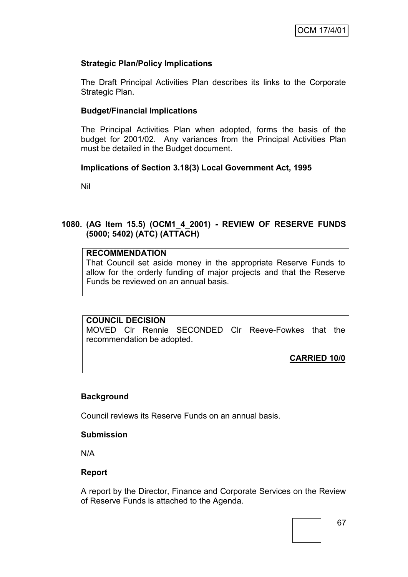# **Strategic Plan/Policy Implications**

The Draft Principal Activities Plan describes its links to the Corporate Strategic Plan.

## **Budget/Financial Implications**

The Principal Activities Plan when adopted, forms the basis of the budget for 2001/02. Any variances from the Principal Activities Plan must be detailed in the Budget document.

### **Implications of Section 3.18(3) Local Government Act, 1995**

Nil

# **1080. (AG Item 15.5) (OCM1\_4\_2001) - REVIEW OF RESERVE FUNDS (5000; 5402) (ATC) (ATTACH)**

# **RECOMMENDATION**

That Council set aside money in the appropriate Reserve Funds to allow for the orderly funding of major projects and that the Reserve Funds be reviewed on an annual basis.

## **COUNCIL DECISION**

MOVED Clr Rennie SECONDED Clr Reeve-Fowkes that the recommendation be adopted.

**CARRIED 10/0**

### **Background**

Council reviews its Reserve Funds on an annual basis.

### **Submission**

N/A

### **Report**

A report by the Director, Finance and Corporate Services on the Review of Reserve Funds is attached to the Agenda.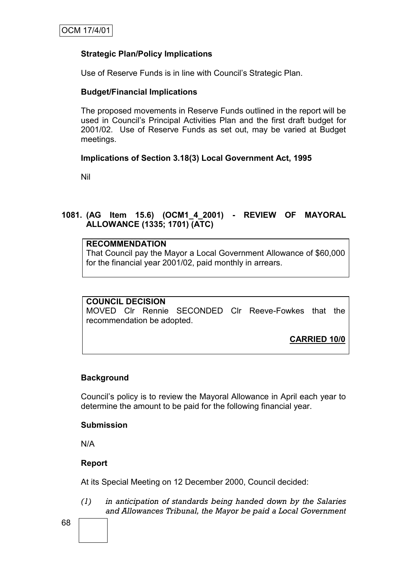# **Strategic Plan/Policy Implications**

Use of Reserve Funds is in line with Council"s Strategic Plan.

### **Budget/Financial Implications**

The proposed movements in Reserve Funds outlined in the report will be used in Council"s Principal Activities Plan and the first draft budget for 2001/02. Use of Reserve Funds as set out, may be varied at Budget meetings.

# **Implications of Section 3.18(3) Local Government Act, 1995**

Nil

# **1081. (AG Item 15.6) (OCM1\_4\_2001) - REVIEW OF MAYORAL ALLOWANCE (1335; 1701) (ATC)**

#### **RECOMMENDATION**

That Council pay the Mayor a Local Government Allowance of \$60,000 for the financial year 2001/02, paid monthly in arrears.

### **COUNCIL DECISION**

MOVED Clr Rennie SECONDED Clr Reeve-Fowkes that the recommendation be adopted.

**CARRIED 10/0**

# **Background**

Council"s policy is to review the Mayoral Allowance in April each year to determine the amount to be paid for the following financial year.

### **Submission**

N/A

### **Report**

At its Special Meeting on 12 December 2000, Council decided:

*(1) in anticipation of standards being handed down by the Salaries and Allowances Tribunal, the Mayor be paid a Local Government*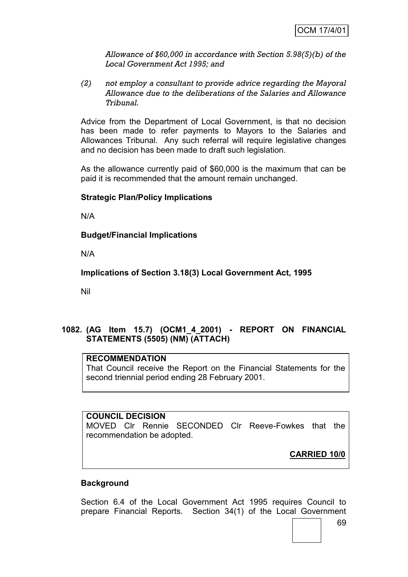*Allowance of \$60,000 in accordance with Section 5.98(5)(b) of the Local Government Act 1995; and*

*(2) not employ a consultant to provide advice regarding the Mayoral Allowance due to the deliberations of the Salaries and Allowance Tribunal.*

Advice from the Department of Local Government, is that no decision has been made to refer payments to Mayors to the Salaries and Allowances Tribunal. Any such referral will require legislative changes and no decision has been made to draft such legislation.

As the allowance currently paid of \$60,000 is the maximum that can be paid it is recommended that the amount remain unchanged.

# **Strategic Plan/Policy Implications**

N/A

## **Budget/Financial Implications**

N/A

**Implications of Section 3.18(3) Local Government Act, 1995**

Nil

# **1082. (AG Item 15.7) (OCM1\_4\_2001) - REPORT ON FINANCIAL STATEMENTS (5505) (NM) (ATTACH)**

# **RECOMMENDATION**

That Council receive the Report on the Financial Statements for the second triennial period ending 28 February 2001.

## **COUNCIL DECISION**

MOVED Clr Rennie SECONDED Clr Reeve-Fowkes that the recommendation be adopted.

**CARRIED 10/0**

## **Background**

Section 6.4 of the Local Government Act 1995 requires Council to prepare Financial Reports. Section 34(1) of the Local Government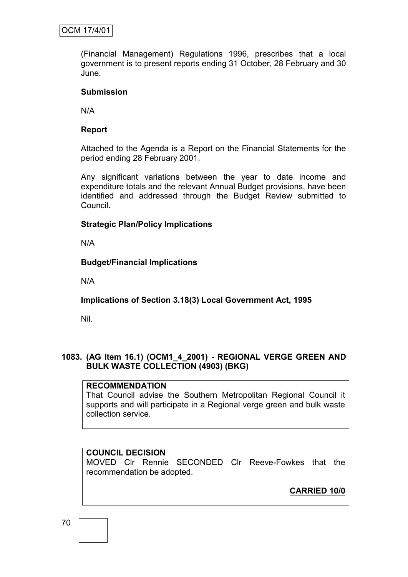(Financial Management) Regulations 1996, prescribes that a local government is to present reports ending 31 October, 28 February and 30 June.

## **Submission**

N/A

# **Report**

Attached to the Agenda is a Report on the Financial Statements for the period ending 28 February 2001.

Any significant variations between the year to date income and expenditure totals and the relevant Annual Budget provisions, have been identified and addressed through the Budget Review submitted to Council.

# **Strategic Plan/Policy Implications**

N/A

# **Budget/Financial Implications**

N/A

# **Implications of Section 3.18(3) Local Government Act, 1995**

Nil.

# **1083. (AG Item 16.1) (OCM1\_4\_2001) - REGIONAL VERGE GREEN AND BULK WASTE COLLECTION (4903) (BKG)**

## **RECOMMENDATION**

That Council advise the Southern Metropolitan Regional Council it supports and will participate in a Regional verge green and bulk waste collection service.

# **COUNCIL DECISION**

MOVED Clr Rennie SECONDED Clr Reeve-Fowkes that the recommendation be adopted.

**CARRIED 10/0**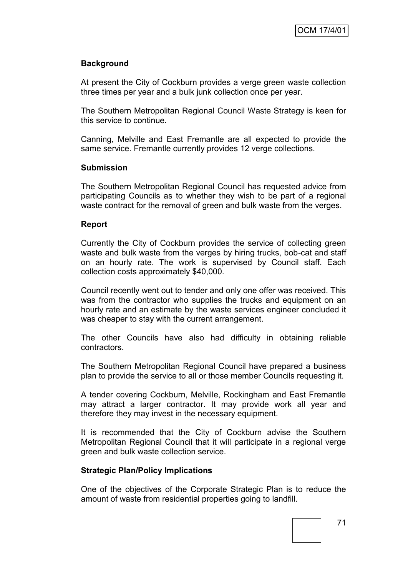# **Background**

At present the City of Cockburn provides a verge green waste collection three times per year and a bulk junk collection once per year.

The Southern Metropolitan Regional Council Waste Strategy is keen for this service to continue.

Canning, Melville and East Fremantle are all expected to provide the same service. Fremantle currently provides 12 verge collections.

#### **Submission**

The Southern Metropolitan Regional Council has requested advice from participating Councils as to whether they wish to be part of a regional waste contract for the removal of green and bulk waste from the verges.

#### **Report**

Currently the City of Cockburn provides the service of collecting green waste and bulk waste from the verges by hiring trucks, bob-cat and staff on an hourly rate. The work is supervised by Council staff. Each collection costs approximately \$40,000.

Council recently went out to tender and only one offer was received. This was from the contractor who supplies the trucks and equipment on an hourly rate and an estimate by the waste services engineer concluded it was cheaper to stay with the current arrangement.

The other Councils have also had difficulty in obtaining reliable contractors.

The Southern Metropolitan Regional Council have prepared a business plan to provide the service to all or those member Councils requesting it.

A tender covering Cockburn, Melville, Rockingham and East Fremantle may attract a larger contractor. It may provide work all year and therefore they may invest in the necessary equipment.

It is recommended that the City of Cockburn advise the Southern Metropolitan Regional Council that it will participate in a regional verge green and bulk waste collection service.

## **Strategic Plan/Policy Implications**

One of the objectives of the Corporate Strategic Plan is to reduce the amount of waste from residential properties going to landfill.

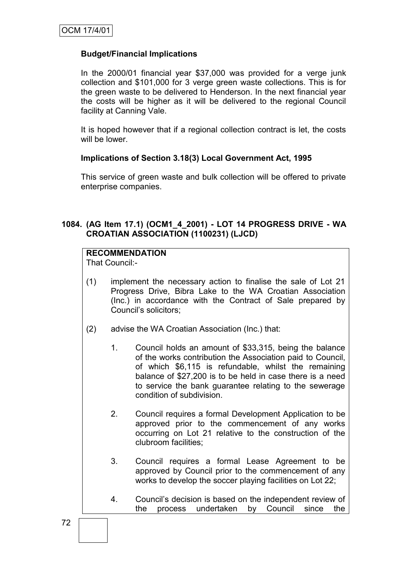## **Budget/Financial Implications**

In the 2000/01 financial year \$37,000 was provided for a verge junk collection and \$101,000 for 3 verge green waste collections. This is for the green waste to be delivered to Henderson. In the next financial year the costs will be higher as it will be delivered to the regional Council facility at Canning Vale.

It is hoped however that if a regional collection contract is let, the costs will be lower.

## **Implications of Section 3.18(3) Local Government Act, 1995**

This service of green waste and bulk collection will be offered to private enterprise companies.

# **1084. (AG Item 17.1) (OCM1\_4\_2001) - LOT 14 PROGRESS DRIVE - WA CROATIAN ASSOCIATION (1100231) (LJCD)**

# **RECOMMENDATION**

That Council:-

- (1) implement the necessary action to finalise the sale of Lot 21 Progress Drive, Bibra Lake to the WA Croatian Association (Inc.) in accordance with the Contract of Sale prepared by Council"s solicitors;
- (2) advise the WA Croatian Association (Inc.) that:
	- 1. Council holds an amount of \$33,315, being the balance of the works contribution the Association paid to Council, of which \$6,115 is refundable, whilst the remaining balance of \$27,200 is to be held in case there is a need to service the bank guarantee relating to the sewerage condition of subdivision.
	- 2. Council requires a formal Development Application to be approved prior to the commencement of any works occurring on Lot 21 relative to the construction of the clubroom facilities;
	- 3. Council requires a formal Lease Agreement to be approved by Council prior to the commencement of any works to develop the soccer playing facilities on Lot 22;
	- 4. Council"s decision is based on the independent review of the process undertaken by Council since the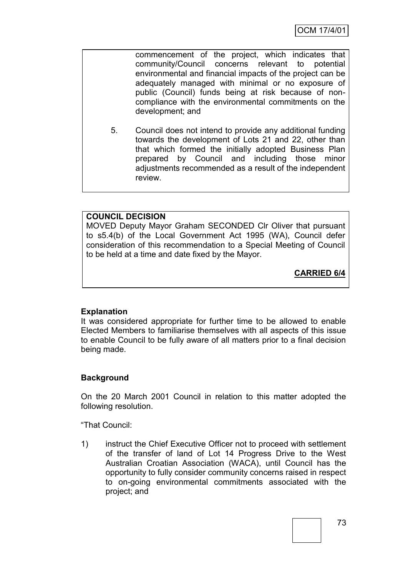commencement of the project, which indicates that community/Council concerns relevant to potential environmental and financial impacts of the project can be adequately managed with minimal or no exposure of public (Council) funds being at risk because of noncompliance with the environmental commitments on the development; and

5. Council does not intend to provide any additional funding towards the development of Lots 21 and 22, other than that which formed the initially adopted Business Plan prepared by Council and including those minor adjustments recommended as a result of the independent review.

# **COUNCIL DECISION**

MOVED Deputy Mayor Graham SECONDED Clr Oliver that pursuant to s5.4(b) of the Local Government Act 1995 (WA), Council defer consideration of this recommendation to a Special Meeting of Council to be held at a time and date fixed by the Mayor.

**CARRIED 6/4**

## **Explanation**

It was considered appropriate for further time to be allowed to enable Elected Members to familiarise themselves with all aspects of this issue to enable Council to be fully aware of all matters prior to a final decision being made.

# **Background**

On the 20 March 2001 Council in relation to this matter adopted the following resolution.

"That Council:

1) instruct the Chief Executive Officer not to proceed with settlement of the transfer of land of Lot 14 Progress Drive to the West Australian Croatian Association (WACA), until Council has the opportunity to fully consider community concerns raised in respect to on-going environmental commitments associated with the project; and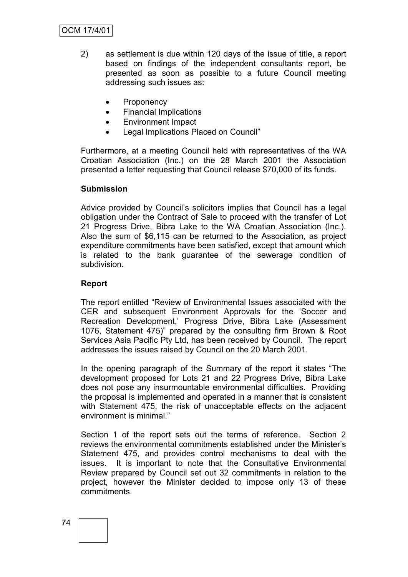- 2) as settlement is due within 120 days of the issue of title, a report based on findings of the independent consultants report, be presented as soon as possible to a future Council meeting addressing such issues as:
	- Proponency
	- Financial Implications
	- Environment Impact
	- Legal Implications Placed on Council"

Furthermore, at a meeting Council held with representatives of the WA Croatian Association (Inc.) on the 28 March 2001 the Association presented a letter requesting that Council release \$70,000 of its funds.

## **Submission**

Advice provided by Council"s solicitors implies that Council has a legal obligation under the Contract of Sale to proceed with the transfer of Lot 21 Progress Drive, Bibra Lake to the WA Croatian Association (Inc.). Also the sum of \$6,115 can be returned to the Association, as project expenditure commitments have been satisfied, except that amount which is related to the bank guarantee of the sewerage condition of subdivision.

## **Report**

The report entitled "Review of Environmental Issues associated with the CER and subsequent Environment Approvals for the "Soccer and Recreation Development," Progress Drive, Bibra Lake (Assessment 1076, Statement 475)" prepared by the consulting firm Brown & Root Services Asia Pacific Pty Ltd, has been received by Council. The report addresses the issues raised by Council on the 20 March 2001.

In the opening paragraph of the Summary of the report it states "The development proposed for Lots 21 and 22 Progress Drive, Bibra Lake does not pose any insurmountable environmental difficulties. Providing the proposal is implemented and operated in a manner that is consistent with Statement 475, the risk of unacceptable effects on the adjacent environment is minimal."

Section 1 of the report sets out the terms of reference. Section 2 reviews the environmental commitments established under the Minister"s Statement 475, and provides control mechanisms to deal with the issues. It is important to note that the Consultative Environmental Review prepared by Council set out 32 commitments in relation to the project, however the Minister decided to impose only 13 of these commitments.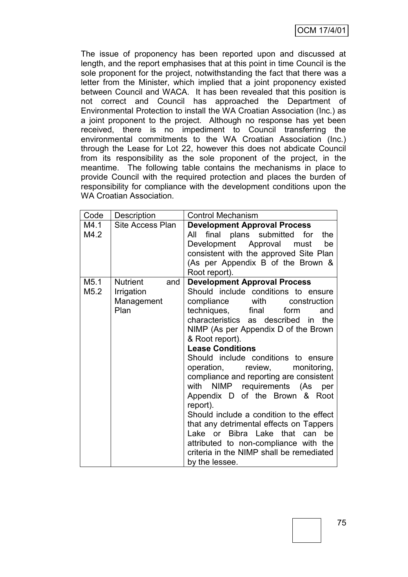The issue of proponency has been reported upon and discussed at length, and the report emphasises that at this point in time Council is the sole proponent for the project, notwithstanding the fact that there was a letter from the Minister, which implied that a joint proponency existed between Council and WACA. It has been revealed that this position is not correct and Council has approached the Department of Environmental Protection to install the WA Croatian Association (Inc.) as a joint proponent to the project. Although no response has yet been received, there is no impediment to Council transferring the environmental commitments to the WA Croatian Association (Inc.) through the Lease for Lot 22, however this does not abdicate Council from its responsibility as the sole proponent of the project, in the meantime. The following table contains the mechanisms in place to provide Council with the required protection and places the burden of responsibility for compliance with the development conditions upon the WA Croatian Association.

| Code                     | Description                                                | <b>Control Mechanism</b>                                                                                                                                                                                                                                                                                                                                                                                                                                                                                                                                                                                                                                                                                                          |
|--------------------------|------------------------------------------------------------|-----------------------------------------------------------------------------------------------------------------------------------------------------------------------------------------------------------------------------------------------------------------------------------------------------------------------------------------------------------------------------------------------------------------------------------------------------------------------------------------------------------------------------------------------------------------------------------------------------------------------------------------------------------------------------------------------------------------------------------|
| M4.1<br>M4.2             | Site Access Plan                                           | <b>Development Approval Process</b><br>final plans submitted<br>for<br>the<br>All<br>Development Approval must<br>be<br>consistent with the approved Site Plan<br>(As per Appendix B of the Brown &<br>Root report).                                                                                                                                                                                                                                                                                                                                                                                                                                                                                                              |
| M <sub>5.1</sub><br>M5.2 | <b>Nutrient</b><br>and<br>Irrigation<br>Management<br>Plan | <b>Development Approval Process</b><br>Should include conditions to ensure<br>compliance with construction<br>techniques, final<br>form<br>and<br>characteristics as described in<br>the<br>NIMP (As per Appendix D of the Brown<br>& Root report).<br><b>Lease Conditions</b><br>Should include conditions to ensure<br>review,<br>operation,<br>monitoring,<br>compliance and reporting are consistent<br>NIMP requirements (As<br>with<br>per<br>Appendix D of the Brown & Root<br>report).<br>Should include a condition to the effect<br>that any detrimental effects on Tappers<br>Lake or Bibra Lake that can<br>be<br>attributed to non-compliance with the<br>criteria in the NIMP shall be remediated<br>by the lessee. |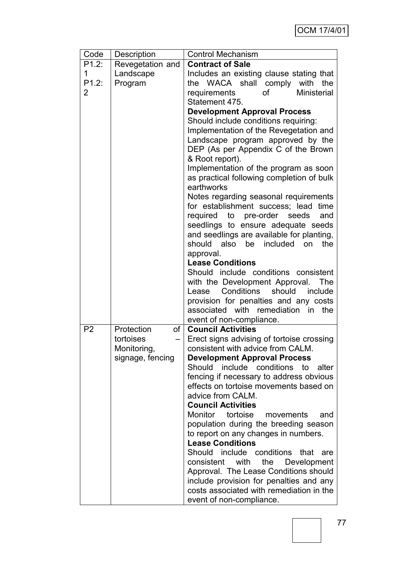| Code           | Description              | <b>Control Mechanism</b>                                                       |  |
|----------------|--------------------------|--------------------------------------------------------------------------------|--|
| P1.2:          | Revegetation and         | <b>Contract of Sale</b>                                                        |  |
| 1              | Landscape                | Includes an existing clause stating that                                       |  |
| P1.2:          | Program                  | WACA shall comply with<br>the<br>the                                           |  |
| 2              |                          | requirements<br>οf<br><b>Ministerial</b>                                       |  |
|                |                          | Statement 475.                                                                 |  |
|                |                          | <b>Development Approval Process</b>                                            |  |
|                |                          | Should include conditions requiring:                                           |  |
|                |                          | Implementation of the Revegetation and                                         |  |
|                |                          | Landscape program approved by the                                              |  |
|                |                          | DEP (As per Appendix C of the Brown                                            |  |
|                |                          | & Root report).                                                                |  |
|                |                          | Implementation of the program as soon                                          |  |
|                |                          | as practical following completion of bulk                                      |  |
|                |                          | earthworks                                                                     |  |
|                |                          | Notes regarding seasonal requirements                                          |  |
|                |                          | for establishment success; lead<br>time                                        |  |
|                |                          | required to pre-order seeds<br>and                                             |  |
|                |                          | seedlings to ensure adequate seeds                                             |  |
|                |                          | and seedlings are available for planting,                                      |  |
|                |                          | also be included<br>should<br>the<br>on                                        |  |
|                |                          | approval.                                                                      |  |
|                |                          | <b>Lease Conditions</b>                                                        |  |
|                |                          | Should include conditions consistent                                           |  |
|                |                          | with the Development Approval. The                                             |  |
|                |                          | Conditions<br>should<br>include<br>Lease                                       |  |
|                |                          | provision for penalties and any costs                                          |  |
|                |                          | associated with remediation in<br>the                                          |  |
|                |                          | event of non-compliance.                                                       |  |
| P <sub>2</sub> | Protection               | of   Council Activities                                                        |  |
|                | tortoises<br>Monitoring, | Erect signs advising of tortoise crossing<br>consistent with advice from CALM. |  |
|                |                          | <b>Development Approval Process</b>                                            |  |
|                | signage, fencing         | Should<br>include conditions<br>to<br>alter                                    |  |
|                |                          | fencing if necessary to address obvious                                        |  |
|                |                          | effects on tortoise movements based on                                         |  |
|                |                          | advice from CALM.                                                              |  |
|                |                          | <b>Council Activities</b>                                                      |  |
|                |                          | Monitor<br>tortoise<br>movements<br>and                                        |  |
|                |                          | population during the breeding season                                          |  |
|                |                          | to report on any changes in numbers.                                           |  |
|                |                          | <b>Lease Conditions</b>                                                        |  |
|                |                          | Should include conditions<br>that<br>are                                       |  |
|                |                          | the Development<br>consistent with                                             |  |
|                |                          | Approval. The Lease Conditions should                                          |  |
|                |                          | include provision for penalties and any                                        |  |
|                |                          | costs associated with remediation in the                                       |  |
|                |                          | event of non-compliance.                                                       |  |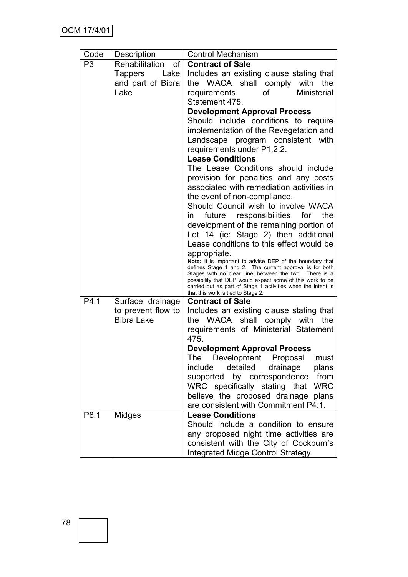| Code           | Description                                  | <b>Control Mechanism</b>                                                                                                                                                                                                                                                                                                                                                                                                                                                                                                                                  |  |  |
|----------------|----------------------------------------------|-----------------------------------------------------------------------------------------------------------------------------------------------------------------------------------------------------------------------------------------------------------------------------------------------------------------------------------------------------------------------------------------------------------------------------------------------------------------------------------------------------------------------------------------------------------|--|--|
| P <sub>3</sub> | of <sup>1</sup><br>Rehabilitation            | <b>Contract of Sale</b>                                                                                                                                                                                                                                                                                                                                                                                                                                                                                                                                   |  |  |
|                | Tappers<br>Lake<br>and part of Bibra<br>Lake | Includes an existing clause stating that<br>the WACA shall comply with the<br>οf<br><b>Ministerial</b><br>requirements<br>Statement 475.                                                                                                                                                                                                                                                                                                                                                                                                                  |  |  |
|                |                                              | <b>Development Approval Process</b><br>Should include conditions to require<br>implementation of the Revegetation and<br>Landscape program consistent<br>with<br>requirements under P1.2:2.<br><b>Lease Conditions</b><br>The Lease Conditions should include<br>provision for penalties and any costs<br>associated with remediation activities in<br>the event of non-compliance.<br>Should Council wish to involve WACA<br>future responsibilities for<br>the<br>in<br>development of the remaining portion of<br>Lot 14 (ie: Stage 2) then additional |  |  |
|                |                                              | Lease conditions to this effect would be<br>appropriate.<br>Note: It is important to advise DEP of the boundary that<br>defines Stage 1 and 2. The current approval is for both<br>Stages with no clear 'line' between the two. There is a<br>possibility that DEP would expect some of this work to be<br>carried out as part of Stage 1 activities when the intent is<br>that this work is tied to Stage 2.                                                                                                                                             |  |  |
| P4:1           | Surface drainage                             | <b>Contract of Sale</b>                                                                                                                                                                                                                                                                                                                                                                                                                                                                                                                                   |  |  |
|                | to prevent flow to<br><b>Bibra Lake</b>      | Includes an existing clause stating that<br>WACA<br>shall<br>comply with<br>the<br>the<br>requirements of Ministerial Statement<br>475.                                                                                                                                                                                                                                                                                                                                                                                                                   |  |  |
|                |                                              | <b>Development Approval Process</b><br>Development Proposal<br>must<br>The<br>include<br>detailed<br>drainage<br>plans<br>from<br>by correspondence<br>supported<br>WRC specifically stating that<br><b>WRC</b><br>believe the proposed drainage plans<br>are consistent with Commitment P4:1.                                                                                                                                                                                                                                                            |  |  |
| P8:1           | Midges                                       | <b>Lease Conditions</b><br>Should include a condition to ensure<br>any proposed night time activities are<br>consistent with the City of Cockburn's<br>Integrated Midge Control Strategy.                                                                                                                                                                                                                                                                                                                                                                 |  |  |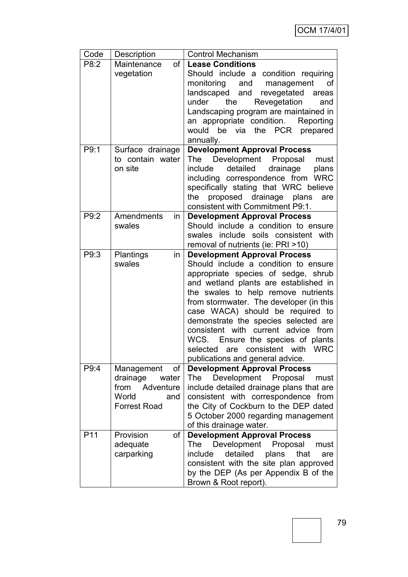| Code            | Description         | <b>Control Mechanism</b>                                                     |  |  |
|-----------------|---------------------|------------------------------------------------------------------------------|--|--|
| P8:2            | Maintenance<br>of   | <b>Lease Conditions</b>                                                      |  |  |
|                 | vegetation          | Should include a condition requiring                                         |  |  |
|                 |                     | monitoring<br>management<br>οf<br>and                                        |  |  |
|                 |                     | landscaped and revegetated<br>areas                                          |  |  |
|                 |                     | Revegetation<br>under<br>the<br>and                                          |  |  |
|                 |                     | Landscaping program are maintained in                                        |  |  |
|                 |                     | an appropriate condition.<br>Reporting                                       |  |  |
|                 |                     | would be via<br>the PCR prepared                                             |  |  |
|                 |                     | annually.                                                                    |  |  |
| P9:1            | Surface drainage    | <b>Development Approval Process</b>                                          |  |  |
|                 | to contain water    | The Development Proposal<br>must                                             |  |  |
|                 | on site             | detailed<br>drainage<br>include<br>plans                                     |  |  |
|                 |                     | including correspondence from<br><b>WRC</b>                                  |  |  |
|                 |                     | specifically stating that WRC believe                                        |  |  |
|                 |                     | proposed drainage<br>the<br>plans<br>are<br>consistent with Commitment P9:1. |  |  |
| P9:2            | Amendments          | <b>Development Approval Process</b>                                          |  |  |
|                 | in<br>swales        | Should include a condition to ensure                                         |  |  |
|                 |                     | include soils consistent with<br>swales                                      |  |  |
|                 |                     | removal of nutrients (ie: PRI >10)                                           |  |  |
| P9:3            | Plantings<br>in     | <b>Development Approval Process</b>                                          |  |  |
|                 | swales              | Should include a condition to ensure                                         |  |  |
|                 |                     | appropriate species of sedge, shrub                                          |  |  |
|                 |                     | and wetland plants are established in                                        |  |  |
|                 |                     | the swales to help remove nutrients                                          |  |  |
|                 |                     | from stormwater. The developer (in this                                      |  |  |
|                 |                     | case WACA) should be required to                                             |  |  |
|                 |                     | demonstrate the species selected are                                         |  |  |
|                 |                     | consistent with current advice from                                          |  |  |
|                 |                     | WCS. Ensure the species of plants                                            |  |  |
|                 |                     | selected are consistent with WRC                                             |  |  |
|                 |                     | publications and general advice.                                             |  |  |
| P9:4            | 0f<br>Management    | <b>Development Approval Process</b>                                          |  |  |
|                 | drainage<br>water   | Development Proposal<br>The<br>must                                          |  |  |
|                 | from<br>Adventure   | include detailed drainage plans that are                                     |  |  |
|                 | World<br>and        | consistent with correspondence from                                          |  |  |
|                 | <b>Forrest Road</b> | the City of Cockburn to the DEP dated                                        |  |  |
|                 |                     | 5 October 2000 regarding management                                          |  |  |
|                 |                     | of this drainage water.                                                      |  |  |
| P <sub>11</sub> | Provision<br>οf     | <b>Development Approval Process</b>                                          |  |  |
|                 | adequate            | Development<br>The<br>Proposal<br>must                                       |  |  |
|                 | carparking          | detailed<br>include<br>plans<br>that<br>are                                  |  |  |
|                 |                     | consistent with the site plan approved                                       |  |  |
|                 |                     | by the DEP (As per Appendix B of the                                         |  |  |
|                 |                     | Brown & Root report).                                                        |  |  |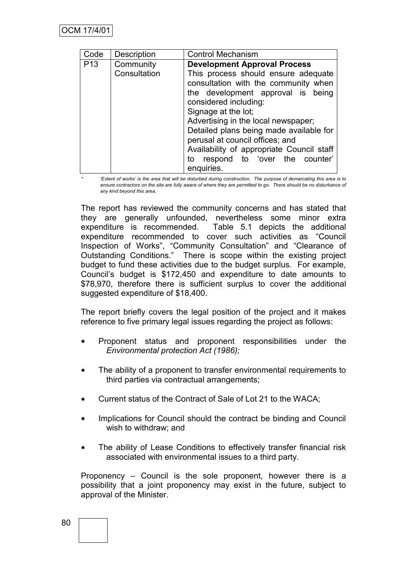| Code            | Description  | <b>Control Mechanism</b>                                                                                                                                                                                                                                                                                                                                                                |  |
|-----------------|--------------|-----------------------------------------------------------------------------------------------------------------------------------------------------------------------------------------------------------------------------------------------------------------------------------------------------------------------------------------------------------------------------------------|--|
| P <sub>13</sub> | Community    | <b>Development Approval Process</b>                                                                                                                                                                                                                                                                                                                                                     |  |
|                 | Consultation | This process should ensure adequate<br>consultation with the community when<br>the development approval is being<br>considered including:<br>Signage at the lot;<br>Advertising in the local newspaper;<br>Detailed plans being made available for<br>perusal at council offices; and<br>Availability of appropriate Council staff<br>respond to 'over the counter'<br>to<br>enquiries. |  |

*\* "Extent of works" is the area that will be disturbed during construction. The purpose of demarcating this area is to*  ensure contractors on the site are fully aware of where they are permitted to go. There should be no disturbance of *any kind beyond this area.*

The report has reviewed the community concerns and has stated that they are generally unfounded, nevertheless some minor extra expenditure is recommended. Table 5.1 depicts the additional expenditure recommended to cover such activities as "Council Inspection of Works", "Community Consultation" and "Clearance of Outstanding Conditions." There is scope within the existing project budget to fund these activities due to the budget surplus. For example, Council"s budget is \$172,450 and expenditure to date amounts to \$78,970, therefore there is sufficient surplus to cover the additional suggested expenditure of \$18,400.

The report briefly covers the legal position of the project and it makes reference to five primary legal issues regarding the project as follows:

- Proponent status and proponent responsibilities under the *Environmental protection Act (1986);*
- The ability of a proponent to transfer environmental requirements to third parties via contractual arrangements;
- Current status of the Contract of Sale of Lot 21 to the WACA;
- Implications for Council should the contract be binding and Council wish to withdraw; and
- The ability of Lease Conditions to effectively transfer financial risk associated with environmental issues to a third party.

Proponency – Council is the sole proponent, however there is a possibility that a joint proponency may exist in the future, subject to approval of the Minister.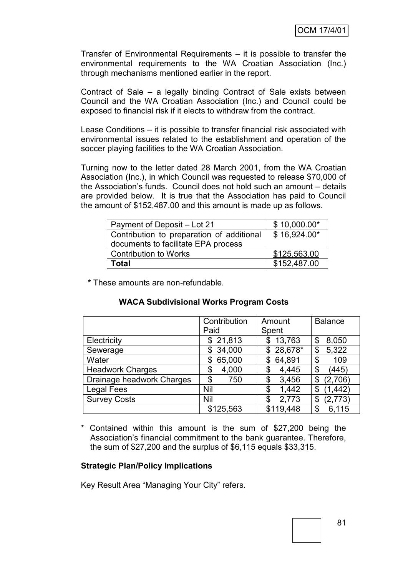Transfer of Environmental Requirements – it is possible to transfer the environmental requirements to the WA Croatian Association (Inc.) through mechanisms mentioned earlier in the report.

Contract of Sale – a legally binding Contract of Sale exists between Council and the WA Croatian Association (Inc.) and Council could be exposed to financial risk if it elects to withdraw from the contract.

Lease Conditions – it is possible to transfer financial risk associated with environmental issues related to the establishment and operation of the soccer playing facilities to the WA Croatian Association.

Turning now to the letter dated 28 March 2001, from the WA Croatian Association (Inc.), in which Council was requested to release \$70,000 of the Association"s funds. Council does not hold such an amount – details are provided below. It is true that the Association has paid to Council the amount of \$152,487.00 and this amount is made up as follows.

| Payment of Deposit – Lot 21                                                      | $$10,000.00*$ |
|----------------------------------------------------------------------------------|---------------|
| Contribution to preparation of additional<br>documents to facilitate EPA process | \$16,924.00*  |
| <b>Contribution to Works</b>                                                     | \$125,563.00  |
| <b>Total</b>                                                                     | \$152,487.00  |

**\*** These amounts are non-refundable.

## **WACA Subdivisional Works Program Costs**

|                           | Contribution | Amount       | <b>Balance</b> |
|---------------------------|--------------|--------------|----------------|
|                           | Paid         | Spent        |                |
| Electricity               | \$21,813     | 13,763<br>\$ | 8,050<br>\$    |
| Sewerage                  | 34,000<br>\$ | $$28,678*$   | 5,322<br>\$    |
| Water                     | 65,000<br>S  | 64,891<br>\$ | 109<br>\$      |
| <b>Headwork Charges</b>   | 4,000<br>\$  | 4,445<br>\$  | \$<br>(445)    |
| Drainage headwork Charges | 750<br>\$    | 3,456<br>\$  | (2,706)<br>\$  |
| <b>Legal Fees</b>         | Nil          | 1,442<br>\$  | (1, 442)<br>\$ |
| <b>Survey Costs</b>       | Nil          | 2,773<br>\$  | (2,773)<br>\$  |
|                           | \$125,563    | \$119,448    | 6.115<br>\$    |

Contained within this amount is the sum of \$27,200 being the Association"s financial commitment to the bank guarantee. Therefore, the sum of \$27,200 and the surplus of \$6,115 equals \$33,315.

#### **Strategic Plan/Policy Implications**

Key Result Area "Managing Your City" refers.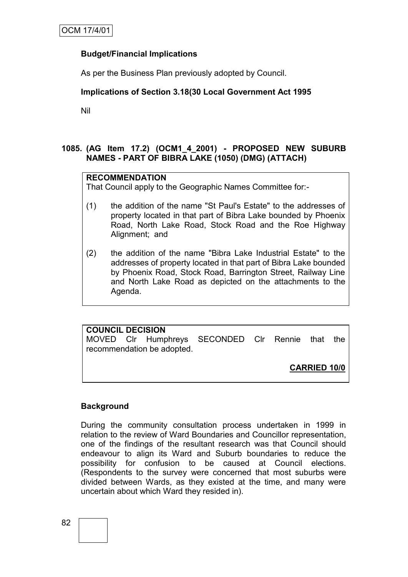# **Budget/Financial Implications**

As per the Business Plan previously adopted by Council.

# **Implications of Section 3.18(30 Local Government Act 1995**

Nil

# **1085. (AG Item 17.2) (OCM1\_4\_2001) - PROPOSED NEW SUBURB NAMES - PART OF BIBRA LAKE (1050) (DMG) (ATTACH)**

## **RECOMMENDATION**

That Council apply to the Geographic Names Committee for:-

- (1) the addition of the name "St Paul's Estate" to the addresses of property located in that part of Bibra Lake bounded by Phoenix Road, North Lake Road, Stock Road and the Roe Highway Alignment; and
- (2) the addition of the name "Bibra Lake Industrial Estate" to the addresses of property located in that part of Bibra Lake bounded by Phoenix Road, Stock Road, Barrington Street, Railway Line and North Lake Road as depicted on the attachments to the Agenda.

# **COUNCIL DECISION**

MOVED Clr Humphreys SECONDED Clr Rennie that the recommendation be adopted.

**CARRIED 10/0**

# **Background**

During the community consultation process undertaken in 1999 in relation to the review of Ward Boundaries and Councillor representation, one of the findings of the resultant research was that Council should endeavour to align its Ward and Suburb boundaries to reduce the possibility for confusion to be caused at Council elections. (Respondents to the survey were concerned that most suburbs were divided between Wards, as they existed at the time, and many were uncertain about which Ward they resided in).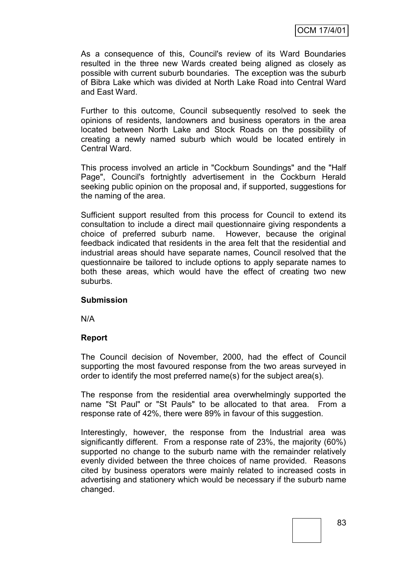As a consequence of this, Council's review of its Ward Boundaries resulted in the three new Wards created being aligned as closely as possible with current suburb boundaries. The exception was the suburb of Bibra Lake which was divided at North Lake Road into Central Ward and East Ward.

Further to this outcome, Council subsequently resolved to seek the opinions of residents, landowners and business operators in the area located between North Lake and Stock Roads on the possibility of creating a newly named suburb which would be located entirely in Central Ward.

This process involved an article in "Cockburn Soundings" and the "Half Page", Council's fortnightly advertisement in the Cockburn Herald seeking public opinion on the proposal and, if supported, suggestions for the naming of the area.

Sufficient support resulted from this process for Council to extend its consultation to include a direct mail questionnaire giving respondents a choice of preferred suburb name. However, because the original feedback indicated that residents in the area felt that the residential and industrial areas should have separate names, Council resolved that the questionnaire be tailored to include options to apply separate names to both these areas, which would have the effect of creating two new suburbs.

## **Submission**

N/A

## **Report**

The Council decision of November, 2000, had the effect of Council supporting the most favoured response from the two areas surveyed in order to identify the most preferred name(s) for the subject area(s).

The response from the residential area overwhelmingly supported the name "St Paul" or "St Pauls" to be allocated to that area. From a response rate of 42%, there were 89% in favour of this suggestion.

Interestingly, however, the response from the Industrial area was significantly different. From a response rate of 23%, the majority (60%) supported no change to the suburb name with the remainder relatively evenly divided between the three choices of name provided. Reasons cited by business operators were mainly related to increased costs in advertising and stationery which would be necessary if the suburb name changed.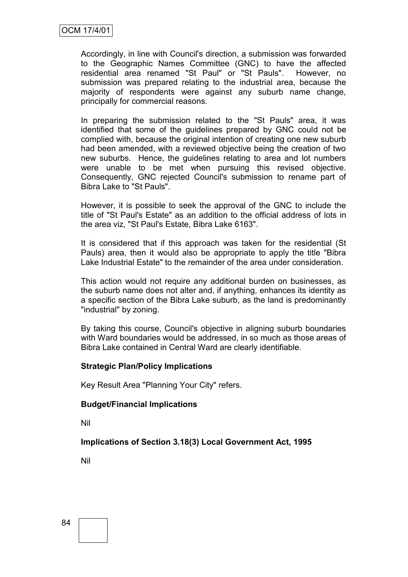Accordingly, in line with Council's direction, a submission was forwarded to the Geographic Names Committee (GNC) to have the affected residential area renamed "St Paul" or "St Pauls". However, no submission was prepared relating to the industrial area, because the majority of respondents were against any suburb name change, principally for commercial reasons.

In preparing the submission related to the "St Pauls" area, it was identified that some of the guidelines prepared by GNC could not be complied with, because the original intention of creating one new suburb had been amended, with a reviewed objective being the creation of two new suburbs. Hence, the guidelines relating to area and lot numbers were unable to be met when pursuing this revised objective. Consequently, GNC rejected Council's submission to rename part of Bibra Lake to "St Pauls".

However, it is possible to seek the approval of the GNC to include the title of "St Paul's Estate" as an addition to the official address of lots in the area viz, "St Paul's Estate, Bibra Lake 6163".

It is considered that if this approach was taken for the residential (St Pauls) area, then it would also be appropriate to apply the title "Bibra Lake Industrial Estate" to the remainder of the area under consideration.

This action would not require any additional burden on businesses, as the suburb name does not alter and, if anything, enhances its identity as a specific section of the Bibra Lake suburb, as the land is predominantly "industrial" by zoning.

By taking this course, Council's objective in aligning suburb boundaries with Ward boundaries would be addressed, in so much as those areas of Bibra Lake contained in Central Ward are clearly identifiable.

## **Strategic Plan/Policy Implications**

Key Result Area "Planning Your City" refers.

## **Budget/Financial Implications**

Nil

## **Implications of Section 3.18(3) Local Government Act, 1995**

Nil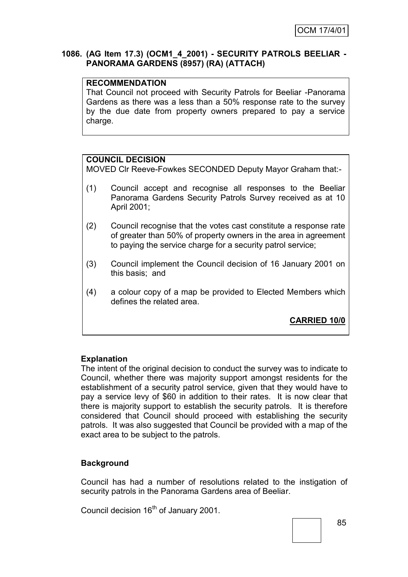## **1086. (AG Item 17.3) (OCM1\_4\_2001) - SECURITY PATROLS BEELIAR - PANORAMA GARDENS (8957) (RA) (ATTACH)**

## **RECOMMENDATION**

That Council not proceed with Security Patrols for Beeliar -Panorama Gardens as there was a less than a 50% response rate to the survey by the due date from property owners prepared to pay a service charge.

#### **COUNCIL DECISION**

MOVED Clr Reeve-Fowkes SECONDED Deputy Mayor Graham that:-

- (1) Council accept and recognise all responses to the Beeliar Panorama Gardens Security Patrols Survey received as at 10 April 2001;
- (2) Council recognise that the votes cast constitute a response rate of greater than 50% of property owners in the area in agreement to paying the service charge for a security patrol service;
- (3) Council implement the Council decision of 16 January 2001 on this basis; and
- (4) a colour copy of a map be provided to Elected Members which defines the related area.

**CARRIED 10/0**

## **Explanation**

The intent of the original decision to conduct the survey was to indicate to Council, whether there was majority support amongst residents for the establishment of a security patrol service, given that they would have to pay a service levy of \$60 in addition to their rates. It is now clear that there is majority support to establish the security patrols. It is therefore considered that Council should proceed with establishing the security patrols. It was also suggested that Council be provided with a map of the exact area to be subject to the patrols.

## **Background**

Council has had a number of resolutions related to the instigation of security patrols in the Panorama Gardens area of Beeliar.

Council decision 16<sup>th</sup> of January 2001.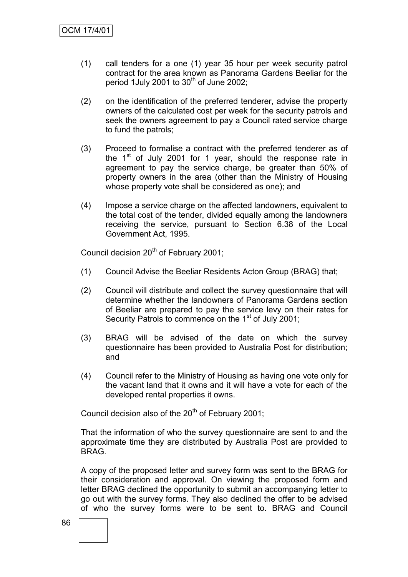- (1) call tenders for a one (1) year 35 hour per week security patrol contract for the area known as Panorama Gardens Beeliar for the period 1July 2001 to  $30<sup>th</sup>$  of June 2002;
- (2) on the identification of the preferred tenderer, advise the property owners of the calculated cost per week for the security patrols and seek the owners agreement to pay a Council rated service charge to fund the patrols;
- (3) Proceed to formalise a contract with the preferred tenderer as of the  $1<sup>st</sup>$  of July 2001 for 1 year, should the response rate in agreement to pay the service charge, be greater than 50% of property owners in the area (other than the Ministry of Housing whose property vote shall be considered as one); and
- (4) Impose a service charge on the affected landowners, equivalent to the total cost of the tender, divided equally among the landowners receiving the service, pursuant to Section 6.38 of the Local Government Act, 1995.

Council decision 20<sup>th</sup> of February 2001;

- (1) Council Advise the Beeliar Residents Acton Group (BRAG) that;
- (2) Council will distribute and collect the survey questionnaire that will determine whether the landowners of Panorama Gardens section of Beeliar are prepared to pay the service levy on their rates for Security Patrols to commence on the 1<sup>st</sup> of July 2001;
- (3) BRAG will be advised of the date on which the survey questionnaire has been provided to Australia Post for distribution; and
- (4) Council refer to the Ministry of Housing as having one vote only for the vacant land that it owns and it will have a vote for each of the developed rental properties it owns.

Council decision also of the  $20<sup>th</sup>$  of February 2001;

That the information of who the survey questionnaire are sent to and the approximate time they are distributed by Australia Post are provided to BRAG.

A copy of the proposed letter and survey form was sent to the BRAG for their consideration and approval. On viewing the proposed form and letter BRAG declined the opportunity to submit an accompanying letter to go out with the survey forms. They also declined the offer to be advised of who the survey forms were to be sent to. BRAG and Council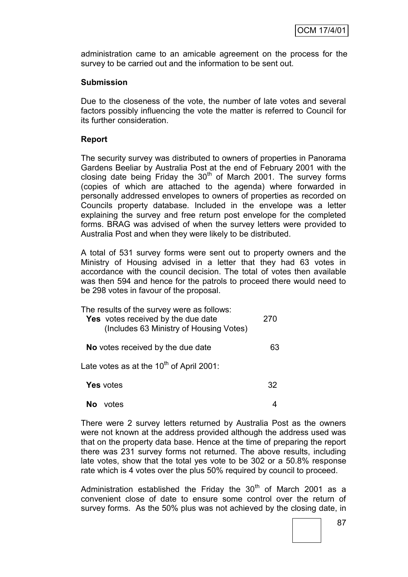administration came to an amicable agreement on the process for the survey to be carried out and the information to be sent out.

#### **Submission**

Due to the closeness of the vote, the number of late votes and several factors possibly influencing the vote the matter is referred to Council for its further consideration.

#### **Report**

The security survey was distributed to owners of properties in Panorama Gardens Beeliar by Australia Post at the end of February 2001 with the closing date being Friday the  $30<sup>th</sup>$  of March 2001. The survey forms (copies of which are attached to the agenda) where forwarded in personally addressed envelopes to owners of properties as recorded on Councils property database. Included in the envelope was a letter explaining the survey and free return post envelope for the completed forms. BRAG was advised of when the survey letters were provided to Australia Post and when they were likely to be distributed.

A total of 531 survey forms were sent out to property owners and the Ministry of Housing advised in a letter that they had 63 votes in accordance with the council decision. The total of votes then available was then 594 and hence for the patrols to proceed there would need to be 298 votes in favour of the proposal.

| The results of the survey were as follows:<br>Yes votes received by the due date<br>(Includes 63 Ministry of Housing Votes) | 270 |
|-----------------------------------------------------------------------------------------------------------------------------|-----|
| No votes received by the due date                                                                                           | 63  |
| Late votes as at the 10 <sup>th</sup> of April 2001:                                                                        |     |
| <b>Yes</b> votes                                                                                                            | 32  |
| votes                                                                                                                       |     |

There were 2 survey letters returned by Australia Post as the owners were not known at the address provided although the address used was that on the property data base. Hence at the time of preparing the report there was 231 survey forms not returned. The above results, including late votes, show that the total yes vote to be 302 or a 50.8% response rate which is 4 votes over the plus 50% required by council to proceed.

Administration established the Friday the  $30<sup>th</sup>$  of March 2001 as a convenient close of date to ensure some control over the return of survey forms. As the 50% plus was not achieved by the closing date, in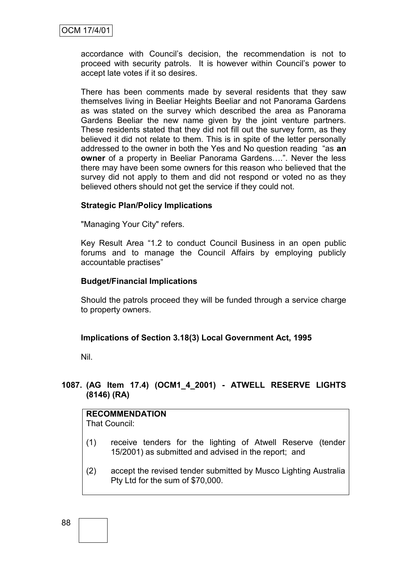accordance with Council"s decision, the recommendation is not to proceed with security patrols. It is however within Council"s power to accept late votes if it so desires.

There has been comments made by several residents that they saw themselves living in Beeliar Heights Beeliar and not Panorama Gardens as was stated on the survey which described the area as Panorama Gardens Beeliar the new name given by the joint venture partners. These residents stated that they did not fill out the survey form, as they believed it did not relate to them. This is in spite of the letter personally addressed to the owner in both the Yes and No question reading "as **an owner** of a property in Beeliar Panorama Gardens….". Never the less there may have been some owners for this reason who believed that the survey did not apply to them and did not respond or voted no as they believed others should not get the service if they could not.

## **Strategic Plan/Policy Implications**

"Managing Your City" refers.

Key Result Area "1.2 to conduct Council Business in an open public forums and to manage the Council Affairs by employing publicly accountable practises"

#### **Budget/Financial Implications**

Should the patrols proceed they will be funded through a service charge to property owners.

#### **Implications of Section 3.18(3) Local Government Act, 1995**

Nil.

# **1087. (AG Item 17.4) (OCM1\_4\_2001) - ATWELL RESERVE LIGHTS (8146) (RA)**

# **RECOMMENDATION**

That Council:

- (1) receive tenders for the lighting of Atwell Reserve (tender 15/2001) as submitted and advised in the report; and
- (2) accept the revised tender submitted by Musco Lighting Australia Pty Ltd for the sum of \$70,000.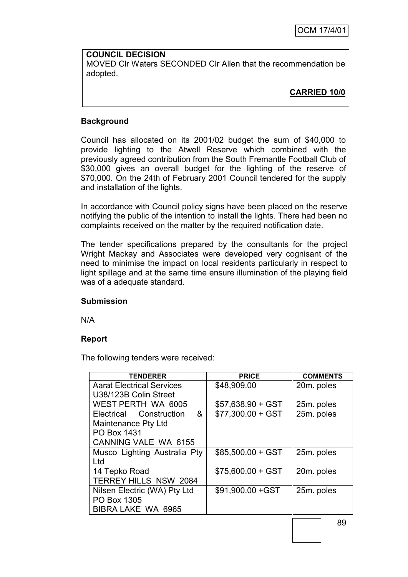## **COUNCIL DECISION** MOVED Clr Waters SECONDED Clr Allen that the recommendation be adopted.

# **CARRIED 10/0**

# **Background**

Council has allocated on its 2001/02 budget the sum of \$40,000 to provide lighting to the Atwell Reserve which combined with the previously agreed contribution from the South Fremantle Football Club of \$30,000 gives an overall budget for the lighting of the reserve of \$70,000. On the 24th of February 2001 Council tendered for the supply and installation of the lights.

In accordance with Council policy signs have been placed on the reserve notifying the public of the intention to install the lights. There had been no complaints received on the matter by the required notification date.

The tender specifications prepared by the consultants for the project Wright Mackay and Associates were developed very cognisant of the need to minimise the impact on local residents particularly in respect to light spillage and at the same time ensure illumination of the playing field was of a adequate standard.

## **Submission**

N/A

## **Report**

The following tenders were received:

| <b>TENDERER</b>                  | <b>PRICE</b>       | <b>COMMENTS</b> |
|----------------------------------|--------------------|-----------------|
| <b>Aarat Electrical Services</b> | \$48,909.00        | 20m. poles      |
| U38/123B Colin Street            |                    |                 |
| WEST PERTH WA 6005               | $$57,638.90 + GST$ | 25m. poles      |
| - &<br>Electrical Construction   | $$77,300.00 + GST$ | 25m. poles      |
| Maintenance Pty Ltd              |                    |                 |
| PO Box 1431                      |                    |                 |
| <b>CANNING VALE WA 6155</b>      |                    |                 |
| Musco Lighting Australia Pty     | $$85,500.00 + GST$ | 25m. poles      |
| Ltd                              |                    |                 |
| 14 Tepko Road                    | $$75,600.00 + GST$ | 20m. poles      |
| <b>TERREY HILLS NSW 2084</b>     |                    |                 |
| Nilsen Electric (WA) Pty Ltd     | \$91,900.00 + GST  | 25m. poles      |
| PO Box 1305                      |                    |                 |
| BIBRA LAKE WA 6965               |                    |                 |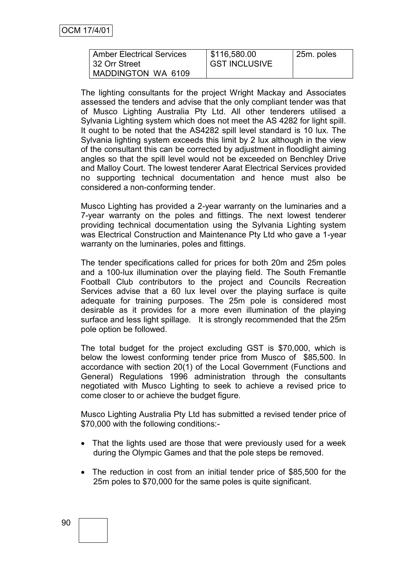| <b>Amber Electrical Services</b> | \$116,580.00         | 25m. poles |
|----------------------------------|----------------------|------------|
| 132 Orr Street                   | <b>GST INCLUSIVE</b> |            |
| MADDINGTON WA 6109               |                      |            |

The lighting consultants for the project Wright Mackay and Associates assessed the tenders and advise that the only compliant tender was that of Musco Lighting Australia Pty Ltd. All other tenderers utilised a Sylvania Lighting system which does not meet the AS 4282 for light spill. It ought to be noted that the AS4282 spill level standard is 10 lux. The Sylvania lighting system exceeds this limit by 2 lux although in the view of the consultant this can be corrected by adjustment in floodlight aiming angles so that the spill level would not be exceeded on Benchley Drive and Malloy Court. The lowest tenderer Aarat Electrical Services provided no supporting technical documentation and hence must also be considered a non-conforming tender.

Musco Lighting has provided a 2-year warranty on the luminaries and a 7-year warranty on the poles and fittings. The next lowest tenderer providing technical documentation using the Sylvania Lighting system was Electrical Construction and Maintenance Pty Ltd who gave a 1-year warranty on the luminaries, poles and fittings.

The tender specifications called for prices for both 20m and 25m poles and a 100-lux illumination over the playing field. The South Fremantle Football Club contributors to the project and Councils Recreation Services advise that a 60 lux level over the playing surface is quite adequate for training purposes. The 25m pole is considered most desirable as it provides for a more even illumination of the playing surface and less light spillage. It is strongly recommended that the 25m pole option be followed.

The total budget for the project excluding GST is \$70,000, which is below the lowest conforming tender price from Musco of \$85,500. In accordance with section 20(1) of the Local Government (Functions and General) Regulations 1996 administration through the consultants negotiated with Musco Lighting to seek to achieve a revised price to come closer to or achieve the budget figure.

Musco Lighting Australia Pty Ltd has submitted a revised tender price of \$70,000 with the following conditions:-

- That the lights used are those that were previously used for a week during the Olympic Games and that the pole steps be removed.
- The reduction in cost from an initial tender price of \$85,500 for the 25m poles to \$70,000 for the same poles is quite significant.

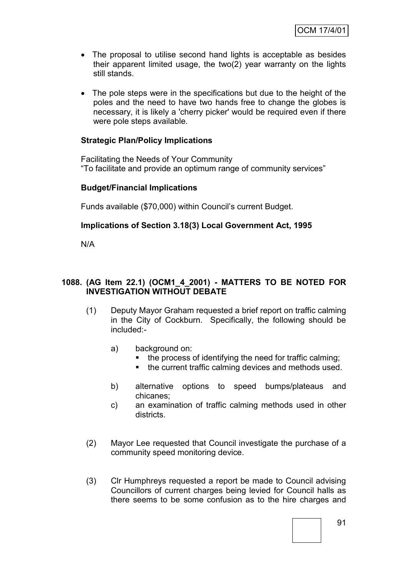- The proposal to utilise second hand lights is acceptable as besides their apparent limited usage, the two(2) year warranty on the lights still stands.
- The pole steps were in the specifications but due to the height of the poles and the need to have two hands free to change the globes is necessary, it is likely a 'cherry picker' would be required even if there were pole steps available.

# **Strategic Plan/Policy Implications**

Facilitating the Needs of Your Community "To facilitate and provide an optimum range of community services"

## **Budget/Financial Implications**

Funds available (\$70,000) within Council"s current Budget.

## **Implications of Section 3.18(3) Local Government Act, 1995**

N/A

## **1088. (AG Item 22.1) (OCM1\_4\_2001) - MATTERS TO BE NOTED FOR INVESTIGATION WITHOUT DEBATE**

- (1) Deputy Mayor Graham requested a brief report on traffic calming in the City of Cockburn. Specifically, the following should be included:
	- a) background on:
		- the process of identifying the need for traffic calming;
		- the current traffic calming devices and methods used.
	- b) alternative options to speed bumps/plateaus and chicanes;
	- c) an examination of traffic calming methods used in other districts.
- (2) Mayor Lee requested that Council investigate the purchase of a community speed monitoring device.
- (3) Clr Humphreys requested a report be made to Council advising Councillors of current charges being levied for Council halls as there seems to be some confusion as to the hire charges and